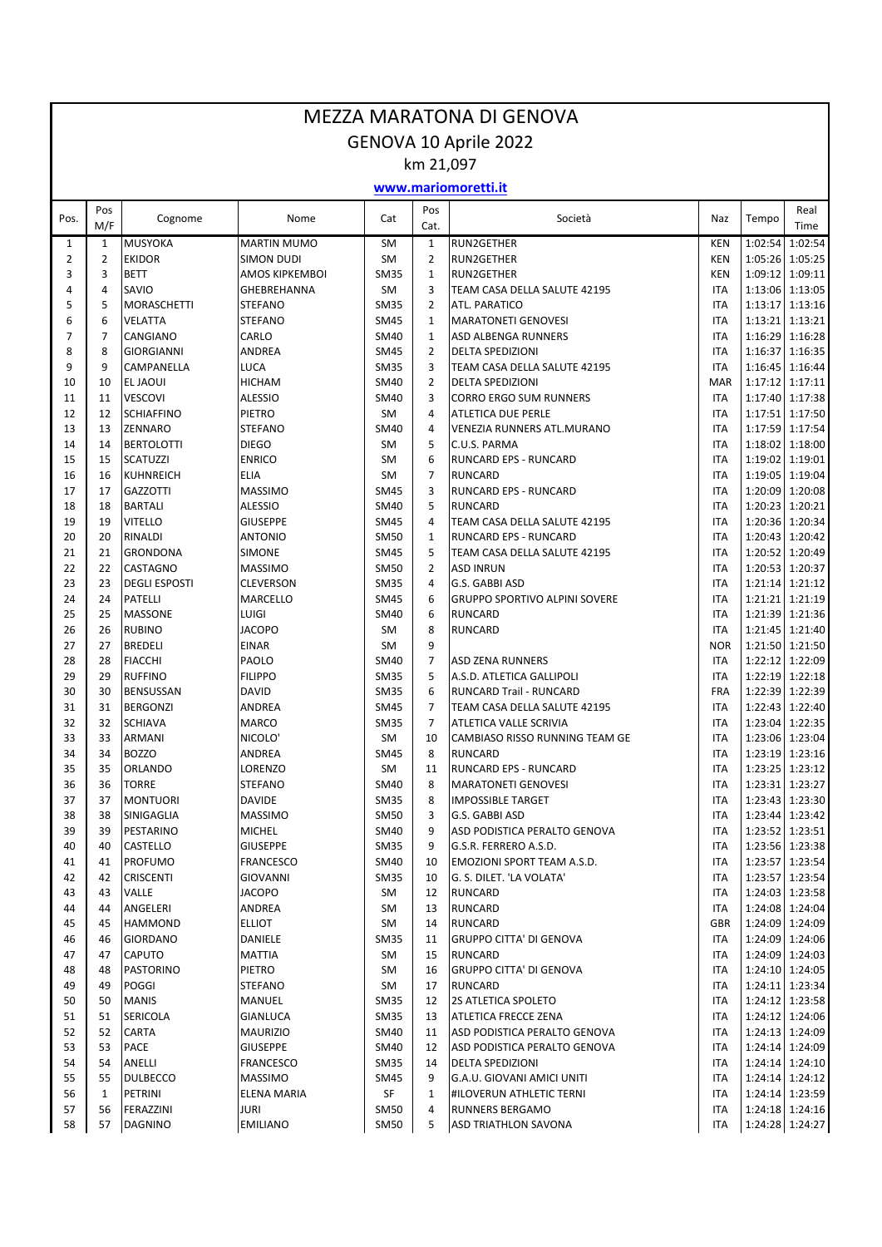|                     | <b>MEZZA MARATONA DI GENOVA</b> |                                     |                                            |                            |                                |                                                    |                          |                    |                                    |  |  |  |  |
|---------------------|---------------------------------|-------------------------------------|--------------------------------------------|----------------------------|--------------------------------|----------------------------------------------------|--------------------------|--------------------|------------------------------------|--|--|--|--|
|                     | GENOVA 10 Aprile 2022           |                                     |                                            |                            |                                |                                                    |                          |                    |                                    |  |  |  |  |
|                     | km 21,097                       |                                     |                                            |                            |                                |                                                    |                          |                    |                                    |  |  |  |  |
|                     |                                 |                                     |                                            |                            |                                | www.mariomoretti.it                                |                          |                    |                                    |  |  |  |  |
| Pos.                | Pos<br>M/F                      | Cognome                             | Nome                                       | Cat                        | Pos<br>Cat.                    | Società                                            | Naz                      | Tempo              | Real<br>Time                       |  |  |  |  |
| 1                   | 1                               | <b>MUSYOKA</b>                      | <b>MARTIN MUMO</b>                         | <b>SM</b>                  | $\mathbf{1}$                   | <b>RUN2GETHER</b>                                  | <b>KEN</b>               | 1:02:54            | 1:02:54                            |  |  |  |  |
| $\overline{2}$<br>3 | $\overline{2}$                  | <b>EKIDOR</b>                       | <b>SIMON DUDI</b><br><b>AMOS KIPKEMBOI</b> | <b>SM</b>                  | $\overline{2}$<br>$\mathbf{1}$ | <b>RUN2GETHER</b>                                  | <b>KEN</b>               | 1:05:26            | 1:05:25                            |  |  |  |  |
| 4                   | 3<br>4                          | <b>BETT</b><br>SAVIO                | GHEBREHANNA                                | <b>SM35</b><br><b>SM</b>   | 3                              | <b>RUN2GETHER</b><br>TEAM CASA DELLA SALUTE 42195  | <b>KEN</b><br><b>ITA</b> | 1:13:06            | 1:09:12 1:09:11<br>1:13:05         |  |  |  |  |
| 5                   | 5                               | <b>MORASCHETTI</b>                  | <b>STEFANO</b>                             | <b>SM35</b>                | $\overline{2}$                 | ATL. PARATICO                                      | <b>ITA</b>               |                    | 1:13:17 1:13:16                    |  |  |  |  |
| 6                   | 6                               | <b>VELATTA</b>                      | <b>STEFANO</b>                             | <b>SM45</b>                | $\mathbf{1}$                   | <b>MARATONETI GENOVESI</b>                         | <b>ITA</b>               | 1:13:21            | 1:13:21                            |  |  |  |  |
| 7                   | 7                               | CANGIANO                            | CARLO                                      | <b>SM40</b>                | $\mathbf{1}$                   | ASD ALBENGA RUNNERS                                | <b>ITA</b>               | 1:16:29            | 1:16:28                            |  |  |  |  |
| 8                   | 8                               | <b>GIORGIANNI</b>                   | ANDREA                                     | <b>SM45</b>                | $\overline{2}$                 | <b>DELTA SPEDIZIONI</b>                            | <b>ITA</b>               | 1:16:37            | 1:16:35                            |  |  |  |  |
| 9                   | 9                               | CAMPANELLA                          | LUCA                                       | <b>SM35</b>                | 3                              | TEAM CASA DELLA SALUTE 42195                       | <b>ITA</b>               |                    | 1:16:45 1:16:44                    |  |  |  |  |
| 10                  | 10                              | <b>EL JAOUI</b>                     | <b>HICHAM</b>                              | <b>SM40</b>                | $\overline{2}$                 | <b>DELTA SPEDIZIONI</b>                            | <b>MAR</b>               | 1:17:12            | 1:17:11                            |  |  |  |  |
| 11                  | 11                              | <b>VESCOVI</b>                      | <b>ALESSIO</b>                             | <b>SM40</b>                | 3                              | <b>CORRO ERGO SUM RUNNERS</b>                      | <b>ITA</b>               | 1:17:40            | 1:17:38                            |  |  |  |  |
| 12                  | 12                              | <b>SCHIAFFINO</b>                   | PIETRO                                     | <b>SM</b>                  | 4                              | <b>ATLETICA DUE PERLE</b>                          | <b>ITA</b>               | 1:17:51            | 1:17:50                            |  |  |  |  |
| 13                  | 13                              | <b>ZENNARO</b>                      | <b>STEFANO</b>                             | <b>SM40</b>                | 4                              | <b>VENEZIA RUNNERS ATL.MURANO</b>                  | <b>ITA</b>               | 1:17:59            | 1:17:54                            |  |  |  |  |
| 14<br>15            | 14<br>15                        | <b>BERTOLOTTI</b>                   | <b>DIEGO</b><br><b>ENRICO</b>              | <b>SM</b>                  | 5<br>6                         | C.U.S. PARMA                                       | <b>ITA</b><br><b>ITA</b> | 1:18:02            | 1:18:00                            |  |  |  |  |
| 16                  | 16                              | <b>SCATUZZI</b><br><b>KUHNREICH</b> | ELIA                                       | <b>SM</b><br><b>SM</b>     | $\overline{7}$                 | RUNCARD EPS - RUNCARD<br><b>RUNCARD</b>            | <b>ITA</b>               | 1:19:02<br>1:19:05 | 1:19:01<br>1:19:04                 |  |  |  |  |
| 17                  | 17                              | <b>GAZZOTTI</b>                     | <b>MASSIMO</b>                             | <b>SM45</b>                | 3                              | <b>RUNCARD EPS - RUNCARD</b>                       | <b>ITA</b>               | 1:20:09            | 1:20:08                            |  |  |  |  |
| 18                  | 18                              | <b>BARTALI</b>                      | <b>ALESSIO</b>                             | <b>SM40</b>                | 5                              | <b>RUNCARD</b>                                     | <b>ITA</b>               | 1:20:23            | 1:20:21                            |  |  |  |  |
| 19                  | 19                              | <b>VITELLO</b>                      | <b>GIUSEPPE</b>                            | <b>SM45</b>                | 4                              | TEAM CASA DELLA SALUTE 42195                       | <b>ITA</b>               | 1:20:36            | 1:20:34                            |  |  |  |  |
| 20                  | 20                              | RINALDI                             | <b>ANTONIO</b>                             | <b>SM50</b>                | $1\,$                          | <b>RUNCARD EPS - RUNCARD</b>                       | <b>ITA</b>               | 1:20:43            | 1:20:42                            |  |  |  |  |
| 21                  | 21                              | <b>GRONDONA</b>                     | <b>SIMONE</b>                              | <b>SM45</b>                | 5                              | TEAM CASA DELLA SALUTE 42195                       | <b>ITA</b>               | 1:20:52            | 1:20:49                            |  |  |  |  |
| 22                  | 22                              | CASTAGNO                            | <b>MASSIMO</b>                             | <b>SM50</b>                | $\overline{2}$                 | <b>ASD INRUN</b>                                   | <b>ITA</b>               |                    | 1:20:53 1:20:37                    |  |  |  |  |
| 23                  | 23                              | <b>DEGLI ESPOSTI</b>                | <b>CLEVERSON</b>                           | <b>SM35</b>                | 4                              | G.S. GABBI ASD                                     | <b>ITA</b>               | 1:21:14            | 1:21:12                            |  |  |  |  |
| 24                  | 24                              | <b>PATELLI</b>                      | <b>MARCELLO</b>                            | <b>SM45</b>                | 6                              | <b>GRUPPO SPORTIVO ALPINI SOVERE</b>               | <b>ITA</b>               | 1:21:21            | 1:21:19                            |  |  |  |  |
| 25                  | 25                              | <b>MASSONE</b>                      | LUIGI                                      | <b>SM40</b>                | 6                              | <b>RUNCARD</b>                                     | <b>ITA</b>               | 1:21:39            | 1:21:36                            |  |  |  |  |
| 26                  | 26                              | <b>RUBINO</b>                       | <b>JACOPO</b>                              | <b>SM</b>                  | 8                              | <b>RUNCARD</b>                                     | <b>ITA</b>               | 1:21:45            | 1:21:40                            |  |  |  |  |
| 27<br>28            | 27<br>28                        | <b>BREDELI</b><br><b>FIACCHI</b>    | <b>EINAR</b><br>PAOLO                      | <b>SM</b><br><b>SM40</b>   | 9<br>$\overline{7}$            | <b>ASD ZENA RUNNERS</b>                            | <b>NOR</b><br><b>ITA</b> | 1:21:50            | 1:21:50<br>1:22:12 1:22:09         |  |  |  |  |
| 29                  | 29                              | <b>RUFFINO</b>                      | <b>FILIPPO</b>                             | <b>SM35</b>                | 5                              | A.S.D. ATLETICA GALLIPOLI                          | <b>ITA</b>               | 1:22:19            | 1:22:18                            |  |  |  |  |
| 30                  | 30                              | <b>BENSUSSAN</b>                    | <b>DAVID</b>                               | <b>SM35</b>                | 6                              | <b>RUNCARD Trail - RUNCARD</b>                     | FRA                      | 1:22:39            | 1:22:39                            |  |  |  |  |
| 31                  | 31                              | <b>BERGONZI</b>                     | ANDREA                                     | <b>SM45</b>                | $\overline{7}$                 | TEAM CASA DELLA SALUTE 42195                       | <b>ITA</b>               |                    | 1:22:43 1:22:40                    |  |  |  |  |
| 32                  | 32                              | <b>SCHIAVA</b>                      | <b>MARCO</b>                               | <b>SM35</b>                | $\overline{7}$                 | ATLETICA VALLE SCRIVIA                             | <b>ITA</b>               |                    | 1:23:04 1:22:35                    |  |  |  |  |
| 33                  | 33                              | <b>ARMANI</b>                       | NICOLO <sup>®</sup>                        | <b>SM</b>                  | 10                             | CAMBIASO RISSO RUNNING TEAM GE                     | <b>ITA</b>               |                    | 1:23:06 1:23:04                    |  |  |  |  |
| 34                  | 34                              | <b>BOZZO</b>                        | ANDREA                                     | <b>SM45</b>                | 8                              | <b>RUNCARD</b>                                     | <b>ITA</b>               |                    | 1:23:19 1:23:16                    |  |  |  |  |
| 35                  | 35                              | <b>ORLANDO</b>                      | LORENZO                                    | SM                         | 11                             | <b>RUNCARD EPS - RUNCARD</b>                       | <b>ITA</b>               |                    | 1:23:25 1:23:12                    |  |  |  |  |
| 36                  | 36                              | <b>TORRE</b>                        | <b>STEFANO</b>                             | <b>SM40</b>                | 8                              | <b>MARATONETI GENOVESI</b>                         | <b>ITA</b>               |                    | 1:23:31 1:23:27                    |  |  |  |  |
| 37                  | 37                              | <b>MONTUORI</b>                     | <b>DAVIDE</b>                              | <b>SM35</b>                | 8                              | <b>IMPOSSIBLE TARGET</b>                           | <b>ITA</b>               |                    | 1:23:43 1:23:30                    |  |  |  |  |
| 38                  | 38                              | SINIGAGLIA                          | <b>MASSIMO</b>                             | SM50                       | 3                              | G.S. GABBI ASD<br>ASD PODISTICA PERALTO GENOVA     | ITA                      |                    | 1:23:44 1:23:42                    |  |  |  |  |
| 39<br>40            | 39<br>40                        | PESTARINO<br>CASTELLO               | <b>MICHEL</b><br><b>GIUSEPPE</b>           | SM40<br>SM35               | 9<br>9                         | G.S.R. FERRERO A.S.D.                              | ITA<br>ITA               |                    | 1:23:52 1:23:51<br>1:23:56 1:23:38 |  |  |  |  |
| 41                  | 41                              | <b>PROFUMO</b>                      | <b>FRANCESCO</b>                           | <b>SM40</b>                | 10                             | <b>EMOZIONI SPORT TEAM A.S.D.</b>                  | <b>ITA</b>               |                    | 1:23:57 1:23:54                    |  |  |  |  |
| 42                  | 42                              | <b>CRISCENTI</b>                    | GIOVANNI                                   | SM35                       | 10                             | G. S. DILET. 'LA VOLATA'                           | <b>ITA</b>               |                    | 1:23:57 1:23:54                    |  |  |  |  |
| 43                  | 43                              | VALLE                               | <b>JACOPO</b>                              | SM                         | 12                             | <b>RUNCARD</b>                                     | ITA                      |                    | 1:24:03 1:23:58                    |  |  |  |  |
| 44                  | 44                              | ANGELERI                            | ANDREA                                     | SM                         | 13                             | <b>RUNCARD</b>                                     | <b>ITA</b>               |                    | 1:24:08 1:24:04                    |  |  |  |  |
| 45                  | 45                              | <b>HAMMOND</b>                      | <b>ELLIOT</b>                              | SM                         | 14                             | <b>RUNCARD</b>                                     | GBR                      |                    | 1:24:09 1:24:09                    |  |  |  |  |
| 46                  | 46                              | <b>GIORDANO</b>                     | DANIELE                                    | SM35                       | 11                             | <b>GRUPPO CITTA' DI GENOVA</b>                     | ITA                      |                    | 1:24:09 1:24:06                    |  |  |  |  |
| 47                  | 47                              | <b>CAPUTO</b>                       | MATTIA                                     | SM                         | 15                             | <b>RUNCARD</b>                                     | ITA                      |                    | 1:24:09 1:24:03                    |  |  |  |  |
| 48                  | 48                              | <b>PASTORINO</b>                    | PIETRO                                     | SM                         | 16                             | <b>GRUPPO CITTA' DI GENOVA</b>                     | <b>ITA</b>               |                    | 1:24:10 1:24:05                    |  |  |  |  |
| 49                  | 49                              | <b>POGGI</b>                        | <b>STEFANO</b>                             | SM                         | 17                             | <b>RUNCARD</b>                                     | ITA                      |                    | 1:24:11 1:23:34                    |  |  |  |  |
| 50                  | 50<br>51                        | <b>MANIS</b>                        | MANUEL                                     | <b>SM35</b>                | 12<br>13                       | 2S ATLETICA SPOLETO<br><b>ATLETICA FRECCE ZENA</b> | <b>ITA</b>               |                    | 1:24:12 1:23:58<br>1:24:12 1:24:06 |  |  |  |  |
| 51<br>52            | 52                              | <b>SERICOLA</b><br><b>CARTA</b>     | <b>GIANLUCA</b><br><b>MAURIZIO</b>         | <b>SM35</b><br><b>SM40</b> | 11                             | ASD PODISTICA PERALTO GENOVA                       | <b>ITA</b><br><b>ITA</b> |                    | 1:24:13 1:24:09                    |  |  |  |  |
| 53                  | 53                              | <b>PACE</b>                         | <b>GIUSEPPE</b>                            | <b>SM40</b>                | 12                             | ASD PODISTICA PERALTO GENOVA                       | <b>ITA</b>               |                    | 1:24:14 1:24:09                    |  |  |  |  |
| 54                  | 54                              | ANELLI                              | <b>FRANCESCO</b>                           | SM35                       | 14                             | <b>DELTA SPEDIZIONI</b>                            | ITA                      |                    | 1:24:14 1:24:10                    |  |  |  |  |
| 55                  | 55                              | <b>DULBECCO</b>                     | <b>MASSIMO</b>                             | <b>SM45</b>                | 9                              | G.A.U. GIOVANI AMICI UNITI                         | ITA                      |                    | 1:24:14 1:24:12                    |  |  |  |  |
| 56                  | 1                               | PETRINI                             | <b>ELENA MARIA</b>                         | SF                         | $\mathbf{1}$                   | <b>HILOVERUN ATHLETIC TERNI</b>                    | <b>ITA</b>               |                    | 1:24:14 1:23:59                    |  |  |  |  |
| 57                  | 56                              | FERAZZINI                           | JURI                                       | SM50                       | 4                              | <b>RUNNERS BERGAMO</b>                             | <b>ITA</b>               |                    | 1:24:18 1:24:16                    |  |  |  |  |
| 58                  | 57                              | <b>DAGNINO</b>                      | <b>EMILIANO</b>                            | SM50                       | 5                              | <b>ASD TRIATHLON SAVONA</b>                        | <b>ITA</b>               |                    | 1:24:28 1:24:27                    |  |  |  |  |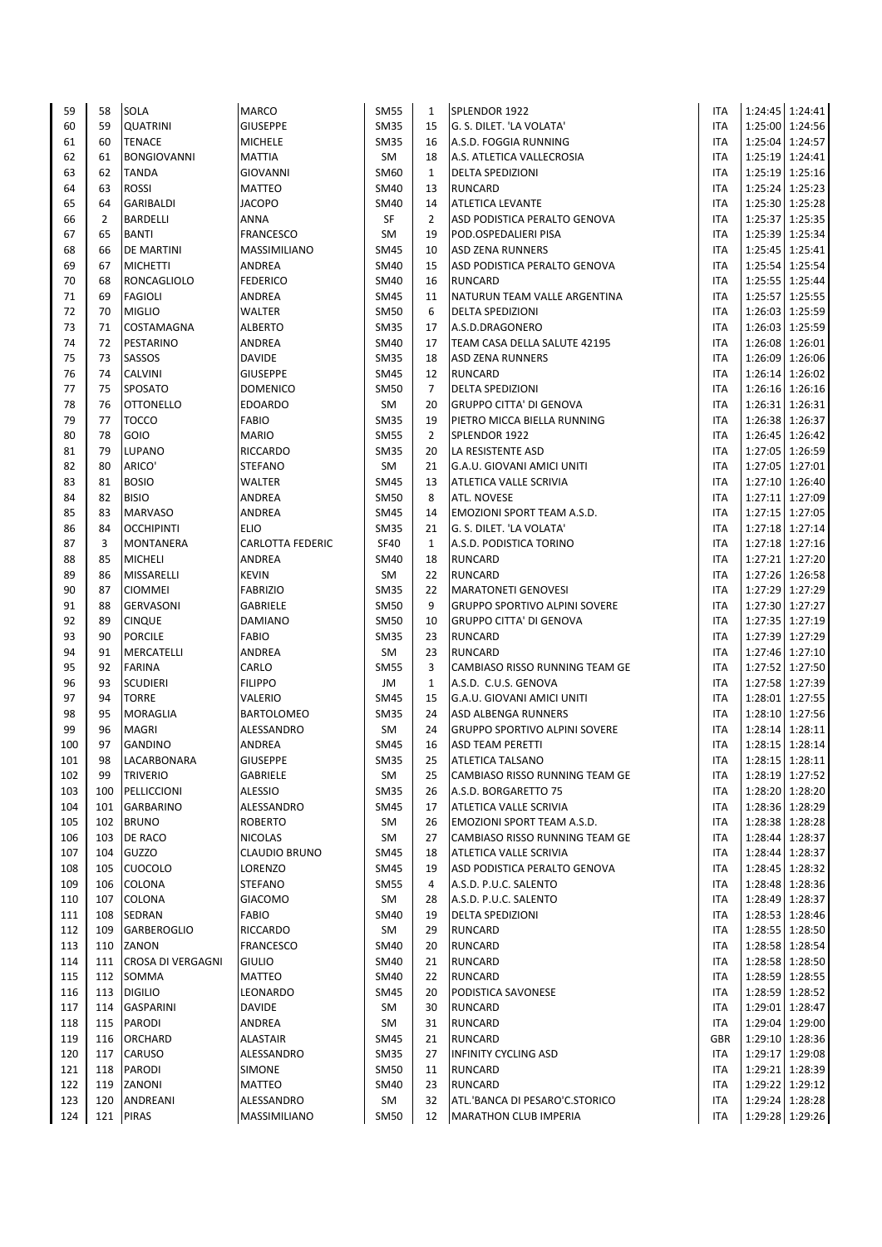| 59         | 58             | <b>SOLA</b>                 | <b>MARCO</b>                       | <b>SM55</b>       | $\mathbf{1}$         | SPLENDOR 1922                                               | ITA                      |                                    | 1:24:45 1:24:41                    |
|------------|----------------|-----------------------------|------------------------------------|-------------------|----------------------|-------------------------------------------------------------|--------------------------|------------------------------------|------------------------------------|
| 60         | 59             | <b>QUATRINI</b>             | <b>GIUSEPPE</b>                    | <b>SM35</b>       | 15                   | G. S. DILET. 'LA VOLATA'                                    | <b>ITA</b>               |                                    | 1:25:00 1:24:56                    |
| 61         | 60             | <b>TENACE</b>               | <b>MICHELE</b>                     | <b>SM35</b>       | 16                   | A.S.D. FOGGIA RUNNING                                       | <b>ITA</b>               |                                    | 1:25:04 1:24:57                    |
| 62         | 61             | <b>BONGIOVANNI</b>          | <b>MATTIA</b>                      | <b>SM</b>         | 18                   | A.S. ATLETICA VALLECROSIA                                   | <b>ITA</b>               |                                    | 1:25:19 1:24:41                    |
| 63         | 62             | <b>TANDA</b>                | <b>GIOVANNI</b>                    | SM60              | $\mathbf{1}$         | <b>DELTA SPEDIZIONI</b>                                     | <b>ITA</b>               |                                    | 1:25:19 1:25:16                    |
| 64         | 63             | <b>ROSSI</b>                | <b>MATTEO</b>                      | SM40              | 13                   | <b>RUNCARD</b>                                              | <b>ITA</b>               |                                    | 1:25:24 1:25:23                    |
| 65         | 64             | <b>GARIBALDI</b>            | <b>JACOPO</b>                      | <b>SM40</b>       | 14                   | <b>ATLETICA LEVANTE</b>                                     | <b>ITA</b>               |                                    | 1:25:30 1:25:28                    |
| 66         | $\overline{2}$ | <b>BARDELLI</b>             | ANNA                               | <b>SF</b>         | $\overline{2}$       | ASD PODISTICA PERALTO GENOVA                                | <b>ITA</b>               |                                    | 1:25:37 1:25:35                    |
| 67         | 65             | <b>BANTI</b>                | <b>FRANCESCO</b>                   | SM                | 19                   | POD.OSPEDALIERI PISA                                        | <b>ITA</b>               |                                    | 1:25:39 1:25:34                    |
| 68         | 66             | <b>DE MARTINI</b>           | <b>MASSIMILIANO</b>                | <b>SM45</b>       | 10                   | <b>ASD ZENA RUNNERS</b>                                     | <b>ITA</b>               | 1:25:45 1:25:41                    |                                    |
| 69         | 67             | <b>MICHETTI</b>             | ANDREA                             | <b>SM40</b>       | 15                   | ASD PODISTICA PERALTO GENOVA                                | <b>ITA</b>               | 1:25:54 1:25:54                    |                                    |
| 70         | 68             | RONCAGLIOLO                 | <b>FEDERICO</b>                    | <b>SM40</b>       | 16                   | <b>RUNCARD</b>                                              | <b>ITA</b>               |                                    | 1:25:55 1:25:44                    |
| 71         | 69             | <b>FAGIOLI</b>              | ANDREA                             | <b>SM45</b>       | 11                   | NATURUN TEAM VALLE ARGENTINA                                | <b>ITA</b>               |                                    | 1:25:57 1:25:55                    |
| 72         | 70             | <b>MIGLIO</b>               | <b>WALTER</b>                      | <b>SM50</b>       | 6                    | <b>DELTA SPEDIZIONI</b>                                     | <b>ITA</b>               |                                    | 1:26:03 1:25:59                    |
| 73         | 71             | COSTAMAGNA                  | <b>ALBERTO</b>                     | <b>SM35</b>       | 17                   | A.S.D.DRAGONERO                                             | <b>ITA</b>               |                                    | 1:26:03 1:25:59                    |
| 74         | 72             | PESTARINO                   | ANDREA                             | <b>SM40</b>       | 17                   | TEAM CASA DELLA SALUTE 42195                                | <b>ITA</b>               | 1:26:08 1:26:01                    |                                    |
| 75         | 73             | SASSOS                      | <b>DAVIDE</b>                      | <b>SM35</b>       | 18                   | <b>ASD ZENA RUNNERS</b>                                     | <b>ITA</b>               |                                    | 1:26:09 1:26:06                    |
| 76         | 74<br>75       | <b>CALVINI</b>              | <b>GIUSEPPE</b>                    | <b>SM45</b>       | 12<br>$\overline{7}$ | <b>RUNCARD</b>                                              | <b>ITA</b>               | 1:26:14 1:26:02<br>1:26:16 1:26:16 |                                    |
| 77<br>78   | 76             | SPOSATO<br><b>OTTONELLO</b> | <b>DOMENICO</b><br><b>EDOARDO</b>  | <b>SM50</b><br>SM | 20                   | <b>DELTA SPEDIZIONI</b><br><b>GRUPPO CITTA' DI GENOVA</b>   | <b>ITA</b><br><b>ITA</b> |                                    |                                    |
| 79         | 77             | <b>TOCCO</b>                | <b>FABIO</b>                       | <b>SM35</b>       | 19                   | PIETRO MICCA BIELLA RUNNING                                 | <b>ITA</b>               |                                    | 1:26:31 1:26:31<br>1:26:38 1:26:37 |
| 80         | 78             | GOIO                        | <b>MARIO</b>                       | <b>SM55</b>       | $\overline{2}$       | SPLENDOR 1922                                               | <b>ITA</b>               |                                    | 1:26:45 1:26:42                    |
| 81         | 79             | LUPANO                      | <b>RICCARDO</b>                    | <b>SM35</b>       | 20                   | LA RESISTENTE ASD                                           | <b>ITA</b>               |                                    | 1:27:05 1:26:59                    |
| 82         | 80             | ARICO'                      | <b>STEFANO</b>                     | SM                | 21                   | G.A.U. GIOVANI AMICI UNITI                                  | <b>ITA</b>               | 1:27:05 1:27:01                    |                                    |
| 83         | 81             | <b>BOSIO</b>                | <b>WALTER</b>                      | <b>SM45</b>       | 13                   | ATLETICA VALLE SCRIVIA                                      | <b>ITA</b>               |                                    | 1:27:10 1:26:40                    |
| 84         | 82             | <b>BISIO</b>                | <b>ANDREA</b>                      | <b>SM50</b>       | 8                    | ATL. NOVESE                                                 | <b>ITA</b>               |                                    | 1:27:11 1:27:09                    |
| 85         | 83             | <b>MARVASO</b>              | ANDREA                             | <b>SM45</b>       | 14                   | <b>EMOZIONI SPORT TEAM A.S.D.</b>                           | <b>ITA</b>               | 1:27:15 1:27:05                    |                                    |
| 86         | 84             | <b>OCCHIPINTI</b>           | <b>ELIO</b>                        | <b>SM35</b>       | 21                   | G. S. DILET. 'LA VOLATA'                                    | <b>ITA</b>               |                                    | 1:27:18 1:27:14                    |
| 87         | 3              | <b>MONTANERA</b>            | <b>CARLOTTA FEDERIC</b>            | <b>SF40</b>       | $\mathbf{1}$         | A.S.D. PODISTICA TORINO                                     | <b>ITA</b>               |                                    | 1:27:18 1:27:16                    |
| 88         | 85             | <b>MICHELI</b>              | ANDREA                             | <b>SM40</b>       | 18                   | <b>RUNCARD</b>                                              | <b>ITA</b>               |                                    | 1:27:21 1:27:20                    |
| 89         | 86             | MISSARELLI                  | <b>KEVIN</b>                       | <b>SM</b>         | 22                   | <b>RUNCARD</b>                                              | <b>ITA</b>               |                                    | 1:27:26 1:26:58                    |
| 90         | 87             | <b>CIOMMEI</b>              | <b>FABRIZIO</b>                    | <b>SM35</b>       | 22                   | <b>MARATONETI GENOVESI</b>                                  | <b>ITA</b>               |                                    | 1:27:29 1:27:29                    |
| 91         | 88             | <b>GERVASONI</b>            | <b>GABRIELE</b>                    | <b>SM50</b>       | 9                    | <b>GRUPPO SPORTIVO ALPINI SOVERE</b>                        | <b>ITA</b>               |                                    | 1:27:30 1:27:27                    |
| 92         | 89             | <b>CINQUE</b>               | <b>DAMIANO</b>                     | <b>SM50</b>       | 10                   | <b>GRUPPO CITTA' DI GENOVA</b>                              | <b>ITA</b>               |                                    | 1:27:35 1:27:19                    |
| 93         | 90             | <b>PORCILE</b>              | <b>FABIO</b>                       | <b>SM35</b>       | 23                   | <b>RUNCARD</b>                                              | <b>ITA</b>               | 1:27:39 1:27:29                    |                                    |
| 94         | 91             | MERCATELLI                  | ANDREA                             | SM                | 23                   | <b>RUNCARD</b>                                              | <b>ITA</b>               |                                    | 1:27:46 1:27:10                    |
| 95         | 92             | <b>FARINA</b>               | CARLO                              | <b>SM55</b>       | 3                    | CAMBIASO RISSO RUNNING TEAM GE                              | <b>ITA</b>               | 1:27:52 1:27:50                    |                                    |
| 96         | 93             | <b>SCUDIERI</b>             | <b>FILIPPO</b>                     | JM                | 1                    | A.S.D. C.U.S. GENOVA                                        | <b>ITA</b>               |                                    | 1:27:58 1:27:39                    |
| 97         | 94             | <b>TORRE</b>                | VALERIO                            | <b>SM45</b>       | 15                   | <b>G.A.U. GIOVANI AMICI UNITI</b>                           | <b>ITA</b>               |                                    | 1:28:01 1:27:55                    |
| 98         | 95             | <b>MORAGLIA</b>             | <b>BARTOLOMEO</b>                  | <b>SM35</b>       | 24                   | <b>ASD ALBENGA RUNNERS</b>                                  | <b>ITA</b>               |                                    | 1:28:10 1:27:56                    |
| 99         | 96             | <b>MAGRI</b>                | ALESSANDRO                         | SM                | 24                   | <b>GRUPPO SPORTIVO ALPINI SOVERE</b>                        | <b>ITA</b>               | 1:28:14 1:28:11                    |                                    |
| 100        | 97             | <b>GANDINO</b>              | ANDREA                             | <b>SM45</b>       | 16                   | <b>ASD TEAM PERETTI</b>                                     | <b>ITA</b>               | 1:28:15 1:28:14                    |                                    |
| 101        | 98             | LACARBONARA                 | <b>GIUSEPPE</b><br><b>GABRIELE</b> | <b>SM35</b>       | 25                   | <b>ATLETICA TALSANO</b>                                     | <b>ITA</b>               |                                    | 1:28:15 1:28:11                    |
| 102        | 99<br>100      | <b>TRIVERIO</b>             |                                    | SM                | 25<br>26             | CAMBIASO RISSO RUNNING TEAM GE                              | <b>ITA</b><br><b>ITA</b> |                                    | 1:28:19 1:27:52<br>1:28:20 1:28:20 |
| 103        |                | PELLICCIONI                 | <b>ALESSIO</b>                     | <b>SM35</b>       |                      | A.S.D. BORGARETTO 75                                        |                          |                                    | 1:28:36 1:28:29                    |
| 104<br>105 | 101<br>102     | GARBARINO<br><b>BRUNO</b>   | ALESSANDRO<br><b>ROBERTO</b>       | <b>SM45</b><br>SM | 17<br>26             | ATLETICA VALLE SCRIVIA<br><b>EMOZIONI SPORT TEAM A.S.D.</b> | <b>ITA</b><br><b>ITA</b> |                                    | 1:28:38 1:28:28                    |
| 106        | 103            | DE RACO                     | <b>NICOLAS</b>                     | SM                | 27                   | CAMBIASO RISSO RUNNING TEAM GE                              | <b>ITA</b>               |                                    | 1:28:44 1:28:37                    |
| 107        | 104            | GUZZO                       | CLAUDIO BRUNO                      | <b>SM45</b>       | 18                   | ATLETICA VALLE SCRIVIA                                      | <b>ITA</b>               |                                    | 1:28:44 1:28:37                    |
| 108        | 105            | <b>CUOCOLO</b>              | LORENZO                            | <b>SM45</b>       | 19                   | ASD PODISTICA PERALTO GENOVA                                | <b>ITA</b>               |                                    | 1:28:45 1:28:32                    |
| 109        | 106            | COLONA                      | STEFANO                            | <b>SM55</b>       | 4                    | A.S.D. P.U.C. SALENTO                                       | <b>ITA</b>               |                                    | 1:28:48 1:28:36                    |
| 110        | 107            | COLONA                      | <b>GIACOMO</b>                     | SM                | 28                   | A.S.D. P.U.C. SALENTO                                       | <b>ITA</b>               |                                    | 1:28:49 1:28:37                    |
| 111        | 108            | SEDRAN                      | <b>FABIO</b>                       | <b>SM40</b>       | 19                   | <b>DELTA SPEDIZIONI</b>                                     | <b>ITA</b>               |                                    | 1:28:53 1:28:46                    |
| 112        | 109            | GARBEROGLIO                 | RICCARDO                           | SM                | 29                   | <b>RUNCARD</b>                                              | <b>ITA</b>               |                                    | 1:28:55 1:28:50                    |
| 113        | 110            | ZANON                       | <b>FRANCESCO</b>                   | <b>SM40</b>       | 20                   | <b>RUNCARD</b>                                              | <b>ITA</b>               |                                    | 1:28:58 1:28:54                    |
| 114        | 111            | CROSA DI VERGAGNI           | <b>GIULIO</b>                      | <b>SM40</b>       | 21                   | <b>RUNCARD</b>                                              | <b>ITA</b>               |                                    | 1:28:58 1:28:50                    |
| 115        | 112            | SOMMA                       | MATTEO                             | <b>SM40</b>       | 22                   | <b>RUNCARD</b>                                              | <b>ITA</b>               |                                    | 1:28:59 1:28:55                    |
| 116        | 113            | <b>DIGILIO</b>              | LEONARDO                           | <b>SM45</b>       | 20                   | PODISTICA SAVONESE                                          | ITA                      |                                    | 1:28:59 1:28:52                    |
| 117        | 114            | GASPARINI                   | <b>DAVIDE</b>                      | SM                | 30                   | <b>RUNCARD</b>                                              | <b>ITA</b>               |                                    | 1:29:01 1:28:47                    |
| 118        | 115            | <b>PARODI</b>               | ANDREA                             | SM                | 31                   | <b>RUNCARD</b>                                              | <b>ITA</b>               | 1:29:04 1:29:00                    |                                    |
| 119        | 116            | ORCHARD                     | <b>ALASTAIR</b>                    | <b>SM45</b>       | 21                   | <b>RUNCARD</b>                                              | <b>GBR</b>               |                                    | 1:29:10 1:28:36                    |
| 120        | 117            | CARUSO                      | ALESSANDRO                         | <b>SM35</b>       | 27                   | <b>INFINITY CYCLING ASD</b>                                 | <b>ITA</b>               |                                    | 1:29:17 1:29:08                    |
| 121        | 118            | PARODI                      | <b>SIMONE</b>                      | <b>SM50</b>       | 11                   | <b>RUNCARD</b>                                              | <b>ITA</b>               |                                    | 1:29:21 1:28:39                    |
| 122        | 119            | ZANONI                      | MATTEO                             | <b>SM40</b>       | 23<br>32             | <b>RUNCARD</b>                                              | <b>ITA</b>               |                                    | 1:29:22 1:29:12                    |
| 123        | 120            | ANDREANI                    | ALESSANDRO                         | SM                |                      | ATL.'BANCA DI PESARO'C.STORICO                              | <b>ITA</b>               |                                    | 1:29:24 1:28:28                    |
| 124        | 121            | <b>PIRAS</b>                | MASSIMILIANO                       | <b>SM50</b>       | 12                   | MARATHON CLUB IMPERIA                                       | ITA                      |                                    | 1:29:28 1:29:26                    |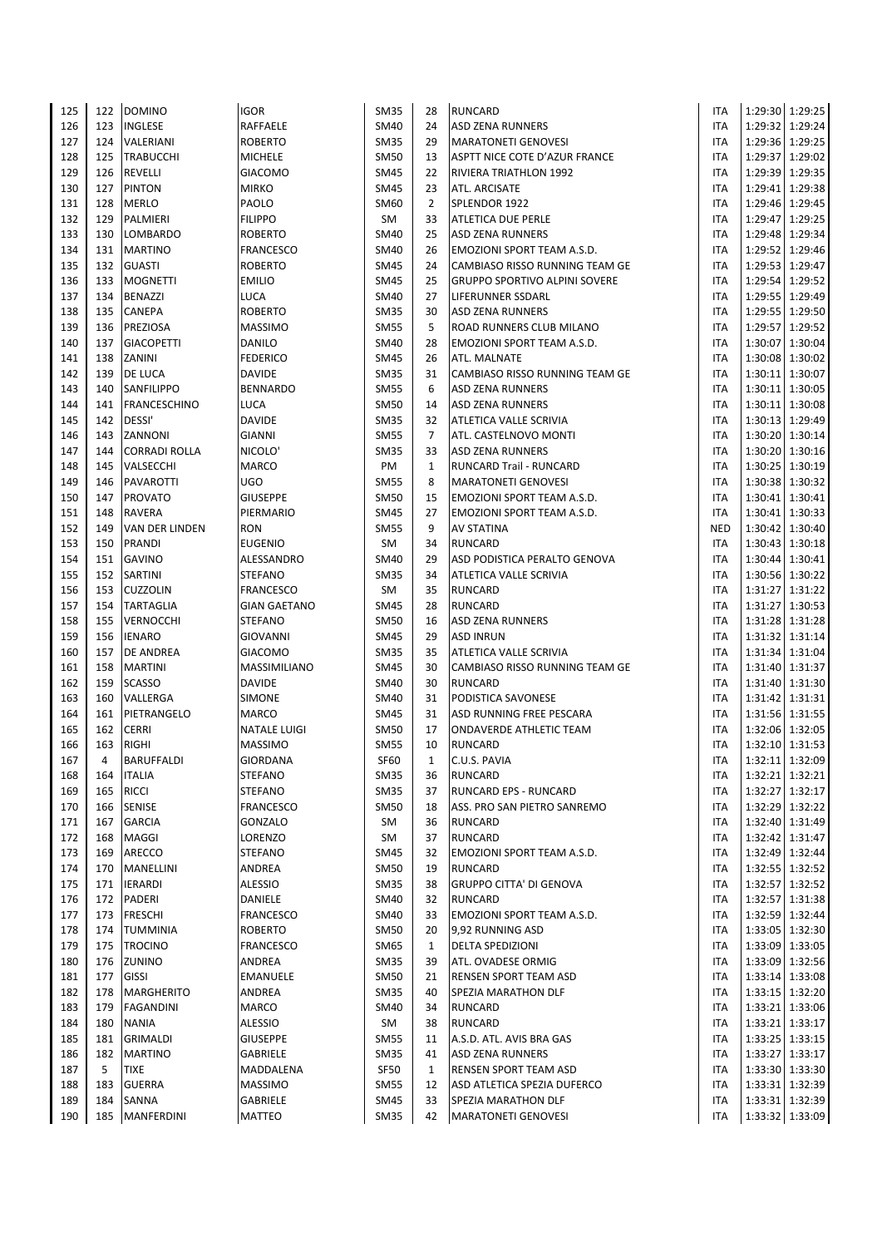| 125        | 122            | <b>DOMINO</b>                | <b>IGOR</b>                             | <b>SM35</b>                | 28                 | <b>RUNCARD</b>                                              | <b>ITA</b>               |                                    | 1:29:30 1:29:25   |
|------------|----------------|------------------------------|-----------------------------------------|----------------------------|--------------------|-------------------------------------------------------------|--------------------------|------------------------------------|-------------------|
| 126        | 123            | <b>INGLESE</b>               | RAFFAELE                                | <b>SM40</b>                | 24                 | <b>ASD ZENA RUNNERS</b>                                     | <b>ITA</b>               | 1:29:32 1:29:24                    |                   |
| 127        | 124            | VALERIANI                    | <b>ROBERTO</b>                          | <b>SM35</b>                | 29                 | <b>MARATONETI GENOVESI</b>                                  | <b>ITA</b>               | 1:29:36 1:29:25                    |                   |
| 128        | 125            | <b>TRABUCCHI</b>             | <b>MICHELE</b>                          | <b>SM50</b>                | 13                 | ASPTT NICE COTE D'AZUR FRANCE                               | <b>ITA</b>               | 1:29:37 1:29:02                    |                   |
| 129        | 126            | REVELLI                      | <b>GIACOMO</b>                          | <b>SM45</b>                | 22                 | <b>RIVIERA TRIATHLON 1992</b>                               | <b>ITA</b>               | 1:29:39 1:29:35                    |                   |
| 130        | 127            | <b>PINTON</b>                | <b>MIRKO</b>                            | <b>SM45</b>                | 23                 | ATL. ARCISATE                                               | <b>ITA</b>               | 1:29:41 1:29:38                    |                   |
| 131        | 128            | <b>MERLO</b>                 | PAOLO                                   | <b>SM60</b>                | $\overline{2}$     | SPLENDOR 1922                                               | <b>ITA</b>               | 1:29:46 1:29:45                    |                   |
| 132        | 129            | PALMIERI                     | <b>FILIPPO</b>                          | SM                         | 33                 | <b>ATLETICA DUE PERLE</b>                                   | <b>ITA</b>               | 1:29:47 1:29:25                    |                   |
| 133        | 130            | <b>LOMBARDO</b>              | <b>ROBERTO</b>                          | <b>SM40</b>                | 25                 | <b>ASD ZENA RUNNERS</b>                                     | <b>ITA</b>               | 1:29:48 1:29:34                    |                   |
| 134        | 131            | <b>MARTINO</b>               | <b>FRANCESCO</b>                        | <b>SM40</b>                | 26                 | <b>EMOZIONI SPORT TEAM A.S.D.</b>                           | <b>ITA</b>               | 1:29:52 1:29:46                    |                   |
| 135        | 132            | <b>GUASTI</b>                | <b>ROBERTO</b>                          | <b>SM45</b>                | 24                 | CAMBIASO RISSO RUNNING TEAM GE                              | <b>ITA</b>               | 1:29:53 1:29:47                    |                   |
| 136        | 133            | <b>MOGNETTI</b>              | <b>EMILIO</b>                           | <b>SM45</b>                | 25                 | <b>GRUPPO SPORTIVO ALPINI SOVERE</b>                        | <b>ITA</b>               | 1:29:54 1:29:52                    |                   |
| 137        | 134<br>135     | <b>BENAZZI</b><br>CANEPA     | LUCA<br><b>ROBERTO</b>                  | <b>SM40</b><br><b>SM35</b> | 27<br>30           | LIFERUNNER SSDARL                                           | <b>ITA</b>               | 1:29:55 1:29:49<br>1:29:55 1:29:50 |                   |
| 138<br>139 | 136            | PREZIOSA                     | <b>MASSIMO</b>                          | <b>SM55</b>                | 5                  | <b>ASD ZENA RUNNERS</b><br>ROAD RUNNERS CLUB MILANO         | <b>ITA</b><br><b>ITA</b> | 1:29:57                            | 1:29:52           |
| 140        | 137            | <b>GIACOPETTI</b>            | <b>DANILO</b>                           | <b>SM40</b>                | 28                 | EMOZIONI SPORT TEAM A.S.D.                                  | <b>ITA</b>               | 1:30:07 1:30:04                    |                   |
| 141        | 138            | ZANINI                       | <b>FEDERICO</b>                         | <b>SM45</b>                | 26                 | ATL. MALNATE                                                | <b>ITA</b>               | 1:30:08 1:30:02                    |                   |
| 142        | 139            | DE LUCA                      | <b>DAVIDE</b>                           | <b>SM35</b>                | 31                 | CAMBIASO RISSO RUNNING TEAM GE                              | <b>ITA</b>               | 1:30:11 1:30:07                    |                   |
| 143        | 140            | SANFILIPPO                   | <b>BENNARDO</b>                         | <b>SM55</b>                | 6                  | <b>ASD ZENA RUNNERS</b>                                     | <b>ITA</b>               | 1:30:11 1:30:05                    |                   |
| 144        | 141            | FRANCESCHINO                 | LUCA                                    | <b>SM50</b>                | 14                 | <b>ASD ZENA RUNNERS</b>                                     | <b>ITA</b>               | 1:30:11 1:30:08                    |                   |
| 145        | 142            | DESSI'                       | <b>DAVIDE</b>                           | <b>SM35</b>                | 32                 | ATLETICA VALLE SCRIVIA                                      | <b>ITA</b>               | 1:30:13 1:29:49                    |                   |
| 146        | 143            | ZANNONI                      | <b>GIANNI</b>                           | <b>SM55</b>                | $\overline{7}$     | ATL. CASTELNOVO MONTI                                       | <b>ITA</b>               | 1:30:20 1:30:14                    |                   |
| 147        | 144            | CORRADI ROLLA                | NICOLO'                                 | <b>SM35</b>                | 33                 | <b>ASD ZENA RUNNERS</b>                                     | <b>ITA</b>               | 1:30:20 1:30:16                    |                   |
| 148        | 145            | VALSECCHI                    | <b>MARCO</b>                            | PM                         | $\mathbf{1}$       | <b>RUNCARD Trail - RUNCARD</b>                              | <b>ITA</b>               | 1:30:25 1:30:19                    |                   |
| 149        | 146            | PAVAROTTI                    | <b>UGO</b>                              | <b>SM55</b>                | 8                  | <b>MARATONETI GENOVESI</b>                                  | <b>ITA</b>               | 1:30:38 1:30:32                    |                   |
| 150        | 147            | <b>PROVATO</b>               | <b>GIUSEPPE</b>                         | <b>SM50</b>                | 15                 | <b>EMOZIONI SPORT TEAM A.S.D.</b>                           | <b>ITA</b>               | 1:30:41 1:30:41                    |                   |
| 151        | 148            | <b>RAVERA</b>                | PIERMARIO                               | <b>SM45</b>                | 27                 | EMOZIONI SPORT TEAM A.S.D.                                  | <b>ITA</b>               | 1:30:41 1:30:33                    |                   |
| 152        | 149            | VAN DER LINDEN               | <b>RON</b>                              | <b>SM55</b>                | 9                  | <b>AV STATINA</b>                                           | <b>NED</b>               | 1:30:42 1:30:40                    |                   |
| 153        | 150            | <b>PRANDI</b>                | <b>EUGENIO</b>                          | SM                         | 34                 | <b>RUNCARD</b>                                              | <b>ITA</b>               | 1:30:43 1:30:18                    |                   |
| 154        | 151            | <b>GAVINO</b>                | ALESSANDRO                              | <b>SM40</b>                | 29                 | ASD PODISTICA PERALTO GENOVA                                | <b>ITA</b>               | 1:30:44 1:30:41                    |                   |
| 155        | 152            | SARTINI                      | <b>STEFANO</b>                          | <b>SM35</b>                | 34                 | ATLETICA VALLE SCRIVIA                                      | <b>ITA</b><br><b>ITA</b> | 1:30:56 1:30:22                    |                   |
| 156<br>157 | 153<br>154     | CUZZOLIN<br><b>TARTAGLIA</b> | <b>FRANCESCO</b><br><b>GIAN GAETANO</b> | SM<br><b>SM45</b>          | 35<br>28           | <b>RUNCARD</b><br><b>RUNCARD</b>                            | <b>ITA</b>               | 1:31:27 1:31:22<br>1:31:27 1:30:53 |                   |
| 158        | 155            | VERNOCCHI                    | <b>STEFANO</b>                          | <b>SM50</b>                | 16                 | <b>ASD ZENA RUNNERS</b>                                     | <b>ITA</b>               | 1:31:28 1:31:28                    |                   |
| 159        | 156            | <b>IENARO</b>                | <b>GIOVANNI</b>                         | <b>SM45</b>                | 29                 | <b>ASD INRUN</b>                                            | <b>ITA</b>               | 1:31:32 1:31:14                    |                   |
| 160        | 157            | DE ANDREA                    | <b>GIACOMO</b>                          | <b>SM35</b>                | 35                 | ATLETICA VALLE SCRIVIA                                      | <b>ITA</b>               | 1:31:34 1:31:04                    |                   |
| 161        | 158            | <b>MARTINI</b>               | MASSIMILIANO                            | <b>SM45</b>                | 30                 | CAMBIASO RISSO RUNNING TEAM GE                              | <b>ITA</b>               | 1:31:40 1:31:37                    |                   |
| 162        | 159            | <b>SCASSO</b>                | <b>DAVIDE</b>                           | <b>SM40</b>                | 30                 | <b>RUNCARD</b>                                              | <b>ITA</b>               | 1:31:40 1:31:30                    |                   |
| 163        | 160            | VALLERGA                     | <b>SIMONE</b>                           | <b>SM40</b>                | 31                 | PODISTICA SAVONESE                                          | <b>ITA</b>               | 1:31:42 1:31:31                    |                   |
| 164        | 161            | PIETRANGELO                  | <b>MARCO</b>                            | <b>SM45</b>                | 31                 | ASD RUNNING FREE PESCARA                                    | <b>ITA</b>               | 1:31:56 1:31:55                    |                   |
| 165        | 162            | <b>CERRI</b>                 | <b>NATALE LUIGI</b>                     | <b>SM50</b>                | 17                 | <b>ONDAVERDE ATHLETIC TEAM</b>                              | <b>ITA</b>               | 1:32:06 1:32:05                    |                   |
| 166        | 163            | <b>RIGHI</b>                 | <b>MASSIMO</b>                          | <b>SM55</b>                | 10                 | <b>RUNCARD</b>                                              | <b>ITA</b>               | 1:32:10 1:31:53                    |                   |
| 167        | $\overline{4}$ | <b>BARUFFALDI</b>            | <b>GIORDANA</b>                         | <b>SF60</b>                | $\mathbf{1}$       | C.U.S. PAVIA                                                | <b>ITA</b>               | 1:32:11 1:32:09                    |                   |
| 168        | 164            | <b>ITALIA</b>                | <b>STEFANO</b>                          | <b>SM35</b>                | 36                 | <b>RUNCARD</b>                                              | <b>ITA</b>               |                                    | 1:32:21 1:32:21   |
| 169        | 165            | <b>RICCI</b>                 | <b>STEFANO</b>                          | <b>SM35</b>                | 37                 | <b>RUNCARD EPS - RUNCARD</b>                                | <b>ITA</b>               |                                    | 1:32:27 1:32:17   |
| 170        | 166            | <b>SENISE</b>                | <b>FRANCESCO</b>                        | <b>SM50</b>                | 18                 | ASS. PRO SAN PIETRO SANREMO                                 | <b>ITA</b>               | 1:32:29 1:32:22                    |                   |
| 171        | 167            | <b>GARCIA</b>                | GONZALO                                 | SM                         | 36                 | <b>RUNCARD</b>                                              | <b>ITA</b>               |                                    | 1:32:40 1:31:49   |
| 172<br>173 | 168<br>169     | MAGGI<br>ARECCO              | LORENZO<br><b>STEFANO</b>               | SM<br><b>SM45</b>          | 37<br>32           | <b>RUNCARD</b>                                              | <b>ITA</b><br><b>ITA</b> | 1:32:42 1:31:47                    | 1:32:49 1:32:44   |
| 174        | 170            | MANELLINI                    | ANDREA                                  | <b>SM50</b>                | 19                 | EMOZIONI SPORT TEAM A.S.D.<br><b>RUNCARD</b>                | <b>ITA</b>               | 1:32:55 1:32:52                    |                   |
| 175        | 171            | <b>IERARDI</b>               | <b>ALESSIO</b>                          | <b>SM35</b>                | 38                 | <b>GRUPPO CITTA' DI GENOVA</b>                              | <b>ITA</b>               | 1:32:57 1:32:52                    |                   |
| 176        | 172            | PADERI                       | DANIELE                                 | <b>SM40</b>                | 32                 | <b>RUNCARD</b>                                              | <b>ITA</b>               | 1:32:57 1:31:38                    |                   |
| 177        | 173            | <b>FRESCHI</b>               | <b>FRANCESCO</b>                        | <b>SM40</b>                | 33                 | EMOZIONI SPORT TEAM A.S.D.                                  | <b>ITA</b>               | 1:32:59 1:32:44                    |                   |
| 178        | 174            | TUMMINIA                     | <b>ROBERTO</b>                          | <b>SM50</b>                | 20                 | 9,92 RUNNING ASD                                            | <b>ITA</b>               | 1:33:05 1:32:30                    |                   |
| 179        | 175            | <b>TROCINO</b>               | <b>FRANCESCO</b>                        | <b>SM65</b>                | $\mathbf{1}$       | <b>DELTA SPEDIZIONI</b>                                     | <b>ITA</b>               | 1:33:09 1:33:05                    |                   |
| 180        | 176            | ZUNINO                       | ANDREA                                  | <b>SM35</b>                | 39                 | ATL. OVADESE ORMIG                                          | <b>ITA</b>               | 1:33:09 1:32:56                    |                   |
| 181        | 177            | <b>GISSI</b>                 | <b>EMANUELE</b>                         | <b>SM50</b>                | 21                 | RENSEN SPORT TEAM ASD                                       | <b>ITA</b>               | 1:33:14 1:33:08                    |                   |
| 182        | 178            | <b>MARGHERITO</b>            | ANDREA                                  | <b>SM35</b>                | 40                 | SPEZIA MARATHON DLF                                         | ITA                      | 1:33:15 1:32:20                    |                   |
| 183        | 179            | <b>FAGANDINI</b>             | MARCO                                   | <b>SM40</b>                | 34                 | <b>RUNCARD</b>                                              | <b>ITA</b>               | 1:33:21 1:33:06                    |                   |
| 184        | 180            | <b>NANIA</b>                 | <b>ALESSIO</b>                          | SM                         | 38                 | <b>RUNCARD</b>                                              | ITA                      | 1:33:21 1:33:17                    |                   |
| 185        | 181            | GRIMALDI                     | <b>GIUSEPPE</b>                         | <b>SM55</b>                | 11                 | A.S.D. ATL. AVIS BRA GAS                                    | <b>ITA</b>               |                                    | $1:33:25$ 1:33:15 |
| 186        | 182            | <b>MARTINO</b>               | <b>GABRIELE</b>                         | <b>SM35</b>                | 41                 | <b>ASD ZENA RUNNERS</b>                                     | ITA                      | 1:33:27 1:33:17                    |                   |
| 187<br>188 | 5<br>183       | <b>TIXE</b><br><b>GUERRA</b> | MADDALENA<br><b>MASSIMO</b>             | SF50<br><b>SM55</b>        | $\mathbf{1}$<br>12 | <b>RENSEN SPORT TEAM ASD</b><br>ASD ATLETICA SPEZIA DUFERCO | <b>ITA</b><br><b>ITA</b> | 1:33:30 1:33:30                    | 1:33:31 1:32:39   |
| 189        | 184            | SANNA                        | <b>GABRIELE</b>                         | <b>SM45</b>                | 33                 | SPEZIA MARATHON DLF                                         | ITA                      |                                    | 1:33:31 1:32:39   |
| 190        | 185            | <b>MANFERDINI</b>            | <b>MATTEO</b>                           | <b>SM35</b>                | 42                 | MARATONETI GENOVESI                                         | ITA                      | 1:33:32 1:33:09                    |                   |
|            |                |                              |                                         |                            |                    |                                                             |                          |                                    |                   |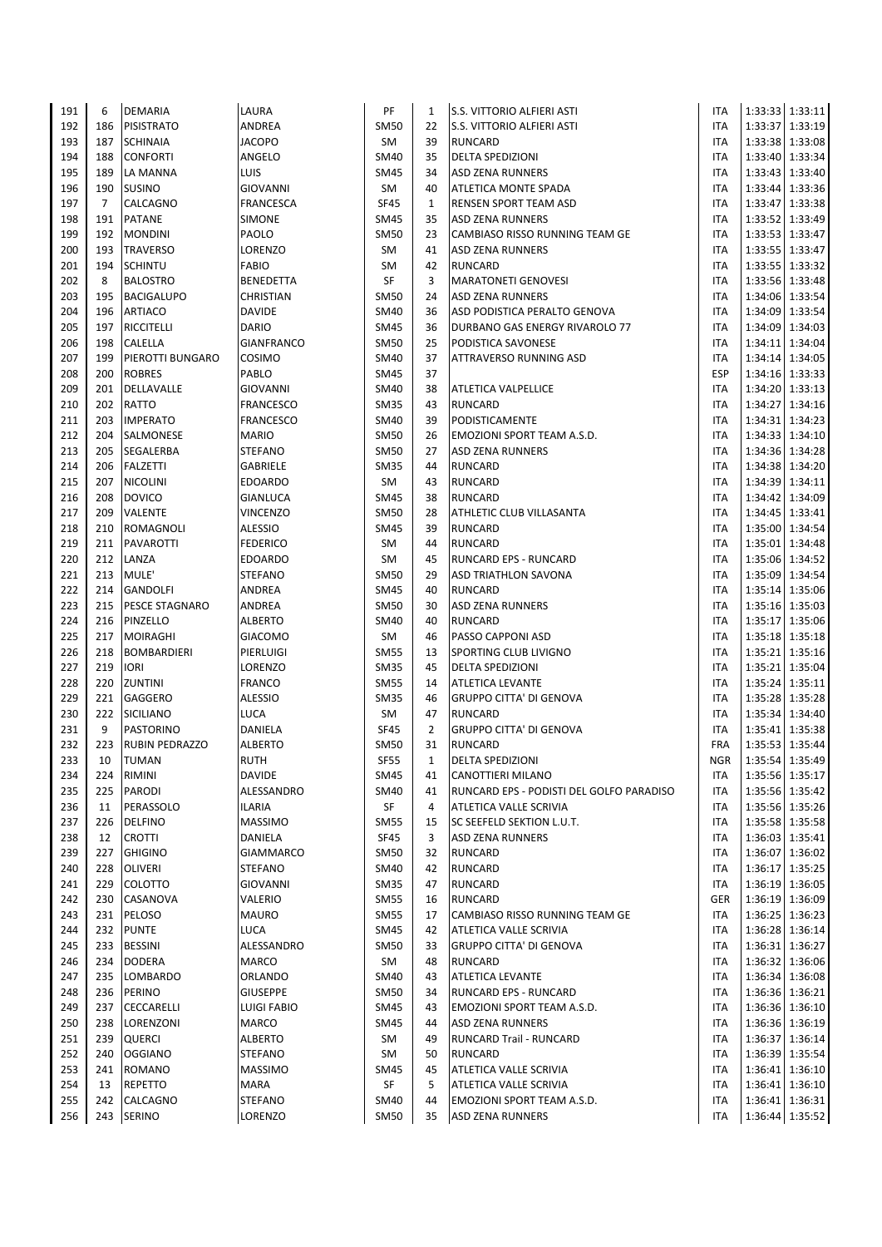| 191        | 6              | <b>DEMARIA</b>                      | LAURA                              | PF                         | 1              | <b>S.S. VITTORIO ALFIERI ASTI</b>                       | <b>ITA</b>               |                   | 1:33:33 1:33:11                    |
|------------|----------------|-------------------------------------|------------------------------------|----------------------------|----------------|---------------------------------------------------------|--------------------------|-------------------|------------------------------------|
| 192        | 186            | <b>PISISTRATO</b>                   | ANDREA                             | <b>SM50</b>                | 22             | <b>S.S. VITTORIO ALFIERI ASTI</b>                       | <b>ITA</b>               |                   | 1:33:37 1:33:19                    |
| 193        | 187            | <b>SCHINAIA</b>                     | <b>JACOPO</b>                      | SM                         | 39             | <b>RUNCARD</b>                                          | <b>ITA</b>               |                   | 1:33:38 1:33:08                    |
| 194        | 188            | <b>CONFORTI</b>                     | ANGELO                             | <b>SM40</b>                | 35             | <b>DELTA SPEDIZIONI</b>                                 | <b>ITA</b>               |                   | 1:33:40 1:33:34                    |
| 195        | 189            | LA MANNA                            | LUIS                               | <b>SM45</b>                | 34             | <b>ASD ZENA RUNNERS</b>                                 | <b>ITA</b>               |                   | 1:33:43 1:33:40                    |
| 196        | 190            | <b>SUSINO</b>                       | <b>GIOVANNI</b>                    | SM                         | 40             | ATLETICA MONTE SPADA                                    | <b>ITA</b>               |                   | 1:33:44 1:33:36                    |
| 197        | $\overline{7}$ | CALCAGNO                            | <b>FRANCESCA</b>                   | <b>SF45</b>                | $\mathbf{1}$   | <b>RENSEN SPORT TEAM ASD</b>                            | <b>ITA</b>               | 1:33:47           | 1:33:38                            |
| 198        | 191            | <b>PATANE</b>                       | <b>SIMONE</b>                      | <b>SM45</b>                | 35             | <b>ASD ZENA RUNNERS</b>                                 | <b>ITA</b>               |                   | 1:33:52 1:33:49                    |
| 199        | 192            | <b>MONDINI</b>                      | PAOLO                              | <b>SM50</b>                | 23             | CAMBIASO RISSO RUNNING TEAM GE                          | <b>ITA</b>               |                   | 1:33:53 1:33:47                    |
| 200        | 193            | <b>TRAVERSO</b>                     | LORENZO                            | SM                         | 41             | <b>ASD ZENA RUNNERS</b>                                 | <b>ITA</b>               |                   | 1:33:55 1:33:47                    |
| 201        | 194            | <b>SCHINTU</b>                      | <b>FABIO</b>                       | <b>SM</b>                  | 42             | <b>RUNCARD</b>                                          | <b>ITA</b>               | 1:33:55   1:33:32 |                                    |
| 202        | 8              | <b>BALOSTRO</b>                     | <b>BENEDETTA</b>                   | SF                         | 3              | <b>MARATONETI GENOVESI</b>                              | <b>ITA</b>               |                   | 1:33:56   1:33:48                  |
| 203<br>204 | 195<br>196     | <b>BACIGALUPO</b><br><b>ARTIACO</b> | CHRISTIAN<br><b>DAVIDE</b>         | <b>SM50</b><br><b>SM40</b> | 24<br>36       | <b>ASD ZENA RUNNERS</b><br>ASD PODISTICA PERALTO GENOVA | <b>ITA</b><br><b>ITA</b> |                   | 1:34:06 1:33:54<br>1:34:09 1:33:54 |
| 205        | 197            | RICCITELLI                          | <b>DARIO</b>                       | <b>SM45</b>                | 36             | DURBANO GAS ENERGY RIVAROLO 77                          | <b>ITA</b>               | 1:34:09 1:34:03   |                                    |
| 206        | 198            | CALELLA                             | <b>GIANFRANCO</b>                  | <b>SM50</b>                | 25             | PODISTICA SAVONESE                                      | <b>ITA</b>               |                   | 1:34:11 1:34:04                    |
| 207        | 199            | PIEROTTI BUNGARO                    | COSIMO                             | <b>SM40</b>                | 37             | ATTRAVERSO RUNNING ASD                                  | <b>ITA</b>               | 1:34:14 1:34:05   |                                    |
| 208        | 200            | <b>ROBRES</b>                       | PABLO                              | <b>SM45</b>                | 37             |                                                         | <b>ESP</b>               |                   | 1:34:16 1:33:33                    |
| 209        | 201            | DELLAVALLE                          | <b>GIOVANNI</b>                    | <b>SM40</b>                | 38             | <b>ATLETICA VALPELLICE</b>                              | <b>ITA</b>               | 1:34:20 1:33:13   |                                    |
| 210        | 202            | RATTO                               | <b>FRANCESCO</b>                   | <b>SM35</b>                | 43             | <b>RUNCARD</b>                                          | <b>ITA</b>               |                   | 1:34:27 1:34:16                    |
| 211        | 203            | <b>IMPERATO</b>                     | <b>FRANCESCO</b>                   | <b>SM40</b>                | 39             | <b>PODISTICAMENTE</b>                                   | <b>ITA</b>               |                   | 1:34:31 1:34:23                    |
| 212        | 204            | SALMONESE                           | <b>MARIO</b>                       | <b>SM50</b>                | 26             | EMOZIONI SPORT TEAM A.S.D.                              | <b>ITA</b>               |                   | 1:34:33 1:34:10                    |
| 213        | 205            | SEGALERBA                           | <b>STEFANO</b>                     | <b>SM50</b>                | 27             | <b>ASD ZENA RUNNERS</b>                                 | <b>ITA</b>               |                   | 1:34:36 1:34:28                    |
| 214        | 206            | <b>FALZETTI</b>                     | <b>GABRIELE</b>                    | <b>SM35</b>                | 44             | <b>RUNCARD</b>                                          | <b>ITA</b>               |                   | 1:34:38 1:34:20                    |
| 215        | 207            | <b>NICOLINI</b>                     | <b>EDOARDO</b>                     | SM                         | 43             | <b>RUNCARD</b>                                          | <b>ITA</b>               |                   | 1:34:39 1:34:11                    |
| 216        | 208            | <b>DOVICO</b>                       | <b>GIANLUCA</b>                    | <b>SM45</b>                | 38             | <b>RUNCARD</b>                                          | <b>ITA</b>               |                   | 1:34:42 1:34:09                    |
| 217        | 209            | VALENTE                             | <b>VINCENZO</b>                    | <b>SM50</b>                | 28             | ATHLETIC CLUB VILLASANTA                                | <b>ITA</b>               |                   | 1:34:45 1:33:41                    |
| 218        | 210            | <b>ROMAGNOLI</b>                    | <b>ALESSIO</b>                     | <b>SM45</b>                | 39             | <b>RUNCARD</b>                                          | <b>ITA</b>               |                   | 1:35:00 1:34:54                    |
| 219        | 211            | PAVAROTTI                           | <b>FEDERICO</b>                    | <b>SM</b>                  | 44             | <b>RUNCARD</b>                                          | <b>ITA</b>               |                   | 1:35:01 1:34:48                    |
| 220        | 212            | LANZA                               | <b>EDOARDO</b>                     | <b>SM</b>                  | 45             | RUNCARD EPS - RUNCARD                                   | <b>ITA</b>               |                   | 1:35:06 1:34:52                    |
| 221<br>222 | 213<br>214     | MULE'<br><b>GANDOLFI</b>            | <b>STEFANO</b><br>ANDREA           | <b>SM50</b><br><b>SM45</b> | 29<br>40       | <b>ASD TRIATHLON SAVONA</b><br><b>RUNCARD</b>           | <b>ITA</b><br><b>ITA</b> |                   | 1:35:09 1:34:54                    |
| 223        | 215            | PESCE STAGNARO                      | ANDREA                             | <b>SM50</b>                | 30             | <b>ASD ZENA RUNNERS</b>                                 | <b>ITA</b>               |                   | 1:35:14 1:35:06<br>1:35:16 1:35:03 |
| 224        | 216            | PINZELLO                            | <b>ALBERTO</b>                     | <b>SM40</b>                | 40             | <b>RUNCARD</b>                                          | <b>ITA</b>               | 1:35:17           | 1:35:06                            |
| 225        | 217            | <b>MOIRAGHI</b>                     | <b>GIACOMO</b>                     | SM                         | 46             | PASSO CAPPONI ASD                                       | <b>ITA</b>               |                   | 1:35:18 1:35:18                    |
| 226        | 218            | <b>BOMBARDIERI</b>                  | PIERLUIGI                          | <b>SM55</b>                | 13             | SPORTING CLUB LIVIGNO                                   | <b>ITA</b>               |                   | 1:35:21   1:35:16                  |
| 227        | 219            | <b>IORI</b>                         | LORENZO                            | <b>SM35</b>                | 45             | <b>DELTA SPEDIZIONI</b>                                 | <b>ITA</b>               |                   | 1:35:21 1:35:04                    |
| 228        | 220            | ZUNTINI                             | <b>FRANCO</b>                      | <b>SM55</b>                | 14             | <b>ATLETICA LEVANTE</b>                                 | <b>ITA</b>               | 1:35:24 1:35:11   |                                    |
| 229        | 221            | GAGGERO                             | <b>ALESSIO</b>                     | <b>SM35</b>                | 46             | <b>GRUPPO CITTA' DI GENOVA</b>                          | <b>ITA</b>               |                   | 1:35:28 1:35:28                    |
| 230        | 222            | <b>SICILIANO</b>                    | LUCA                               | SM                         | 47             | <b>RUNCARD</b>                                          | <b>ITA</b>               |                   | 1:35:34 1:34:40                    |
| 231        | 9              | PASTORINO                           | DANIELA                            | <b>SF45</b>                | $\overline{2}$ | <b>GRUPPO CITTA' DI GENOVA</b>                          | <b>ITA</b>               |                   | 1:35:41 1:35:38                    |
| 232        | 223            | <b>RUBIN PEDRAZZO</b>               | <b>ALBERTO</b>                     | <b>SM50</b>                | 31             | <b>RUNCARD</b>                                          | <b>FRA</b>               |                   | 1:35:53 1:35:44                    |
| 233        | 10             | <b>TUMAN</b>                        | <b>RUTH</b>                        | <b>SF55</b>                | $\mathbf{1}$   | <b>DELTA SPEDIZIONI</b>                                 | <b>NGR</b>               |                   | 1:35:54 1:35:49                    |
| 234        | 224            | RIMINI                              | <b>DAVIDE</b>                      | <b>SM45</b>                | 41             | <b>CANOTTIERI MILANO</b>                                | <b>ITA</b>               |                   | 1:35:56 1:35:17                    |
| 235        | 225            | PARODI                              | ALESSANDRO                         | <b>SM40</b>                | 41             | RUNCARD EPS - PODISTI DEL GOLFO PARADISO                | <b>ITA</b>               |                   | 1:35:56 1:35:42                    |
| 236        | 11             | PERASSOLO                           | <b>ILARIA</b>                      | SF                         | 4              | ATLETICA VALLE SCRIVIA                                  | <b>ITA</b>               |                   | 1:35:56 1:35:26                    |
| 237        | 226            | <b>DELFINO</b>                      | <b>MASSIMO</b>                     | <b>SM55</b>                | 15             | SC SEEFELD SEKTION L.U.T.                               | <b>ITA</b>               |                   | 1:35:58 1:35:58                    |
| 238        | 12             | <b>CROTTI</b>                       | <b>DANIELA</b>                     | <b>SF45</b>                | 3              | <b>ASD ZENA RUNNERS</b>                                 | <b>ITA</b>               |                   | 1:36:03 1:35:41                    |
| 239<br>240 | 227<br>228     | <b>GHIGINO</b><br>OLIVERI           | <b>GIAMMARCO</b><br><b>STEFANO</b> | <b>SM50</b><br><b>SM40</b> | 32<br>42       | <b>RUNCARD</b><br><b>RUNCARD</b>                        | <b>ITA</b><br>ITA        |                   | 1:36:07 1:36:02<br>1:36:17 1:35:25 |
| 241        | 229            | COLOTTO                             | <b>GIOVANNI</b>                    | <b>SM35</b>                | 47             | <b>RUNCARD</b>                                          | <b>ITA</b>               |                   | 1:36:19 1:36:05                    |
| 242        | 230            | CASANOVA                            | VALERIO                            | <b>SM55</b>                | 16             | <b>RUNCARD</b>                                          | <b>GER</b>               |                   | 1:36:19 1:36:09                    |
| 243        | 231            | PELOSO                              | <b>MAURO</b>                       | <b>SM55</b>                | 17             | CAMBIASO RISSO RUNNING TEAM GE                          | <b>ITA</b>               |                   | 1:36:25 1:36:23                    |
| 244        | 232            | <b>PUNTE</b>                        | LUCA                               | <b>SM45</b>                | 42             | <b>ATLETICA VALLE SCRIVIA</b>                           | <b>ITA</b>               |                   | 1:36:28 1:36:14                    |
| 245        | 233            | <b>BESSINI</b>                      | ALESSANDRO                         | <b>SM50</b>                | 33             | <b>GRUPPO CITTA' DI GENOVA</b>                          | <b>ITA</b>               |                   | 1:36:31 1:36:27                    |
| 246        | 234            | <b>DODERA</b>                       | <b>MARCO</b>                       | SM                         | 48             | <b>RUNCARD</b>                                          | <b>ITA</b>               |                   | 1:36:32 1:36:06                    |
| 247        | 235            | LOMBARDO                            | ORLANDO                            | <b>SM40</b>                | 43             | <b>ATLETICA LEVANTE</b>                                 | ITA                      |                   | 1:36:34 1:36:08                    |
| 248        | 236            | PERINO                              | <b>GIUSEPPE</b>                    | <b>SM50</b>                | 34             | <b>RUNCARD EPS - RUNCARD</b>                            | ITA                      |                   | 1:36:36 1:36:21                    |
| 249        | 237            | CECCARELLI                          | <b>LUIGI FABIO</b>                 | <b>SM45</b>                | 43             | EMOZIONI SPORT TEAM A.S.D.                              | ITA                      |                   | 1:36:36 1:36:10                    |
| 250        | 238            | LORENZONI                           | MARCO                              | <b>SM45</b>                | 44             | <b>ASD ZENA RUNNERS</b>                                 | <b>ITA</b>               |                   | 1:36:36 1:36:19                    |
| 251        | 239            | QUERCI                              | <b>ALBERTO</b>                     | SM                         | 49             | RUNCARD Trail - RUNCARD                                 | <b>ITA</b>               | 1:36:37           | 1:36:14                            |
| 252        | 240            | <b>OGGIANO</b>                      | <b>STEFANO</b>                     | SM                         | 50             | <b>RUNCARD</b>                                          | <b>ITA</b>               |                   | 1:36:39 1:35:54                    |
| 253        | 241            | ROMANO                              | <b>MASSIMO</b>                     | <b>SM45</b>                | 45             | ATLETICA VALLE SCRIVIA                                  | <b>ITA</b>               |                   | 1:36:41 1:36:10                    |
| 254<br>255 | 13<br>242      | REPETTO<br>CALCAGNO                 | <b>MARA</b><br><b>STEFANO</b>      | SF<br>SM40                 | 5<br>44        | ATLETICA VALLE SCRIVIA<br>EMOZIONI SPORT TEAM A.S.D.    | <b>ITA</b><br><b>ITA</b> |                   | 1:36:41 1:36:10<br>1:36:41 1:36:31 |
| 256        | 243            | <b>SERINO</b>                       | LORENZO                            | <b>SM50</b>                | 35             | <b>ASD ZENA RUNNERS</b>                                 | ITA                      |                   | 1:36:44 1:35:52                    |
|            |                |                                     |                                    |                            |                |                                                         |                          |                   |                                    |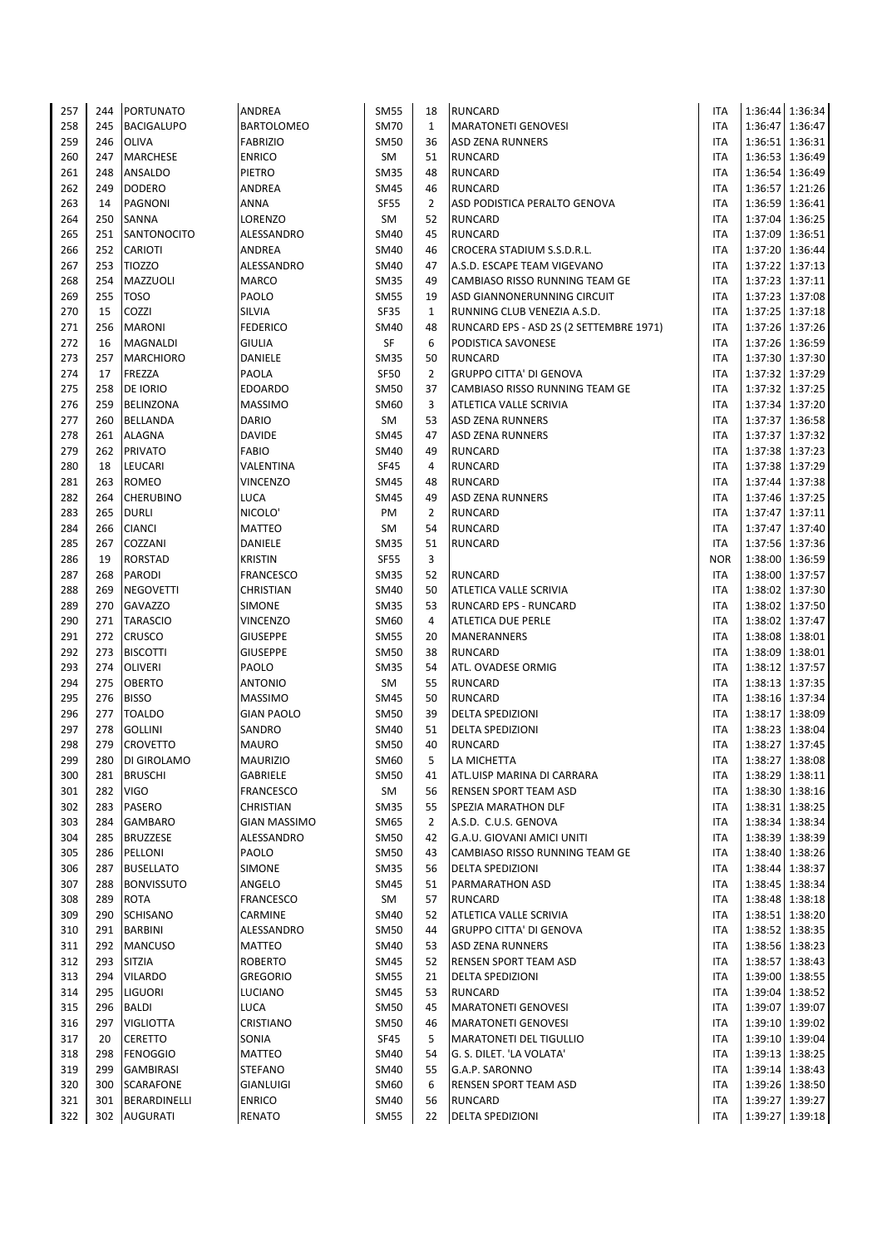| 257 | 244 | PORTUNATO         | ANDREA              | <b>SM55</b> | 18             | <b>RUNCARD</b>                                                         | <b>ITA</b> |                 | 1:36:44 1:36:34 |
|-----|-----|-------------------|---------------------|-------------|----------------|------------------------------------------------------------------------|------------|-----------------|-----------------|
| 258 | 245 | <b>BACIGALUPO</b> | <b>BARTOLOMEO</b>   | <b>SM70</b> | $\mathbf{1}$   | <b>MARATONETI GENOVESI</b>                                             | <b>ITA</b> |                 | 1:36:47 1:36:47 |
| 259 | 246 | OLIVA             | <b>FABRIZIO</b>     | <b>SM50</b> | 36             | <b>ASD ZENA RUNNERS</b>                                                | <b>ITA</b> |                 | 1:36:51 1:36:31 |
| 260 | 247 | <b>MARCHESE</b>   | <b>ENRICO</b>       | SM          | 51             | <b>RUNCARD</b>                                                         | <b>ITA</b> |                 | 1:36:53 1:36:49 |
| 261 | 248 | ANSALDO           | PIETRO              | <b>SM35</b> | 48             | <b>RUNCARD</b>                                                         | <b>ITA</b> |                 | 1:36:54 1:36:49 |
| 262 | 249 | <b>DODERO</b>     | ANDREA              | <b>SM45</b> | 46             | <b>RUNCARD</b>                                                         | <b>ITA</b> |                 | 1:36:57 1:21:26 |
| 263 | 14  | <b>PAGNONI</b>    | <b>ANNA</b>         | <b>SF55</b> | $\overline{2}$ | ASD PODISTICA PERALTO GENOVA                                           | <b>ITA</b> | 1:36:59 1:36:41 |                 |
| 264 | 250 | SANNA             | LORENZO             | SM          | 52             | <b>RUNCARD</b>                                                         | <b>ITA</b> |                 | 1:37:04 1:36:25 |
| 265 | 251 | SANTONOCITO       | ALESSANDRO          | <b>SM40</b> | 45             | <b>RUNCARD</b>                                                         | <b>ITA</b> |                 | 1:37:09 1:36:51 |
| 266 | 252 | CARIOTI           | <b>ANDREA</b>       | <b>SM40</b> | 46             | CROCERA STADIUM S.S.D.R.L.                                             | <b>ITA</b> |                 | 1:37:20 1:36:44 |
| 267 | 253 | <b>TIOZZO</b>     | ALESSANDRO          | <b>SM40</b> | 47             | A.S.D. ESCAPE TEAM VIGEVANO                                            | <b>ITA</b> |                 | 1:37:22 1:37:13 |
| 268 | 254 | MAZZUOLI          | <b>MARCO</b>        | <b>SM35</b> | 49             | CAMBIASO RISSO RUNNING TEAM GE                                         | <b>ITA</b> | 1:37:23 1:37:11 |                 |
| 269 | 255 | <b>TOSO</b>       | PAOLO               | <b>SM55</b> | 19             | ASD GIANNONERUNNING CIRCUIT                                            | <b>ITA</b> |                 | 1:37:23 1:37:08 |
| 270 | 15  | COZZI             | SILVIA              | SF35        | $\mathbf{1}$   |                                                                        | <b>ITA</b> |                 | 1:37:25 1:37:18 |
|     | 256 | <b>MARONI</b>     | <b>FEDERICO</b>     | <b>SM40</b> | 48             | RUNNING CLUB VENEZIA A.S.D.<br>RUNCARD EPS - ASD 2S (2 SETTEMBRE 1971) | <b>ITA</b> |                 |                 |
| 271 |     |                   |                     |             |                |                                                                        |            |                 | 1:37:26 1:37:26 |
| 272 | 16  | <b>MAGNALDI</b>   | <b>GIULIA</b>       | SF          | 6              | PODISTICA SAVONESE                                                     | <b>ITA</b> |                 | 1:37:26 1:36:59 |
| 273 | 257 | <b>MARCHIORO</b>  | DANIELE             | <b>SM35</b> | 50             | <b>RUNCARD</b>                                                         | <b>ITA</b> |                 | 1:37:30 1:37:30 |
| 274 | 17  | FREZZA            | PAOLA               | <b>SF50</b> | $\overline{2}$ | <b>GRUPPO CITTA' DI GENOVA</b>                                         | <b>ITA</b> |                 | 1:37:32 1:37:29 |
| 275 | 258 | DE IORIO          | <b>EDOARDO</b>      | <b>SM50</b> | 37             | CAMBIASO RISSO RUNNING TEAM GE                                         | <b>ITA</b> |                 | 1:37:32 1:37:25 |
| 276 | 259 | BELINZONA         | <b>MASSIMO</b>      | <b>SM60</b> | 3              | ATLETICA VALLE SCRIVIA                                                 | <b>ITA</b> |                 | 1:37:34 1:37:20 |
| 277 | 260 | <b>BELLANDA</b>   | <b>DARIO</b>        | SM          | 53             | <b>ASD ZENA RUNNERS</b>                                                | <b>ITA</b> |                 | 1:37:37 1:36:58 |
| 278 | 261 | <b>ALAGNA</b>     | <b>DAVIDE</b>       | <b>SM45</b> | 47             | <b>ASD ZENA RUNNERS</b>                                                | <b>ITA</b> | 1:37:37 1:37:32 |                 |
| 279 | 262 | <b>PRIVATO</b>    | <b>FABIO</b>        | <b>SM40</b> | 49             | <b>RUNCARD</b>                                                         | <b>ITA</b> |                 | 1:37:38 1:37:23 |
| 280 | 18  | LEUCARI           | VALENTINA           | <b>SF45</b> | $\overline{4}$ | <b>RUNCARD</b>                                                         | <b>ITA</b> |                 | 1:37:38 1:37:29 |
| 281 | 263 | <b>ROMEO</b>      | <b>VINCENZO</b>     | <b>SM45</b> | 48             | <b>RUNCARD</b>                                                         | <b>ITA</b> |                 | 1:37:44 1:37:38 |
| 282 | 264 | <b>CHERUBINO</b>  | LUCA                | <b>SM45</b> | 49             | <b>ASD ZENA RUNNERS</b>                                                | <b>ITA</b> |                 | 1:37:46 1:37:25 |
| 283 | 265 | <b>DURLI</b>      | NICOLO <sup>'</sup> | PM          | $\overline{2}$ | <b>RUNCARD</b>                                                         | <b>ITA</b> |                 | 1:37:47 1:37:11 |
| 284 | 266 | <b>CIANCI</b>     | <b>MATTEO</b>       | <b>SM</b>   | 54             | <b>RUNCARD</b>                                                         | <b>ITA</b> |                 | 1:37:47 1:37:40 |
| 285 | 267 | COZZANI           | DANIELE             | <b>SM35</b> | 51             | <b>RUNCARD</b>                                                         | <b>ITA</b> |                 | 1:37:56 1:37:36 |
| 286 | 19  | <b>RORSTAD</b>    | <b>KRISTIN</b>      | <b>SF55</b> | 3              |                                                                        | <b>NOR</b> |                 | 1:38:00 1:36:59 |
| 287 | 268 | PARODI            | <b>FRANCESCO</b>    | <b>SM35</b> | 52             | <b>RUNCARD</b>                                                         | <b>ITA</b> |                 | 1:38:00 1:37:57 |
| 288 | 269 | <b>NEGOVETTI</b>  | CHRISTIAN           | <b>SM40</b> | 50             | <b>ATLETICA VALLE SCRIVIA</b>                                          | <b>ITA</b> |                 | 1:38:02 1:37:30 |
| 289 | 270 | <b>GAVAZZO</b>    | <b>SIMONE</b>       | <b>SM35</b> | 53             | <b>RUNCARD EPS - RUNCARD</b>                                           | <b>ITA</b> |                 | 1:38:02 1:37:50 |
| 290 | 271 | <b>TARASCIO</b>   | <b>VINCENZO</b>     | <b>SM60</b> | $\overline{4}$ | <b>ATLETICA DUE PERLE</b>                                              | <b>ITA</b> |                 | 1:38:02 1:37:47 |
| 291 | 272 | CRUSCO            | <b>GIUSEPPE</b>     | <b>SM55</b> | 20             | MANERANNERS                                                            | <b>ITA</b> | 1:38:08 1:38:01 |                 |
| 292 | 273 | <b>BISCOTTI</b>   | <b>GIUSEPPE</b>     | <b>SM50</b> | 38             | <b>RUNCARD</b>                                                         | <b>ITA</b> |                 | 1:38:09 1:38:01 |
| 293 | 274 | <b>OLIVERI</b>    | PAOLO               | <b>SM35</b> | 54             | ATL. OVADESE ORMIG                                                     | <b>ITA</b> |                 | 1:38:12 1:37:57 |
| 294 | 275 | OBERTO            | <b>ANTONIO</b>      | SM          | 55             | <b>RUNCARD</b>                                                         | <b>ITA</b> |                 | 1:38:13 1:37:35 |
| 295 | 276 | <b>BISSO</b>      | <b>MASSIMO</b>      | <b>SM45</b> | 50             | <b>RUNCARD</b>                                                         | <b>ITA</b> |                 | 1:38:16 1:37:34 |
| 296 | 277 | <b>TOALDO</b>     | <b>GIAN PAOLO</b>   | <b>SM50</b> | 39             | <b>DELTA SPEDIZIONI</b>                                                | <b>ITA</b> |                 | 1:38:17 1:38:09 |
| 297 | 278 | <b>GOLLINI</b>    | SANDRO              | <b>SM40</b> | 51             | <b>DELTA SPEDIZIONI</b>                                                | <b>ITA</b> |                 | 1:38:23 1:38:04 |
| 298 | 279 | <b>CROVETTO</b>   | <b>MAURO</b>        | <b>SM50</b> | 40             | <b>RUNCARD</b>                                                         | ITA        |                 | 1:38:27 1:37:45 |
| 299 | 280 | DI GIROLAMO       | <b>MAURIZIO</b>     | <b>SM60</b> | 5              | LA MICHETTA                                                            | <b>ITA</b> |                 | 1:38:27 1:38:08 |
| 300 | 281 | <b>BRUSCHI</b>    | GABRIELE            | <b>SM50</b> | 41             | ATL.UISP MARINA DI CARRARA                                             | <b>ITA</b> |                 | 1:38:29 1:38:11 |
| 301 | 282 | <b>VIGO</b>       | <b>FRANCESCO</b>    | SM          | 56             | <b>RENSEN SPORT TEAM ASD</b>                                           | <b>ITA</b> |                 | 1:38:30 1:38:16 |
| 302 | 283 | PASERO            | CHRISTIAN           | <b>SM35</b> | 55             | SPEZIA MARATHON DLF                                                    | ITA        |                 | 1:38:31 1:38:25 |
| 303 | 284 | GAMBARO           | <b>GIAN MASSIMO</b> | <b>SM65</b> | $\overline{2}$ | A.S.D. C.U.S. GENOVA                                                   | <b>ITA</b> |                 | 1:38:34 1:38:34 |
| 304 | 285 | <b>BRUZZESE</b>   | ALESSANDRO          | <b>SM50</b> | 42             | G.A.U. GIOVANI AMICI UNITI                                             | <b>ITA</b> |                 | 1:38:39 1:38:39 |
| 305 | 286 | PELLONI           | PAOLO               | <b>SM50</b> | 43             | CAMBIASO RISSO RUNNING TEAM GE                                         | ITA        |                 | 1:38:40 1:38:26 |
| 306 | 287 | <b>BUSELLATO</b>  | <b>SIMONE</b>       | <b>SM35</b> | 56             | <b>DELTA SPEDIZIONI</b>                                                | <b>ITA</b> |                 | 1:38:44 1:38:37 |
| 307 | 288 | <b>BONVISSUTO</b> | ANGELO              | <b>SM45</b> | 51             | <b>PARMARATHON ASD</b>                                                 | ITA        |                 | 1:38:45 1:38:34 |
|     | 289 | <b>ROTA</b>       |                     |             | 57             |                                                                        |            |                 | 1:38:48 1:38:18 |
| 308 |     |                   | <b>FRANCESCO</b>    | SM          |                | <b>RUNCARD</b>                                                         | <b>ITA</b> |                 |                 |
| 309 | 290 | SCHISANO          | CARMINE             | <b>SM40</b> | 52             | ATLETICA VALLE SCRIVIA                                                 | ITA        |                 | 1:38:51 1:38:20 |
| 310 | 291 | <b>BARBINI</b>    | ALESSANDRO          | <b>SM50</b> | 44             | <b>GRUPPO CITTA' DI GENOVA</b>                                         | <b>ITA</b> |                 | 1:38:52 1:38:35 |
| 311 | 292 | <b>MANCUSO</b>    | MATTEO              | <b>SM40</b> | 53             | <b>ASD ZENA RUNNERS</b>                                                | ITA        |                 | 1:38:56 1:38:23 |
| 312 | 293 | SITZIA            | ROBERTO             | <b>SM45</b> | 52             | RENSEN SPORT TEAM ASD                                                  | <b>ITA</b> |                 | 1:38:57 1:38:43 |
| 313 | 294 | VILARDO           | <b>GREGORIO</b>     | <b>SM55</b> | 21             | <b>DELTA SPEDIZIONI</b>                                                | <b>ITA</b> |                 | 1:39:00 1:38:55 |
| 314 | 295 | LIGUORI           | LUCIANO             | <b>SM45</b> | 53             | <b>RUNCARD</b>                                                         | <b>ITA</b> |                 | 1:39:04 1:38:52 |
| 315 | 296 | BALDI             | <b>LUCA</b>         | <b>SM50</b> | 45             | <b>MARATONETI GENOVESI</b>                                             | <b>ITA</b> |                 | 1:39:07 1:39:07 |
| 316 | 297 | VIGLIOTTA         | CRISTIANO           | <b>SM50</b> | 46             | <b>MARATONETI GENOVESI</b>                                             | <b>ITA</b> |                 | 1:39:10 1:39:02 |
| 317 | 20  | CERETTO           | SONIA               | <b>SF45</b> | 5              | <b>MARATONETI DEL TIGULLIO</b>                                         | <b>ITA</b> |                 | 1:39:10 1:39:04 |
| 318 | 298 | <b>FENOGGIO</b>   | MATTEO              | <b>SM40</b> | 54             | G. S. DILET. 'LA VOLATA'                                               | <b>ITA</b> |                 | 1:39:13 1:38:25 |
| 319 | 299 | GAMBIRASI         | <b>STEFANO</b>      | <b>SM40</b> | 55             | G.A.P. SARONNO                                                         | <b>ITA</b> |                 | 1:39:14 1:38:43 |
| 320 | 300 | SCARAFONE         | <b>GIANLUIGI</b>    | SM60        | 6              | <b>RENSEN SPORT TEAM ASD</b>                                           | <b>ITA</b> |                 | 1:39:26 1:38:50 |
| 321 | 301 | BERARDINELLI      | <b>ENRICO</b>       | SM40        | 56             | <b>RUNCARD</b>                                                         | ITA        |                 | 1:39:27 1:39:27 |
| 322 | 302 | <b>AUGURATI</b>   | RENATO              | <b>SM55</b> | 22             | <b>DELTA SPEDIZIONI</b>                                                | ITA        |                 | 1:39:27 1:39:18 |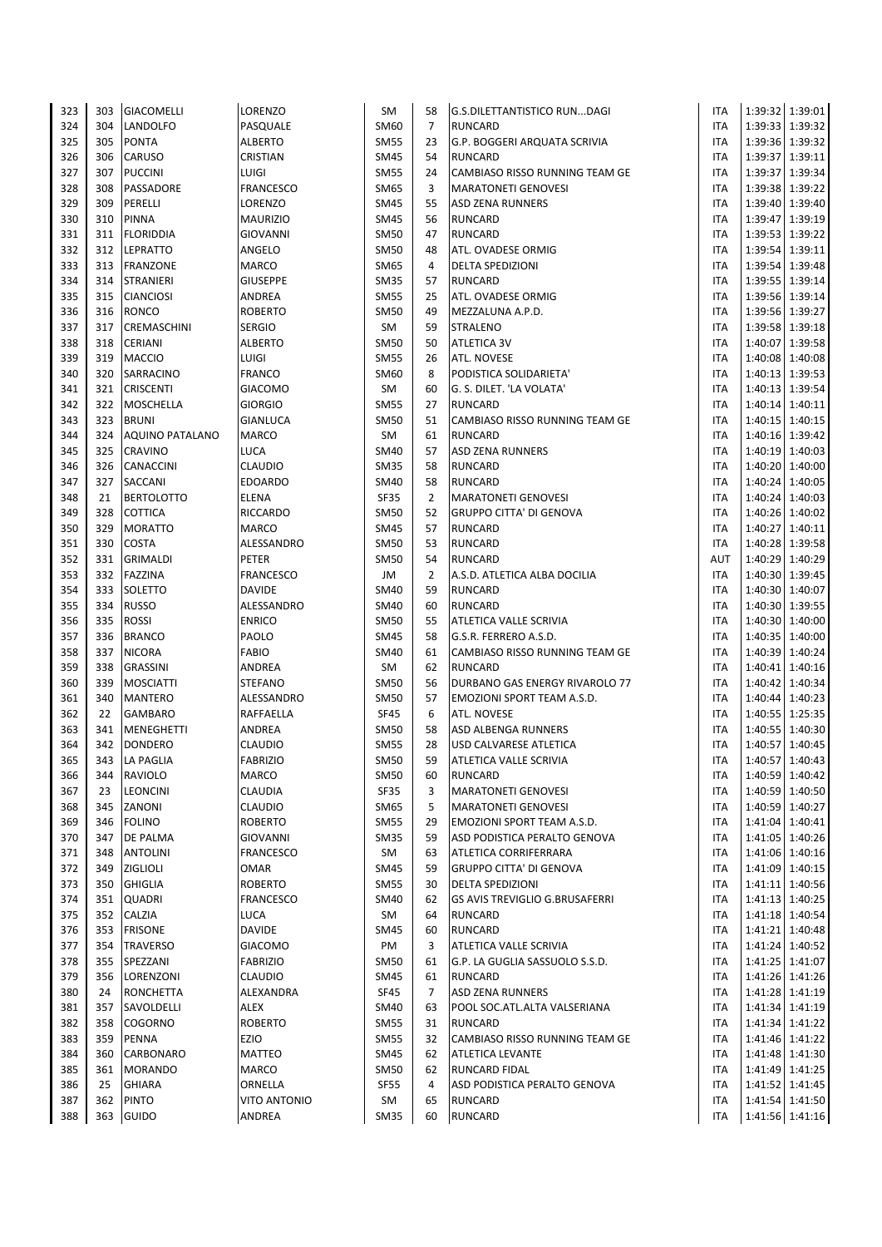| 323        | 303        | <b>GIACOMELLI</b>               | LORENZO                         | SM                         | 58             | G.S.DILETTANTISTICO RUNDAGI                        | ITA                      |                 | 1:39:32 1:39:01                    |
|------------|------------|---------------------------------|---------------------------------|----------------------------|----------------|----------------------------------------------------|--------------------------|-----------------|------------------------------------|
| 324        | 304        | LANDOLFO                        | PASQUALE                        | SM60                       | $\overline{7}$ | <b>RUNCARD</b>                                     | <b>ITA</b>               |                 | 1:39:33 1:39:32                    |
| 325        | 305        | <b>PONTA</b>                    | <b>ALBERTO</b>                  | <b>SM55</b>                | 23             | G.P. BOGGERI ARQUATA SCRIVIA                       | ITA                      |                 | 1:39:36 1:39:32                    |
| 326        | 306        | CARUSO                          | <b>CRISTIAN</b>                 | SM45                       | 54             | <b>RUNCARD</b>                                     | ITA                      |                 | 1:39:37 1:39:11                    |
| 327        | 307        | <b>PUCCINI</b>                  | LUIGI                           | SM55                       | 24             | CAMBIASO RISSO RUNNING TEAM GE                     | <b>ITA</b>               |                 | 1:39:37 1:39:34                    |
| 328        | 308        | PASSADORE                       | <b>FRANCESCO</b>                | SM65                       | 3              | <b>MARATONETI GENOVESI</b>                         | ITA                      |                 | 1:39:38 1:39:22                    |
| 329        | 309        | PERELLI                         | LORENZO                         | SM45                       | 55             | <b>ASD ZENA RUNNERS</b>                            | <b>ITA</b>               |                 | 1:39:40 1:39:40                    |
| 330        | 310        | <b>PINNA</b>                    | <b>MAURIZIO</b>                 | SM45                       | 56             | <b>RUNCARD</b>                                     | ITA                      |                 | 1:39:47 1:39:19                    |
| 331        | 311        | <b>FLORIDDIA</b>                | <b>GIOVANNI</b>                 | <b>SM50</b>                | 47             | <b>RUNCARD</b>                                     | <b>ITA</b>               |                 | 1:39:53 1:39:22                    |
| 332        | 312        | <b>LEPRATTO</b>                 | ANGELO                          | <b>SM50</b>                | 48             | ATL. OVADESE ORMIG                                 | ITA                      | 1:39:54 1:39:11 |                                    |
| 333        | 313        | <b>FRANZONE</b>                 | <b>MARCO</b>                    | SM65                       | 4              | <b>DELTA SPEDIZIONI</b>                            | ITA                      |                 | 1:39:54 1:39:48                    |
| 334        | 314        | <b>STRANIERI</b>                | <b>GIUSEPPE</b>                 | <b>SM35</b>                | 57             | <b>RUNCARD</b>                                     | ITA                      |                 | 1:39:55 1:39:14                    |
| 335        | 315        | <b>CIANCIOSI</b>                | ANDREA                          | <b>SM55</b>                | 25             | ATL. OVADESE ORMIG                                 | ITA                      | 1:39:56 1:39:14 |                                    |
| 336        | 316        | <b>RONCO</b>                    | <b>ROBERTO</b>                  | SM50                       | 49             | MEZZALUNA A.P.D.                                   | ITA                      |                 | 1:39:56 1:39:27                    |
| 337        | 317        | <b>CREMASCHINI</b>              | <b>SERGIO</b>                   | SM                         | 59             | <b>STRALENO</b>                                    | ITA                      |                 | 1:39:58 1:39:18                    |
| 338        | 318        | <b>CERIANI</b>                  | <b>ALBERTO</b>                  | SM50                       | 50             | <b>ATLETICA 3V</b>                                 | ITA                      | 1:40:07         | 1:39:58                            |
| 339        | 319        | <b>MACCIO</b>                   | <b>LUIGI</b>                    | <b>SM55</b>                | 26             | ATL. NOVESE                                        | <b>ITA</b>               | 1:40:08 1:40:08 |                                    |
| 340<br>341 | 320<br>321 | SARRACINO                       | <b>FRANCO</b><br><b>GIACOMO</b> | SM60                       | 8<br>60        | PODISTICA SOLIDARIETA'<br>G. S. DILET. 'LA VOLATA' | ITA<br>ITA               |                 | 1:40:13 1:39:53<br>1:40:13 1:39:54 |
| 342        | 322        | <b>CRISCENTI</b><br>MOSCHELLA   | <b>GIORGIO</b>                  | SM<br>SM55                 | 27             | <b>RUNCARD</b>                                     | ITA                      |                 | 1:40:14 1:40:11                    |
| 343        | 323        | <b>BRUNI</b>                    | <b>GIANLUCA</b>                 | <b>SM50</b>                | 51             | CAMBIASO RISSO RUNNING TEAM GE                     | ITA                      |                 | 1:40:15 1:40:15                    |
| 344        | 324        | <b>AQUINO PATALANO</b>          | <b>MARCO</b>                    | SM                         | 61             | <b>RUNCARD</b>                                     | ITA                      |                 | 1:40:16 1:39:42                    |
| 345        | 325        | <b>CRAVINO</b>                  | <b>LUCA</b>                     | SM40                       | 57             | <b>ASD ZENA RUNNERS</b>                            | ITA                      |                 | 1:40:19 1:40:03                    |
| 346        | 326        | <b>CANACCINI</b>                | <b>CLAUDIO</b>                  | <b>SM35</b>                | 58             | RUNCARD                                            | ITA                      |                 | 1:40:20 1:40:00                    |
| 347        | 327        | <b>SACCANI</b>                  | <b>EDOARDO</b>                  | SM40                       | 58             | <b>RUNCARD</b>                                     | <b>ITA</b>               | 1:40:24 1:40:05 |                                    |
| 348        | 21         | <b>BERTOLOTTO</b>               | <b>ELENA</b>                    | SF35                       | $\overline{2}$ | <b>MARATONETI GENOVESI</b>                         | ITA                      |                 | 1:40:24 1:40:03                    |
| 349        | 328        | <b>COTTICA</b>                  | RICCARDO                        | SM50                       | 52             | <b>GRUPPO CITTA' DI GENOVA</b>                     | ITA                      | 1:40:26         | 1:40:02                            |
| 350        | 329        | <b>MORATTO</b>                  | MARCO                           | SM45                       | 57             | RUNCARD                                            | ITA                      | 1:40:27         | 1:40:11                            |
| 351        | 330        | <b>COSTA</b>                    | ALESSANDRO                      | SM50                       | 53             | <b>RUNCARD</b>                                     | ITA                      |                 | 1:40:28 1:39:58                    |
| 352        | 331        | <b>GRIMALDI</b>                 | PETER                           | <b>SM50</b>                | 54             | <b>RUNCARD</b>                                     | AUT                      |                 | 1:40:29 1:40:29                    |
| 353        | 332        | <b>FAZZINA</b>                  | <b>FRANCESCO</b>                | JM                         | $\overline{2}$ | A.S.D. ATLETICA ALBA DOCILIA                       | ITA                      |                 | 1:40:30 1:39:45                    |
| 354        | 333        | SOLETTO                         | <b>DAVIDE</b>                   | SM40                       | 59             | <b>RUNCARD</b>                                     | <b>ITA</b>               |                 | 1:40:30 1:40:07                    |
| 355        | 334        | <b>RUSSO</b>                    | ALESSANDRO                      | SM40                       | 60             | <b>RUNCARD</b>                                     | <b>ITA</b>               |                 | 1:40:30 1:39:55                    |
| 356        | 335        | <b>ROSSI</b>                    | <b>ENRICO</b>                   | <b>SM50</b>                | 55             | ATLETICA VALLE SCRIVIA                             | <b>ITA</b>               | 1:40:30         | 1:40:00                            |
| 357        | 336        | <b>BRANCO</b>                   | PAOLO                           | SM45                       | 58             | G.S.R. FERRERO A.S.D.                              | ITA                      | 1:40:35         | 1:40:00                            |
| 358        | 337        | <b>NICORA</b>                   | <b>FABIO</b>                    | SM40                       | 61             | CAMBIASO RISSO RUNNING TEAM GE                     | <b>ITA</b>               | 1:40:39         | 1:40:24                            |
| 359        | 338        | <b>GRASSINI</b>                 | ANDREA                          | SM                         | 62             | <b>RUNCARD</b>                                     | ITA                      |                 | 1:40:41 1:40:16                    |
| 360        | 339        | <b>MOSCIATTI</b>                | <b>STEFANO</b>                  | <b>SM50</b>                | 56             | DURBANO GAS ENERGY RIVAROLO 77                     | ITA                      |                 | 1:40:42 1:40:34                    |
| 361        | 340        | <b>MANTERO</b>                  | ALESSANDRO                      | SM50                       | 57             | EMOZIONI SPORT TEAM A.S.D.                         | ITA                      |                 | 1:40:44 1:40:23                    |
| 362        | 22         | <b>GAMBARO</b>                  | RAFFAELLA                       | <b>SF45</b>                | 6              | ATL. NOVESE                                        | <b>ITA</b>               |                 | 1:40:55 1:25:35                    |
| 363        | 341        | <b>MENEGHETTI</b>               | ANDREA                          | SM50                       | 58             | ASD ALBENGA RUNNERS                                | ITA                      |                 | 1:40:55 1:40:30                    |
| 364        | 342        | <b>DONDERO</b>                  | <b>CLAUDIO</b>                  | <b>SM55</b>                | 28<br>59       | <b>USD CALVARESE ATLETICA</b>                      | <b>ITA</b><br><b>ITA</b> |                 | 1:40:57 1:40:45<br>1:40:57 1:40:43 |
| 365<br>366 | 344        | 343 LA PAGLIA<br><b>RAVIOLO</b> | <b>FABRIZIO</b><br><b>MARCO</b> | <b>SM50</b><br><b>SM50</b> |                | ATLETICA VALLE SCRIVIA<br><b>RUNCARD</b>           |                          |                 | 1:40:59 1:40:42                    |
| 367        | 23         | <b>LEONCINI</b>                 | CLAUDIA                         | SF35                       | 60<br>3        | <b>MARATONETI GENOVESI</b>                         | ITA<br>ITA               |                 | 1:40:59 1:40:50                    |
| 368        | 345        | ZANONI                          | CLAUDIO                         | SM65                       | 5              | <b>MARATONETI GENOVESI</b>                         | ITA                      |                 | 1:40:59 1:40:27                    |
| 369        | 346        | <b>FOLINO</b>                   | <b>ROBERTO</b>                  | SM55                       | 29             | EMOZIONI SPORT TEAM A.S.D.                         | ITA                      |                 | 1:41:04 1:40:41                    |
| 370        | 347        | <b>DE PALMA</b>                 | <b>GIOVANNI</b>                 | <b>SM35</b>                | 59             | ASD PODISTICA PERALTO GENOVA                       | ITA                      |                 | 1:41:05 1:40:26                    |
| 371        | 348        | <b>ANTOLINI</b>                 | <b>FRANCESCO</b>                | SM                         | 63             | ATLETICA CORRIFERRARA                              | ITA                      |                 | 1:41:06 1:40:16                    |
| 372        | 349        | <b>ZIGLIOLI</b>                 | <b>OMAR</b>                     | SM45                       | 59             | <b>GRUPPO CITTA' DI GENOVA</b>                     | ITA                      |                 | 1:41:09 1:40:15                    |
| 373        | 350        | <b>GHIGLIA</b>                  | <b>ROBERTO</b>                  | SM55                       | 30             | DELTA SPEDIZIONI                                   | ITA                      |                 | 1:41:11 1:40:56                    |
| 374        | 351        | <b>QUADRI</b>                   | FRANCESCO                       | SM40                       | 62             | GS AVIS TREVIGLIO G.BRUSAFERRI                     | ITA                      |                 | 1:41:13 1:40:25                    |
| 375        | 352        | CALZIA                          | <b>LUCA</b>                     | SM                         | 64             | <b>RUNCARD</b>                                     | ITA                      |                 | 1:41:18 1:40:54                    |
| 376        | 353        | <b>FRISONE</b>                  | <b>DAVIDE</b>                   | SM45                       | 60             | RUNCARD                                            | ITA                      |                 | 1:41:21 1:40:48                    |
| 377        | 354        | <b>TRAVERSO</b>                 | <b>GIACOMO</b>                  | PM                         | 3              | ATLETICA VALLE SCRIVIA                             | ITA                      |                 | 1:41:24 1:40:52                    |
| 378        | 355        | SPEZZANI                        | <b>FABRIZIO</b>                 | <b>SM50</b>                | 61             | G.P. LA GUGLIA SASSUOLO S.S.D.                     | ITA                      |                 | 1:41:25 1:41:07                    |
| 379        | 356        | LORENZONI                       | CLAUDIO                         | SM45                       | 61             | <b>RUNCARD</b>                                     | ITA                      |                 | 1:41:26 1:41:26                    |
| 380        | 24         | <b>RONCHETTA</b>                | ALEXANDRA                       | SF45                       | 7              | <b>ASD ZENA RUNNERS</b>                            | ITA                      |                 | 1:41:28 1:41:19                    |
| 381        | 357        | SAVOLDELLI                      | ALEX                            | SM40                       | 63             | POOL SOC.ATL.ALTA VALSERIANA                       | <b>ITA</b>               |                 | 1:41:34 1:41:19                    |
| 382        | 358        | <b>COGORNO</b>                  | <b>ROBERTO</b>                  | <b>SM55</b>                | 31             | <b>RUNCARD</b>                                     | ITA                      |                 | 1:41:34 1:41:22                    |
| 383        | 359        | <b>PENNA</b>                    | EZIO                            | SM55                       | 32             | CAMBIASO RISSO RUNNING TEAM GE                     | ITA                      |                 | 1:41:46 1:41:22                    |
| 384        | 360        | CARBONARO                       | MATTEO                          | SM45                       | 62             | <b>ATLETICA LEVANTE</b>                            | ITA                      |                 | 1:41:48 1:41:30                    |
| 385        | 361        | <b>MORANDO</b>                  | MARCO                           | SM50                       | 62             | RUNCARD FIDAL                                      | ITA                      |                 | 1:41:49 1:41:25                    |
| 386        | 25         | <b>GHIARA</b>                   | ORNELLA                         | <b>SF55</b>                | 4              | ASD PODISTICA PERALTO GENOVA                       | ITA                      |                 | 1:41:52 1:41:45                    |
| 387        | 362        | <b>PINTO</b>                    | VITO ANTONIO                    | SM                         | 65             | <b>RUNCARD</b>                                     | <b>ITA</b>               |                 | 1:41:54 1:41:50                    |
| 388        |            | 363 GUIDO                       | ANDREA                          | SM35                       | 60             | <b>RUNCARD</b>                                     | ITA                      |                 | 1:41:56 1:41:16                    |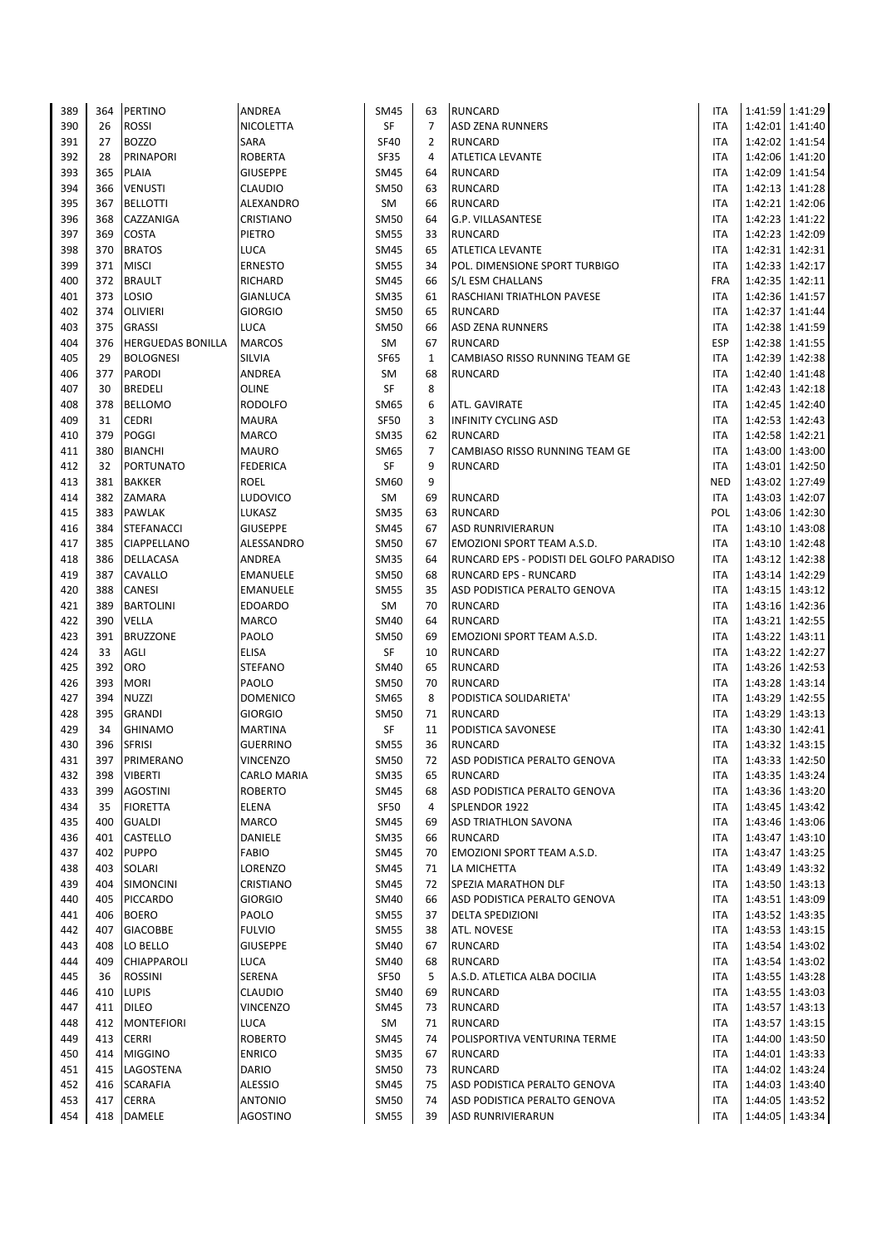| 389        | 364        | PERTINO                                   | <b>ANDREA</b>                      | SM45                | 63             | <b>RUNCARD</b>                                 | ITA               |         | 1:41:59 1:41:29                    |
|------------|------------|-------------------------------------------|------------------------------------|---------------------|----------------|------------------------------------------------|-------------------|---------|------------------------------------|
| 390        | 26         | <b>ROSSI</b>                              | <b>NICOLETTA</b>                   | SF                  | $\overline{7}$ | <b>ASD ZENA RUNNERS</b>                        | <b>ITA</b>        |         | 1:42:01 1:41:40                    |
| 391        | 27         | <b>BOZZO</b>                              | <b>SARA</b>                        | <b>SF40</b>         | $\overline{2}$ | <b>RUNCARD</b>                                 | ITA               |         | 1:42:02 1:41:54                    |
| 392        | 28         | PRINAPORI                                 | <b>ROBERTA</b>                     | SF35                | 4              | <b>ATLETICA LEVANTE</b>                        | ITA               |         | 1:42:06 1:41:20                    |
| 393        | 365        | PLAIA                                     | <b>GIUSEPPE</b>                    | <b>SM45</b>         | 64             | <b>RUNCARD</b>                                 | <b>ITA</b>        |         | 1:42:09 1:41:54                    |
| 394        | 366        | <b>VENUSTI</b>                            | <b>CLAUDIO</b>                     | <b>SM50</b>         | 63             | <b>RUNCARD</b>                                 | ITA               |         | 1:42:13 1:41:28                    |
| 395        | 367        | <b>BELLOTTI</b>                           | ALEXANDRO                          | SM                  | 66             | <b>RUNCARD</b>                                 | <b>ITA</b>        |         | 1:42:21 1:42:06                    |
| 396        | 368        | CAZZANIGA                                 | <b>CRISTIANO</b>                   | SM50                | 64             | G.P. VILLASANTESE                              | ITA               |         | 1:42:23 1:41:22                    |
| 397        | 369        | COSTA                                     | PIETRO                             | <b>SM55</b>         | 33             | <b>RUNCARD</b>                                 | <b>ITA</b>        |         | 1:42:23 1:42:09                    |
| 398        | 370        | <b>BRATOS</b>                             | <b>LUCA</b>                        | <b>SM45</b>         | 65             | <b>ATLETICA LEVANTE</b>                        | ITA               |         | 1:42:31 1:42:31                    |
| 399        | 371        | <b>MISCI</b>                              | <b>ERNESTO</b>                     | <b>SM55</b>         | 34             | POL. DIMENSIONE SPORT TURBIGO                  | <b>ITA</b>        |         | 1:42:33 1:42:17                    |
| 400        | 372        | <b>BRAULT</b>                             | <b>RICHARD</b>                     | <b>SM45</b>         | 66             | S/L ESM CHALLANS                               | <b>FRA</b>        |         | 1:42:35 1:42:11                    |
| 401        | 373        | LOSIO                                     | <b>GIANLUCA</b>                    | <b>SM35</b>         | 61             | RASCHIANI TRIATHLON PAVESE                     | ITA               |         | 1:42:36 1:41:57                    |
| 402        | 374        | <b>OLIVIERI</b>                           | <b>GIORGIO</b>                     | <b>SM50</b>         | 65             | <b>RUNCARD</b>                                 | ITA               |         | 1:42:37 1:41:44                    |
| 403<br>404 | 375<br>376 | <b>GRASSI</b><br><b>HERGUEDAS BONILLA</b> | <b>LUCA</b><br><b>MARCOS</b>       | <b>SM50</b><br>SM   | 66<br>67       | <b>ASD ZENA RUNNERS</b><br>RUNCARD             | ITA<br><b>ESP</b> |         | 1:42:38 1:41:59<br>1:42:38 1:41:55 |
| 405        | 29         | <b>BOLOGNESI</b>                          | <b>SILVIA</b>                      | SF65                | 1              | CAMBIASO RISSO RUNNING TEAM GE                 | ITA               |         | 1:42:39 1:42:38                    |
| 406        | 377        | <b>PARODI</b>                             | ANDREA                             | SM                  | 68             | <b>RUNCARD</b>                                 | <b>ITA</b>        |         | 1:42:40 1:41:48                    |
| 407        | 30         | <b>BREDELI</b>                            | <b>OLINE</b>                       | SF                  | 8              |                                                | ITA               |         | 1:42:43 1:42:18                    |
| 408        | 378        | <b>BELLOMO</b>                            | <b>RODOLFO</b>                     | SM65                | 6              | ATL. GAVIRATE                                  | <b>ITA</b>        |         | 1:42:45   1:42:40                  |
| 409        | 31         | <b>CEDRI</b>                              | <b>MAURA</b>                       | SF50                | 3              | INFINITY CYCLING ASD                           | ITA               |         | 1:42:53 1:42:43                    |
| 410        | 379        | POGGI                                     | <b>MARCO</b>                       | <b>SM35</b>         | 62             | <b>RUNCARD</b>                                 | ITA               |         | 1:42:58 1:42:21                    |
| 411        | 380        | <b>BIANCHI</b>                            | <b>MAURO</b>                       | SM65                | $\overline{7}$ | CAMBIASO RISSO RUNNING TEAM GE                 | ITA               |         | 1:43:00 1:43:00                    |
| 412        | 32         | <b>PORTUNATO</b>                          | <b>FEDERICA</b>                    | SF                  | 9              | <b>RUNCARD</b>                                 | ITA               |         | 1:43:01 1:42:50                    |
| 413        | 381        | <b>BAKKER</b>                             | ROEL                               | SM60                | 9              |                                                | <b>NED</b>        |         | 1:43:02 1:27:49                    |
| 414        | 382        | ZAMARA                                    | <b>LUDOVICO</b>                    | SM                  | 69             | <b>RUNCARD</b>                                 | <b>ITA</b>        |         | 1:43:03 1:42:07                    |
| 415        | 383        | PAWLAK                                    | LUKASZ                             | <b>SM35</b>         | 63             | <b>RUNCARD</b>                                 | POL               |         | 1:43:06 1:42:30                    |
| 416        | 384        | <b>STEFANACCI</b>                         | <b>GIUSEPPE</b>                    | SM45                | 67             | <b>ASD RUNRIVIERARUN</b>                       | ITA               |         | 1:43:10 1:43:08                    |
| 417        | 385        | CIAPPELLANO                               | ALESSANDRO                         | <b>SM50</b>         | 67             | EMOZIONI SPORT TEAM A.S.D.                     | ITA               |         | 1:43:10 1:42:48                    |
| 418        | 386        | DELLACASA                                 | <b>ANDREA</b>                      | <b>SM35</b>         | 64             | RUNCARD EPS - PODISTI DEL GOLFO PARADISO       | ITA               |         | 1:43:12 1:42:38                    |
| 419        | 387        | CAVALLO                                   | <b>EMANUELE</b>                    | <b>SM50</b>         | 68             | <b>RUNCARD EPS - RUNCARD</b>                   | <b>ITA</b>        |         | 1:43:14 1:42:29                    |
| 420        | 388        | <b>CANESI</b>                             | <b>EMANUELE</b>                    | <b>SM55</b>         | 35             | ASD PODISTICA PERALTO GENOVA                   | <b>ITA</b>        |         | 1:43:15 1:43:12                    |
| 421        | 389        | <b>BARTOLINI</b>                          | <b>EDOARDO</b>                     | SM                  | 70             | <b>RUNCARD</b>                                 | ITA               |         | 1:43:16 1:42:36                    |
| 422        | 390        | VELLA                                     | <b>MARCO</b>                       | <b>SM40</b>         | 64             | <b>RUNCARD</b>                                 | <b>ITA</b>        |         | 1:43:21 1:42:55                    |
| 423        | 391        | <b>BRUZZONE</b>                           | PAOLO                              | <b>SM50</b>         | 69             | EMOZIONI SPORT TEAM A.S.D.                     | <b>ITA</b>        |         | 1:43:22 1:43:11                    |
| 424        | 33         | AGLI                                      | <b>ELISA</b>                       | SF                  | 10             | <b>RUNCARD</b>                                 | ITA               |         | 1:43:22 1:42:27                    |
| 425        | 392        | ORO                                       | <b>STEFANO</b>                     | <b>SM40</b>         | 65             | <b>RUNCARD</b>                                 | ITA               |         | 1:43:26 1:42:53                    |
| 426        | 393        | <b>MORI</b>                               | PAOLO                              | SM50                | 70             | <b>RUNCARD</b>                                 | ITA               |         | 1:43:28 1:43:14                    |
| 427        | 394        | NUZZI                                     | <b>DOMENICO</b>                    | SM65                | 8              | PODISTICA SOLIDARIETA'                         | ITA               | 1:43:29 | 1:42:55                            |
| 428        | 395        | <b>GRANDI</b>                             | <b>GIORGIO</b>                     | <b>SM50</b>         | 71             | <b>RUNCARD</b>                                 | ITA               |         | 1:43:29 1:43:13                    |
| 429        | 34         | <b>GHINAMO</b>                            | <b>MARTINA</b>                     | SF                  | 11             | PODISTICA SAVONESE                             | ITA               |         | 1:43:30 1:42:41                    |
| 430<br>431 | 396<br>397 | <b>SFRISI</b><br>PRIMERANO                | <b>GUERRINO</b><br><b>VINCENZO</b> | <b>SM55</b>         | 36<br>72       | <b>RUNCARD</b>                                 | <b>ITA</b><br>ITA |         | 1:43:32 1:43:15<br>1:43:33 1:42:50 |
| 432        | 398        | <b>VIBERTI</b>                            | <b>CARLO MARIA</b>                 | SM50<br><b>SM35</b> | 65             | ASD PODISTICA PERALTO GENOVA<br><b>RUNCARD</b> | ITA               |         | 1:43:35 1:43:24                    |
| 433        | 399        | <b>AGOSTINI</b>                           | <b>ROBERTO</b>                     | <b>SM45</b>         | 68             | ASD PODISTICA PERALTO GENOVA                   | ITA               |         | 1:43:36 1:43:20                    |
| 434        | 35         | <b>FIORETTA</b>                           | <b>ELENA</b>                       | SF50                | 4              | SPLENDOR 1922                                  | ITA               |         | 1:43:45 1:43:42                    |
| 435        | 400        | <b>GUALDI</b>                             | <b>MARCO</b>                       | SM45                | 69             | ASD TRIATHLON SAVONA                           | ITA               |         | 1:43:46 1:43:06                    |
| 436        | 401        | CASTELLO                                  | DANIELE                            | <b>SM35</b>         | 66             | <b>RUNCARD</b>                                 | ITA               |         | 1:43:47 1:43:10                    |
| 437        | 402        | <b>PUPPO</b>                              | <b>FABIO</b>                       | SM45                | 70             | EMOZIONI SPORT TEAM A.S.D.                     | ITA               |         | 1:43:47 1:43:25                    |
| 438        | 403        | SOLARI                                    | LORENZO                            | SM45                | 71             | LA MICHETTA                                    | ITA               |         | 1:43:49 1:43:32                    |
| 439        | 404        | <b>SIMONCINI</b>                          | CRISTIANO                          | <b>SM45</b>         | 72             | SPEZIA MARATHON DLF                            | ITA               |         | 1:43:50 1:43:13                    |
| 440        | 405        | PICCARDO                                  | <b>GIORGIO</b>                     | <b>SM40</b>         | 66             | ASD PODISTICA PERALTO GENOVA                   | ITA               |         | 1:43:51 1:43:09                    |
| 441        | 406        | <b>BOERO</b>                              | PAOLO                              | <b>SM55</b>         | 37             | <b>DELTA SPEDIZIONI</b>                        | ITA               |         | 1:43:52 1:43:35                    |
| 442        | 407        | <b>GIACOBBE</b>                           | <b>FULVIO</b>                      | <b>SM55</b>         | 38             | ATL. NOVESE                                    | ITA               |         | 1:43:53 1:43:15                    |
| 443        | 408        | LO BELLO                                  | <b>GIUSEPPE</b>                    | SM40                | 67             | <b>RUNCARD</b>                                 | ITA               |         | 1:43:54 1:43:02                    |
| 444        | 409        | CHIAPPAROLI                               | <b>LUCA</b>                        | SM40                | 68             | RUNCARD                                        | ITA               |         | 1:43:54 1:43:02                    |
| 445        | 36         | <b>ROSSINI</b>                            | SERENA                             | SF50                | 5              | A.S.D. ATLETICA ALBA DOCILIA                   | ITA               |         | 1:43:55 1:43:28                    |
| 446        | 410        | <b>LUPIS</b>                              | <b>CLAUDIO</b>                     | SM40                | 69             | <b>RUNCARD</b>                                 | ITA               |         | 1:43:55   1:43:03                  |
| 447        | 411        | <b>DILEO</b>                              | <b>VINCENZO</b>                    | <b>SM45</b>         | 73             | <b>RUNCARD</b>                                 | <b>ITA</b>        |         | 1:43:57 1:43:13                    |
| 448        | 412        | <b>MONTEFIORI</b>                         | <b>LUCA</b>                        | SM                  | 71             | <b>RUNCARD</b>                                 | ITA               |         | 1:43:57 1:43:15                    |
| 449        | 413        | <b>CERRI</b>                              | <b>ROBERTO</b>                     | <b>SM45</b>         | 74             | POLISPORTIVA VENTURINA TERME                   | ITA               |         | 1:44:00 1:43:50                    |
| 450        | 414        | <b>MIGGINO</b>                            | <b>ENRICO</b>                      | <b>SM35</b>         | 67             | <b>RUNCARD</b>                                 | ITA               |         | 1:44:01 1:43:33                    |
| 451        | 415        | LAGOSTENA                                 | <b>DARIO</b>                       | <b>SM50</b>         | 73             | <b>RUNCARD</b>                                 | ITA               |         | 1:44:02 1:43:24                    |
| 452        | 416        | <b>SCARAFIA</b>                           | <b>ALESSIO</b>                     | <b>SM45</b>         | 75             | ASD PODISTICA PERALTO GENOVA                   | ITA               |         | 1:44:03 1:43:40                    |
| 453        | 417        | <b>CERRA</b>                              | <b>ANTONIO</b>                     | SM50                | 74             | ASD PODISTICA PERALTO GENOVA                   | ITA               |         | 1:44:05 1:43:52                    |
| 454        |            | 418 DAMELE                                | <b>AGOSTINO</b>                    | <b>SM55</b>         | 39             | ASD RUNRIVIERARUN                              | ITA               |         | 1:44:05 1:43:34                    |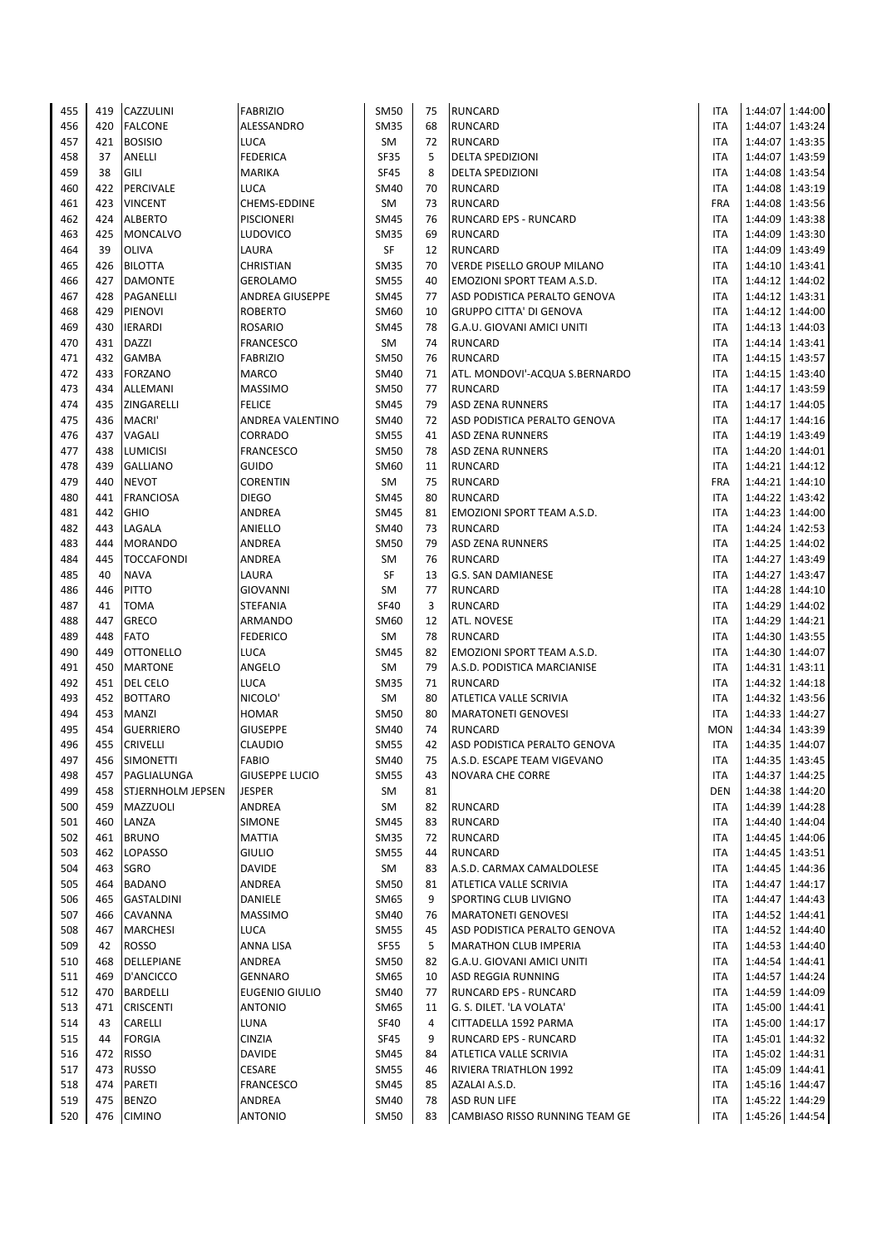| 455        | 419        | CAZZULINI                        | <b>FABRIZIO</b>                           | <b>SM50</b>                | 75       | <b>RUNCARD</b>                                      | ITA                      |         | 1:44:07 1:44:00                    |
|------------|------------|----------------------------------|-------------------------------------------|----------------------------|----------|-----------------------------------------------------|--------------------------|---------|------------------------------------|
| 456        | 420        | <b>FALCONE</b>                   | ALESSANDRO                                | <b>SM35</b>                | 68       | <b>RUNCARD</b>                                      | ITA                      |         | 1:44:07 1:43:24                    |
| 457        | 421        | <b>BOSISIO</b>                   | <b>LUCA</b>                               | SM                         | 72       | <b>RUNCARD</b>                                      | ITA                      |         | 1:44:07 1:43:35                    |
| 458        | 37         | ANELLI                           | <b>FEDERICA</b>                           | SF35                       | 5        | DELTA SPEDIZIONI                                    | ITA                      |         | 1:44:07 1:43:59                    |
| 459        | 38         | GILI                             | <b>MARIKA</b>                             | <b>SF45</b>                | 8        | DELTA SPEDIZIONI                                    | <b>ITA</b>               |         | 1:44:08 1:43:54                    |
| 460        | 422        | PERCIVALE                        | <b>LUCA</b>                               | SM40                       | 70       | <b>RUNCARD</b>                                      | ITA                      |         | 1:44:08 1:43:19                    |
| 461        | 423        | <b>VINCENT</b>                   | CHEMS-EDDINE                              | SM                         | 73       | <b>RUNCARD</b>                                      | <b>FRA</b>               |         | 1:44:08 1:43:56                    |
| 462        | 424        | <b>ALBERTO</b>                   | <b>PISCIONERI</b>                         | SM45                       | 76       | RUNCARD EPS - RUNCARD                               | ITA                      |         | 1:44:09 1:43:38                    |
| 463        | 425        | MONCALVO                         | <b>LUDOVICO</b>                           | <b>SM35</b>                | 69       | <b>RUNCARD</b>                                      | <b>ITA</b>               |         | 1:44:09 1:43:30                    |
| 464        | 39         | <b>OLIVA</b>                     | LAURA                                     | SF                         | 12<br>70 | <b>RUNCARD</b><br><b>VERDE PISELLO GROUP MILANO</b> | <b>ITA</b>               |         | 1:44:09 1:43:49                    |
| 465<br>466 | 426<br>427 | <b>BILOTTA</b><br><b>DAMONTE</b> | <b>CHRISTIAN</b>                          | <b>SM35</b><br><b>SM55</b> | 40       | EMOZIONI SPORT TEAM A.S.D.                          | <b>ITA</b><br><b>ITA</b> | 1:44:10 | 1:43:41<br>1:44:12 1:44:02         |
| 467        | 428        | PAGANELLI                        | <b>GEROLAMO</b><br><b>ANDREA GIUSEPPE</b> | <b>SM45</b>                | 77       | ASD PODISTICA PERALTO GENOVA                        | <b>ITA</b>               |         | 1:44:12 1:43:31                    |
| 468        | 429        | PIENOVI                          | <b>ROBERTO</b>                            | SM60                       | 10       | <b>GRUPPO CITTA' DI GENOVA</b>                      | <b>ITA</b>               |         | 1:44:12 1:44:00                    |
| 469        | 430        | <b>IERARDI</b>                   | <b>ROSARIO</b>                            | SM45                       | 78       | G.A.U. GIOVANI AMICI UNITI                          | <b>ITA</b>               |         | 1:44:13 1:44:03                    |
| 470        | 431        | <b>DAZZI</b>                     | FRANCESCO                                 | SM                         | 74       | <b>RUNCARD</b>                                      | <b>ITA</b>               |         | 1:44:14 1:43:41                    |
| 471        | 432        | GAMBA                            | <b>FABRIZIO</b>                           | <b>SM50</b>                | 76       | <b>RUNCARD</b>                                      | <b>ITA</b>               |         | 1:44:15 1:43:57                    |
| 472        | 433        | <b>FORZANO</b>                   | <b>MARCO</b>                              | <b>SM40</b>                | 71       | ATL. MONDOVI'-ACQUA S.BERNARDO                      | <b>ITA</b>               |         | 1:44:15 1:43:40                    |
| 473        | 434        | ALLEMANI                         | <b>MASSIMO</b>                            | <b>SM50</b>                | 77       | <b>RUNCARD</b>                                      | <b>ITA</b>               | 1:44:17 | 1:43:59                            |
| 474        | 435        | ZINGARELLI                       | <b>FELICE</b>                             | SM45                       | 79       | <b>ASD ZENA RUNNERS</b>                             | <b>ITA</b>               | 1:44:17 | 1:44:05                            |
| 475        | 436        | MACRI'                           | ANDREA VALENTINO                          | <b>SM40</b>                | 72       | ASD PODISTICA PERALTO GENOVA                        | <b>ITA</b>               | 1:44:17 | 1:44:16                            |
| 476        | 437        | VAGALI                           | <b>CORRADO</b>                            | <b>SM55</b>                | 41       | <b>ASD ZENA RUNNERS</b>                             | <b>ITA</b>               | 1:44:19 | 1:43:49                            |
| 477        | 438        | <b>LUMICISI</b>                  | <b>FRANCESCO</b>                          | <b>SM50</b>                | 78       | <b>ASD ZENA RUNNERS</b>                             | <b>ITA</b>               |         | 1:44:20 1:44:01                    |
| 478        | 439        | <b>GALLIANO</b>                  | <b>GUIDO</b>                              | SM60                       | 11       | <b>RUNCARD</b>                                      | <b>ITA</b>               |         | 1:44:21 1:44:12                    |
| 479        | 440        | <b>NEVOT</b>                     | <b>CORENTIN</b>                           | SM                         | 75       | <b>RUNCARD</b>                                      | <b>FRA</b>               |         | 1:44:21 1:44:10                    |
| 480        | 441        | <b>FRANCIOSA</b>                 | <b>DIEGO</b>                              | <b>SM45</b>                | 80       | <b>RUNCARD</b>                                      | ITA                      |         | 1:44:22 1:43:42                    |
| 481        | 442        | <b>GHIO</b>                      | ANDREA                                    | <b>SM45</b>                | 81       | EMOZIONI SPORT TEAM A.S.D.                          | <b>ITA</b>               |         | 1:44:23 1:44:00                    |
| 482        | 443        | LAGALA                           | ANIELLO                                   | <b>SM40</b>                | 73       | <b>RUNCARD</b>                                      | ITA                      |         | 1:44:24 1:42:53                    |
| 483        | 444        | <b>MORANDO</b>                   | ANDREA                                    | <b>SM50</b>                | 79       | <b>ASD ZENA RUNNERS</b>                             | <b>ITA</b>               |         | 1:44:25 1:44:02                    |
| 484        | 445        | <b>TOCCAFONDI</b>                | <b>ANDREA</b>                             | SM                         | 76       | <b>RUNCARD</b>                                      | <b>ITA</b>               |         | 1:44:27 1:43:49                    |
| 485        | 40         | <b>NAVA</b>                      | LAURA                                     | SF                         | 13       | G.S. SAN DAMIANESE                                  | <b>ITA</b>               |         | 1:44:27 1:43:47                    |
| 486<br>487 | 446<br>41  | <b>PITTO</b><br><b>TOMA</b>      | <b>GIOVANNI</b><br><b>STEFANIA</b>        | SM<br><b>SF40</b>          | 77<br>3  | <b>RUNCARD</b><br><b>RUNCARD</b>                    | <b>ITA</b><br>ITA        | 1:44:29 | 1:44:28 1:44:10<br>1:44:02         |
| 488        | 447        | <b>GRECO</b>                     | ARMANDO                                   | SM60                       | 12       | ATL. NOVESE                                         | <b>ITA</b>               | 1:44:29 | 1:44:21                            |
| 489        | 448        | <b>FATO</b>                      | <b>FEDERICO</b>                           | SM                         | 78       | <b>RUNCARD</b>                                      | <b>ITA</b>               | 1:44:30 | 1:43:55                            |
| 490        | 449        | <b>OTTONELLO</b>                 | <b>LUCA</b>                               | <b>SM45</b>                | 82       | EMOZIONI SPORT TEAM A.S.D.                          | <b>ITA</b>               |         | 1:44:30 1:44:07                    |
| 491        | 450        | <b>MARTONE</b>                   | ANGELO                                    | SM                         | 79       | A.S.D. PODISTICA MARCIANISE                         | <b>ITA</b>               |         | 1:44:31 1:43:11                    |
| 492        | 451        | DEL CELO                         | <b>LUCA</b>                               | <b>SM35</b>                | 71       | <b>RUNCARD</b>                                      | <b>ITA</b>               |         | 1:44:32 1:44:18                    |
| 493        | 452        | <b>BOTTARO</b>                   | NICOLO <sup>'</sup>                       | SM                         | 80       | ATLETICA VALLE SCRIVIA                              | <b>ITA</b>               |         | 1:44:32 1:43:56                    |
| 494        | 453        | <b>MANZI</b>                     | <b>HOMAR</b>                              | <b>SM50</b>                | 80       | <b>MARATONETI GENOVESI</b>                          | <b>ITA</b>               |         | 1:44:33 1:44:27                    |
| 495        | 454        | <b>GUERRIERO</b>                 | <b>GIUSEPPE</b>                           | SM40                       | 74       | <b>RUNCARD</b>                                      | <b>MON</b>               |         | 1:44:34 1:43:39                    |
| 496        | 455        | <b>CRIVELLI</b>                  | <b>CLAUDIO</b>                            | <b>SM55</b>                | 42       | ASD PODISTICA PERALTO GENOVA                        | <b>ITA</b>               |         | 1:44:35 1:44:07                    |
| 497        | 456        | <b>SIMONETTI</b>                 | <b>FABIO</b>                              | <b>SM40</b>                | 75       | A.S.D. ESCAPE TEAM VIGEVANO                         | <b>ITA</b>               |         | 1:44:35 1:43:45                    |
| 498        | 457        | PAGLIALUNGA                      | <b>GIUSEPPE LUCIO</b>                     | <b>SM55</b>                | 43       | NOVARA CHE CORRE                                    | ITA                      |         | 1:44:37 1:44:25                    |
| 499        | 458        | <b>STJERNHOLM JEPSEN</b>         | <b>JESPER</b>                             | SM                         | 81       |                                                     | <b>DEN</b>               |         | 1:44:38 1:44:20                    |
| 500        | 459        | MAZZUOLI                         | ANDREA                                    | SM                         | 82       | RUNCARD                                             | ITA                      |         | 1:44:39 1:44:28                    |
| 501        | 460        | LANZA                            | SIMONE                                    | <b>SM45</b>                | 83       | <b>RUNCARD</b>                                      | ITA                      |         | 1:44:40 1:44:04                    |
| 502        | 461        | <b>BRUNO</b>                     | <b>MATTIA</b>                             | <b>SM35</b>                | 72       | RUNCARD                                             | <b>ITA</b>               |         | 1:44:45 1:44:06                    |
| 503        | 462        | LOPASSO                          | <b>GIULIO</b>                             | <b>SM55</b>                | 44       | <b>RUNCARD</b>                                      | <b>ITA</b>               |         | 1:44:45 1:43:51                    |
| 504        | 463<br>464 | SGRO                             | <b>DAVIDE</b>                             | SM                         | 83       | A.S.D. CARMAX CAMALDOLESE                           | <b>ITA</b>               |         | 1:44:45 1:44:36                    |
| 505<br>506 | 465        | <b>BADANO</b>                    | ANDREA<br>DANIELE                         | <b>SM50</b><br>SM65        | 81<br>9  | ATLETICA VALLE SCRIVIA                              | ITA                      |         | 1:44:47 1:44:17<br>1:44:47 1:44:43 |
| 507        | 466        | <b>GASTALDINI</b><br>CAVANNA     | <b>MASSIMO</b>                            | SM40                       | 76       | SPORTING CLUB LIVIGNO<br><b>MARATONETI GENOVESI</b> | ITA<br><b>ITA</b>        |         | 1:44:52 1:44:41                    |
| 508        | 467        | <b>MARCHESI</b>                  | <b>LUCA</b>                               | <b>SM55</b>                | 45       | ASD PODISTICA PERALTO GENOVA                        | <b>ITA</b>               |         | 1:44:52 1:44:40                    |
| 509        | 42         | <b>ROSSO</b>                     | <b>ANNA LISA</b>                          | SF55                       | 5        | <b>MARATHON CLUB IMPERIA</b>                        | ITA                      |         | 1:44:53 1:44:40                    |
| 510        | 468        | DELLEPIANE                       | ANDREA                                    | SM50                       | 82       | G.A.U. GIOVANI AMICI UNITI                          | ITA                      |         | 1:44:54 1:44:41                    |
| 511        | 469        | D'ANCICCO                        | <b>GENNARO</b>                            | SM65                       | 10       | ASD REGGIA RUNNING                                  | <b>ITA</b>               |         | 1:44:57 1:44:24                    |
| 512        | 470        | <b>BARDELLI</b>                  | <b>EUGENIO GIULIO</b>                     | SM40                       | 77       | RUNCARD EPS - RUNCARD                               | ITA                      |         | 1:44:59 1:44:09                    |
| 513        | 471        | <b>CRISCENTI</b>                 | <b>ANTONIO</b>                            | SM65                       | 11       | G. S. DILET. 'LA VOLATA'                            | ITA                      |         | 1:45:00 1:44:41                    |
| 514        | 43         | CARELLI                          | <b>LUNA</b>                               | <b>SF40</b>                | 4        | CITTADELLA 1592 PARMA                               | ITA                      |         | 1:45:00 1:44:17                    |
| 515        | 44         | <b>FORGIA</b>                    | <b>CINZIA</b>                             | SF45                       | 9        | RUNCARD EPS - RUNCARD                               | ITA                      |         | 1:45:01   1:44:32                  |
| 516        | 472        | <b>RISSO</b>                     | <b>DAVIDE</b>                             | SM45                       | 84       | ATLETICA VALLE SCRIVIA                              | ITA                      |         | 1:45:02 1:44:31                    |
| 517        | 473        | <b>RUSSO</b>                     | CESARE                                    | <b>SM55</b>                | 46       | RIVIERA TRIATHLON 1992                              | ITA                      |         | 1:45:09 1:44:41                    |
| 518        | 474        | PARETI                           | <b>FRANCESCO</b>                          | SM45                       | 85       | AZALAI A.S.D.                                       | ITA                      |         | 1:45:16 1:44:47                    |
| 519        | 475        | <b>BENZO</b>                     | ANDREA                                    | SM40                       | 78       | <b>ASD RUN LIFE</b>                                 | ITA                      |         | 1:45:22 1:44:29                    |
| 520        | 476        | <b>CIMINO</b>                    | <b>ANTONIO</b>                            | SM50                       | 83       | CAMBIASO RISSO RUNNING TEAM GE                      | <b>ITA</b>               |         | 1:45:26 1:44:54                    |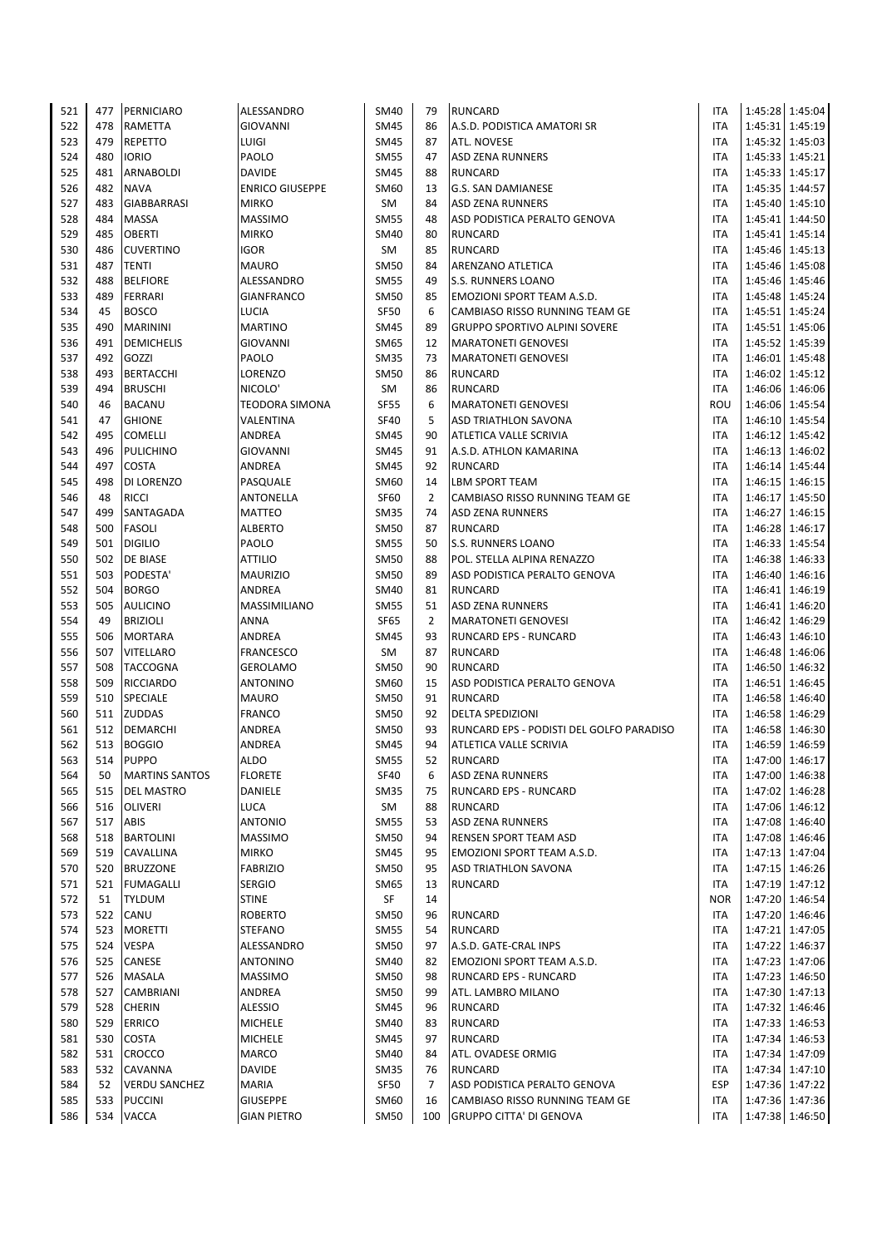| 521        | 477        | PERNICIARO                 | ALESSANDRO                    | <b>SM40</b>                | 79             | <b>RUNCARD</b>                                      | <b>ITA</b>               |         | 1:45:28 1:45:04                    |
|------------|------------|----------------------------|-------------------------------|----------------------------|----------------|-----------------------------------------------------|--------------------------|---------|------------------------------------|
| 522        | 478        | <b>RAMETTA</b>             | <b>GIOVANNI</b>               | <b>SM45</b>                | 86             | A.S.D. PODISTICA AMATORI SR                         | <b>ITA</b>               |         | 1:45:31 1:45:19                    |
| 523        | 479        | <b>REPETTO</b>             | LUIGI                         | <b>SM45</b>                | 87             | <b>ATL. NOVESE</b>                                  | <b>ITA</b>               |         | 1:45:32 1:45:03                    |
| 524        | 480        | iorio                      | PAOLO                         | <b>SM55</b>                | 47             | <b>ASD ZENA RUNNERS</b>                             | <b>ITA</b>               |         | 1:45:33 1:45:21                    |
| 525        | 481        | <b>ARNABOLDI</b>           | <b>DAVIDE</b>                 | <b>SM45</b>                | 88             | <b>RUNCARD</b>                                      | <b>ITA</b>               |         | 1:45:33 1:45:17                    |
| 526        | 482        | <b>NAVA</b>                | <b>ENRICO GIUSEPPE</b>        | <b>SM60</b>                | 13             | G.S. SAN DAMIANESE                                  | <b>ITA</b>               |         | 1:45:35 1:44:57                    |
| 527        | 483        | <b>GIABBARRASI</b>         | <b>MIRKO</b>                  | SM                         | 84             | <b>ASD ZENA RUNNERS</b>                             | <b>ITA</b>               |         | 1:45:40 1:45:10                    |
| 528        | 484        | MASSA                      | <b>MASSIMO</b>                | <b>SM55</b>                | 48             | ASD PODISTICA PERALTO GENOVA                        | <b>ITA</b>               |         | 1:45:41 1:44:50                    |
| 529        | 485        | <b>OBERTI</b>              | <b>MIRKO</b>                  | <b>SM40</b>                | 80             | <b>RUNCARD</b>                                      | <b>ITA</b>               |         | 1:45:41 1:45:14                    |
| 530        | 486        | <b>CUVERTINO</b>           | <b>IGOR</b>                   | SM                         | 85             | <b>RUNCARD</b>                                      | <b>ITA</b>               |         | 1:45:46 1:45:13                    |
| 531        | 487        | <b>TENTI</b>               | <b>MAURO</b>                  | <b>SM50</b>                | 84             | ARENZANO ATLETICA                                   | <b>ITA</b>               |         | 1:45:46 1:45:08                    |
| 532        | 488        | <b>BELFIORE</b>            | ALESSANDRO                    | <b>SM55</b>                | 49             | <b>S.S. RUNNERS LOANO</b>                           | <b>ITA</b>               |         | 1:45:46 1:45:46                    |
| 533        | 489        | <b>FERRARI</b>             | <b>GIANFRANCO</b>             | <b>SM50</b>                | 85             | EMOZIONI SPORT TEAM A.S.D.                          | <b>ITA</b>               |         | 1:45:48 1:45:24                    |
| 534        | 45         | <b>BOSCO</b>               | LUCIA                         | <b>SF50</b>                | 6              | CAMBIASO RISSO RUNNING TEAM GE                      | <b>ITA</b>               |         | 1:45:51 1:45:24                    |
| 535        | 490        | <b>MARININI</b>            | <b>MARTINO</b>                | <b>SM45</b>                | 89             | <b>GRUPPO SPORTIVO ALPINI SOVERE</b>                | <b>ITA</b>               |         | 1:45:51 1:45:06                    |
| 536        | 491        | <b>DEMICHELIS</b>          | <b>GIOVANNI</b>               | <b>SM65</b>                | 12             | <b>MARATONETI GENOVESI</b>                          | <b>ITA</b>               |         | 1:45:52 1:45:39                    |
| 537        | 492        | GOZZI                      | PAOLO                         | <b>SM35</b>                | 73             | <b>MARATONETI GENOVESI</b>                          | <b>ITA</b>               |         | 1:46:01 1:45:48                    |
| 538        | 493        | BERTACCHI                  | LORENZO                       | <b>SM50</b>                | 86             | <b>RUNCARD</b>                                      | <b>ITA</b>               |         | 1:46:02 1:45:12                    |
| 539        | 494        | <b>BRUSCHI</b>             | NICOLO'                       | SM                         | 86             | <b>RUNCARD</b>                                      | <b>ITA</b>               |         | 1:46:06 1:46:06                    |
| 540        | 46         | <b>BACANU</b>              | <b>TEODORA SIMONA</b>         | <b>SF55</b>                | 6              | <b>MARATONETI GENOVESI</b>                          | ROU                      |         | 1:46:06 1:45:54                    |
| 541        | 47         | <b>GHIONE</b>              | VALENTINA                     | <b>SF40</b>                | 5              | <b>ASD TRIATHLON SAVONA</b>                         | <b>ITA</b>               |         | 1:46:10 1:45:54                    |
| 542        | 495        | <b>COMELLI</b>             | <b>ANDREA</b>                 | <b>SM45</b>                | 90             | ATLETICA VALLE SCRIVIA                              | <b>ITA</b>               |         | 1:46:12 1:45:42                    |
| 543        | 496        | <b>PULICHINO</b>           | <b>GIOVANNI</b>               | <b>SM45</b>                | 91<br>92       | A.S.D. ATHLON KAMARINA                              | <b>ITA</b>               |         | 1:46:13 1:46:02                    |
| 544        | 497<br>498 | <b>COSTA</b><br>DI LORENZO | ANDREA                        | <b>SM45</b><br><b>SM60</b> | 14             | <b>RUNCARD</b><br><b>LBM SPORT TEAM</b>             | <b>ITA</b><br><b>ITA</b> |         | 1:46:14 1:45:44                    |
| 545<br>546 | 48         | <b>RICCI</b>               | PASQUALE<br><b>ANTONELLA</b>  | <b>SF60</b>                | $\overline{2}$ | CAMBIASO RISSO RUNNING TEAM GE                      | <b>ITA</b>               |         | 1:46:15 1:46:15<br>1:46:17 1:45:50 |
| 547        | 499        | SANTAGADA                  | <b>MATTEO</b>                 | <b>SM35</b>                | 74             | <b>ASD ZENA RUNNERS</b>                             | <b>ITA</b>               | 1:46:27 | 1:46:15                            |
| 548        | 500        | <b>FASOLI</b>              | <b>ALBERTO</b>                | <b>SM50</b>                | 87             | <b>RUNCARD</b>                                      | <b>ITA</b>               |         | 1:46:28 1:46:17                    |
| 549        | 501        | <b>DIGILIO</b>             | PAOLO                         | <b>SM55</b>                | 50             | <b>S.S. RUNNERS LOANO</b>                           | <b>ITA</b>               |         | 1:46:33 1:45:54                    |
| 550        | 502        | DE BIASE                   | <b>ATTILIO</b>                | <b>SM50</b>                | 88             | POL. STELLA ALPINA RENAZZO                          | <b>ITA</b>               |         | 1:46:38 1:46:33                    |
| 551        | 503        | PODESTA'                   | <b>MAURIZIO</b>               | <b>SM50</b>                | 89             | ASD PODISTICA PERALTO GENOVA                        | <b>ITA</b>               |         | 1:46:40 1:46:16                    |
| 552        | 504        | <b>BORGO</b>               | ANDREA                        | <b>SM40</b>                | 81             | <b>RUNCARD</b>                                      | <b>ITA</b>               |         | 1:46:41 1:46:19                    |
| 553        | 505        | <b>AULICINO</b>            | MASSIMILIANO                  | <b>SM55</b>                | 51             | <b>ASD ZENA RUNNERS</b>                             | <b>ITA</b>               |         | 1:46:41 1:46:20                    |
| 554        | 49         | <b>BRIZIOLI</b>            | <b>ANNA</b>                   | <b>SF65</b>                | $\overline{2}$ | <b>MARATONETI GENOVESI</b>                          | <b>ITA</b>               |         | 1:46:42 1:46:29                    |
| 555        | 506        | <b>MORTARA</b>             | ANDREA                        | <b>SM45</b>                | 93             | <b>RUNCARD EPS - RUNCARD</b>                        | <b>ITA</b>               |         | 1:46:43 1:46:10                    |
| 556        | 507        | <b>VITELLARO</b>           | <b>FRANCESCO</b>              | SM                         | 87             | <b>RUNCARD</b>                                      | ITA                      |         | 1:46:48 1:46:06                    |
| 557        | 508        | <b>TACCOGNA</b>            | GEROLAMO                      | <b>SM50</b>                | 90             | <b>RUNCARD</b>                                      | <b>ITA</b>               |         | 1:46:50 1:46:32                    |
| 558        | 509        | <b>RICCIARDO</b>           | <b>ANTONINO</b>               | <b>SM60</b>                | 15             | ASD PODISTICA PERALTO GENOVA                        | <b>ITA</b>               |         | 1:46:51   1:46:45                  |
| 559        | 510        | <b>SPECIALE</b>            | <b>MAURO</b>                  | <b>SM50</b>                | 91             | <b>RUNCARD</b>                                      | <b>ITA</b>               |         | 1:46:58 1:46:40                    |
| 560        | 511        | <b>ZUDDAS</b>              | <b>FRANCO</b>                 | <b>SM50</b>                | 92             | <b>DELTA SPEDIZIONI</b>                             | <b>ITA</b>               |         | 1:46:58 1:46:29                    |
| 561        | 512        | DEMARCHI                   | <b>ANDREA</b>                 | <b>SM50</b>                | 93             | RUNCARD EPS - PODISTI DEL GOLFO PARADISO            | <b>ITA</b>               |         | 1:46:58 1:46:30                    |
| 562        | 513        | <b>BOGGIO</b>              | ANDREA                        | <b>SM45</b>                | 94             | <b>ATLETICA VALLE SCRIVIA</b>                       | <b>ITA</b>               |         | 1:46:59 1:46:59                    |
| 563        | 514        | <b>PUPPO</b>               | <b>ALDO</b>                   | <b>SM55</b>                | 52             | <b>RUNCARD</b>                                      | <b>ITA</b>               |         | 1:47:00 1:46:17                    |
| 564        | 50         | <b>MARTINS SANTOS</b>      | <b>FLORETE</b>                | <b>SF40</b>                | 6              | <b>ASD ZENA RUNNERS</b>                             | <b>ITA</b>               |         | 1:47:00 1:46:38                    |
| 565        | 515        | <b>DEL MASTRO</b>          | DANIELE                       | <b>SM35</b>                | 75             | RUNCARD EPS - RUNCARD                               | <b>ITA</b>               |         | 1:47:02 1:46:28                    |
| 566        | 516        | OLIVERI                    | LUCA                          | SM                         | 88             | <b>RUNCARD</b>                                      | ITA                      |         | 1:47:06 1:46:12                    |
| 567        | 517        | ABIS                       | <b>ANTONIO</b>                | <b>SM55</b>                | 53             | <b>ASD ZENA RUNNERS</b>                             | <b>ITA</b>               |         | 1:47:08 1:46:40                    |
| 568        | 518        | <b>BARTOLINI</b>           | <b>MASSIMO</b>                | <b>SM50</b>                | 94             | <b>RENSEN SPORT TEAM ASD</b>                        | <b>ITA</b>               |         | 1:47:08 1:46:46                    |
| 569        | 519        | CAVALLINA                  | <b>MIRKO</b>                  | <b>SM45</b>                | 95             | EMOZIONI SPORT TEAM A.S.D.                          | <b>ITA</b>               |         | 1:47:13 1:47:04                    |
| 570        | 520        | <b>BRUZZONE</b>            | <b>FABRIZIO</b>               | <b>SM50</b>                | 95             | <b>ASD TRIATHLON SAVONA</b>                         | ITA                      |         | 1:47:15 1:46:26                    |
| 571        | 521        | <b>FUMAGALLI</b>           | <b>SERGIO</b>                 | <b>SM65</b>                | 13             | <b>RUNCARD</b>                                      | <b>ITA</b>               |         | 1:47:19 1:47:12                    |
| 572        | 51         | <b>TYLDUM</b>              | <b>STINE</b>                  | SF                         | 14             |                                                     | <b>NOR</b>               |         | 1:47:20 1:46:54                    |
| 573        | 522        | CANU                       | <b>ROBERTO</b>                | <b>SM50</b>                | 96             | <b>RUNCARD</b>                                      | ITA                      |         | 1:47:20 1:46:46                    |
| 574        | 523        | <b>MORETTI</b>             | <b>STEFANO</b>                | <b>SM55</b>                | 54             | <b>RUNCARD</b>                                      | ITA                      |         | 1:47:21 1:47:05                    |
| 575<br>576 | 524<br>525 | <b>VESPA</b><br>CANESE     | ALESSANDRO<br><b>ANTONINO</b> | <b>SM50</b><br>SM40        | 97<br>82       | A.S.D. GATE-CRAL INPS<br>EMOZIONI SPORT TEAM A.S.D. | <b>ITA</b><br>ITA        |         | 1:47:22 1:46:37<br>1:47:23 1:47:06 |
| 577        | 526        | MASALA                     | <b>MASSIMO</b>                | <b>SM50</b>                | 98             | <b>RUNCARD EPS - RUNCARD</b>                        | ITA                      |         | 1:47:23 1:46:50                    |
| 578        | 527        | CAMBRIANI                  | ANDREA                        | <b>SM50</b>                | 99             | ATL. LAMBRO MILANO                                  | ITA                      |         | 1:47:30 1:47:13                    |
| 579        | 528        | <b>CHERIN</b>              | <b>ALESSIO</b>                | <b>SM45</b>                | 96             | <b>RUNCARD</b>                                      | <b>ITA</b>               |         | 1:47:32 1:46:46                    |
| 580        | 529        | <b>ERRICO</b>              | <b>MICHELE</b>                | <b>SM40</b>                | 83             | <b>RUNCARD</b>                                      | <b>ITA</b>               |         | 1:47:33 1:46:53                    |
| 581        | 530        | COSTA                      | <b>MICHELE</b>                | <b>SM45</b>                | 97             | <b>RUNCARD</b>                                      | ITA                      |         | 1:47:34 1:46:53                    |
| 582        | 531        | CROCCO                     | MARCO                         | <b>SM40</b>                | 84             | ATL. OVADESE ORMIG                                  | ITA                      |         | 1:47:34 1:47:09                    |
| 583        | 532        | CAVANNA                    | <b>DAVIDE</b>                 | <b>SM35</b>                | 76             | <b>RUNCARD</b>                                      | ITA                      |         | 1:47:34 1:47:10                    |
| 584        | 52         | <b>VERDU SANCHEZ</b>       | <b>MARIA</b>                  | <b>SF50</b>                | $\overline{7}$ | ASD PODISTICA PERALTO GENOVA                        | ESP                      |         | 1:47:36 1:47:22                    |
| 585        | 533        | <b>PUCCINI</b>             | <b>GIUSEPPE</b>               | SM60                       | 16             | CAMBIASO RISSO RUNNING TEAM GE                      | ITA                      |         | 1:47:36 1:47:36                    |
| 586        | 534        | <b>VACCA</b>               | <b>GIAN PIETRO</b>            | <b>SM50</b>                | 100            | <b>GRUPPO CITTA' DI GENOVA</b>                      | ITA                      |         | 1:47:38 1:46:50                    |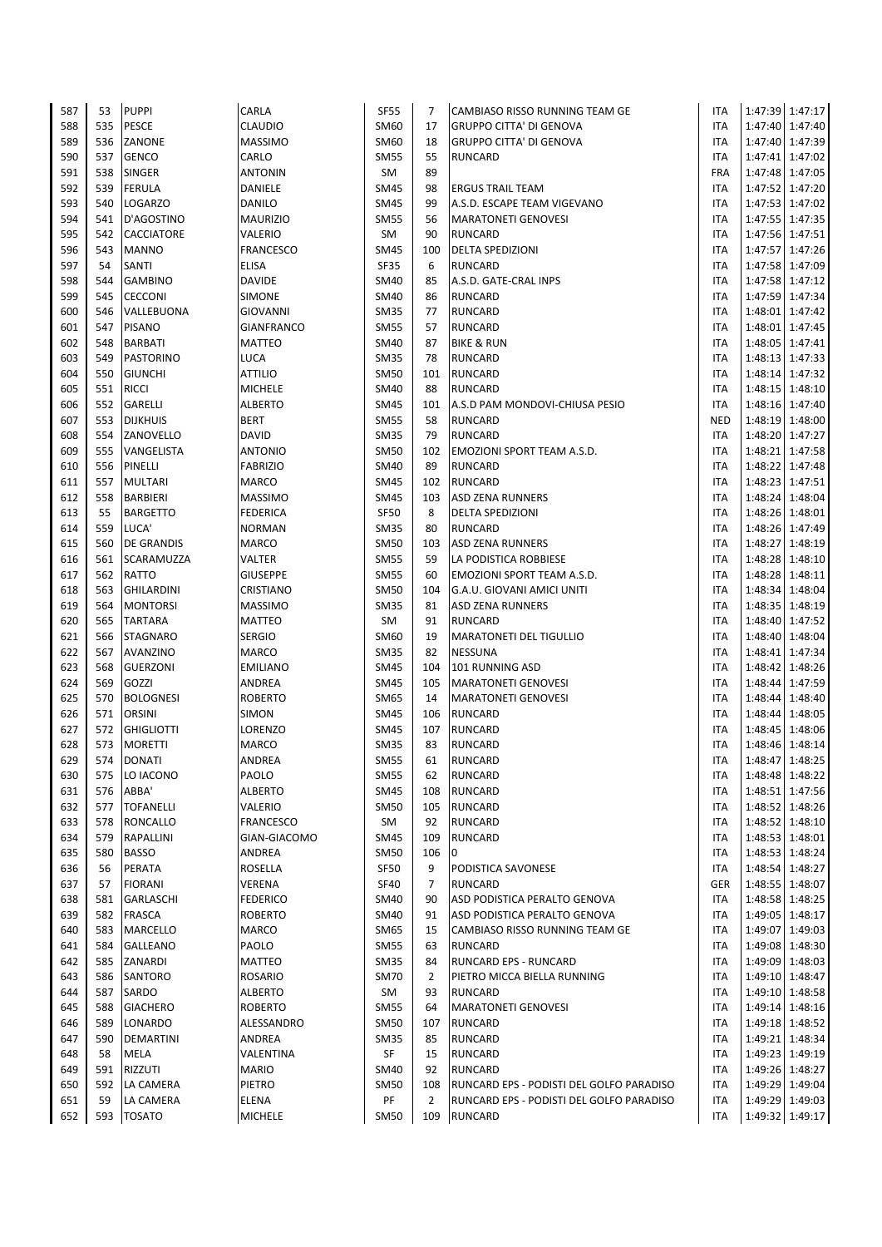| 587        | 53         | <b>PUPPI</b>                  | CARLA                     | <b>SF55</b>         | 7              | CAMBIASO RISSO RUNNING TEAM GE           | <b>ITA</b>        |         | 1:47:39 1:47:17                    |
|------------|------------|-------------------------------|---------------------------|---------------------|----------------|------------------------------------------|-------------------|---------|------------------------------------|
| 588        | 535        | PESCE                         | CLAUDIO                   | SM60                | 17             | <b>GRUPPO CITTA' DI GENOVA</b>           | <b>ITA</b>        |         | 1:47:40 1:47:40                    |
| 589        | 536        | ZANONE                        | <b>MASSIMO</b>            | SM60                | 18             | <b>GRUPPO CITTA' DI GENOVA</b>           | <b>ITA</b>        |         | 1:47:40 1:47:39                    |
| 590        | 537        | <b>GENCO</b>                  | CARLO                     | <b>SM55</b>         | 55             | RUNCARD                                  | ITA               |         | 1:47:41 1:47:02                    |
| 591        | 538        | <b>SINGER</b>                 | <b>ANTONIN</b>            | SM                  | 89             |                                          | <b>FRA</b>        |         | 1:47:48 1:47:05                    |
| 592        | 539        | <b>FERULA</b>                 | DANIELE                   | <b>SM45</b>         | 98             | <b>ERGUS TRAIL TEAM</b>                  | ITA               |         | 1:47:52 1:47:20                    |
| 593        | 540        | <b>LOGARZO</b>                | DANILO                    | SM45                | 99             | A.S.D. ESCAPE TEAM VIGEVANO              | ITA               |         | 1:47:53 1:47:02                    |
| 594        | 541        | D'AGOSTINO                    | <b>MAURIZIO</b>           | <b>SM55</b>         | 56             | <b>MARATONETI GENOVESI</b>               | ITA               |         | 1:47:55 1:47:35                    |
| 595        | 542        | <b>CACCIATORE</b>             | VALERIO                   | SM                  | 90             | <b>RUNCARD</b>                           | <b>ITA</b>        |         | 1:47:56 1:47:51                    |
| 596        | 543        | <b>MANNO</b>                  | <b>FRANCESCO</b>          | <b>SM45</b>         | 100            | DELTA SPEDIZIONI                         | ITA               |         | 1:47:57 1:47:26                    |
| 597        | 54         | SANTI                         | <b>ELISA</b>              | SF35                | 6              | <b>RUNCARD</b>                           | ITA               |         | 1:47:58 1:47:09                    |
| 598        | 544        | <b>GAMBINO</b>                | <b>DAVIDE</b>             | SM40                | 85             | A.S.D. GATE-CRAL INPS                    | ITA               |         | 1:47:58 1:47:12                    |
| 599        | 545        | <b>CECCONI</b>                | SIMONE                    | <b>SM40</b>         | 86             | <b>RUNCARD</b>                           | <b>ITA</b>        |         | 1:47:59 1:47:34                    |
| 600        | 546        | VALLEBUONA                    | <b>GIOVANNI</b>           | SM35                | 77             | <b>RUNCARD</b>                           | ITA               |         | 1:48:01 1:47:42                    |
| 601        | 547        | <b>PISANO</b>                 | <b>GIANFRANCO</b>         | SM55                | 57             | <b>RUNCARD</b>                           | ITA               |         | 1:48:01 1:47:45                    |
| 602<br>603 | 548<br>549 | <b>BARBATI</b><br>PASTORINO   | MATTEO<br><b>LUCA</b>     | SM40<br><b>SM35</b> | 87<br>78       | <b>BIKE &amp; RUN</b><br><b>RUNCARD</b>  | ITA<br><b>ITA</b> |         | 1:48:05 1:47:41<br>1:48:13 1:47:33 |
| 604        | 550        | <b>GIUNCHI</b>                | <b>ATTILIO</b>            | <b>SM50</b>         | 101            | <b>RUNCARD</b>                           | <b>ITA</b>        |         | 1:48:14 1:47:32                    |
| 605        | 551        | <b>RICCI</b>                  | <b>MICHELE</b>            | <b>SM40</b>         | 88             | <b>RUNCARD</b>                           | <b>ITA</b>        |         | 1:48:15 1:48:10                    |
| 606        | 552        | GARELLI                       | <b>ALBERTO</b>            | <b>SM45</b>         | 101            | A.S.D PAM MONDOVI-CHIUSA PESIO           | <b>ITA</b>        |         | 1:48:16 1:47:40                    |
| 607        | 553        | <b>DIJKHUIS</b>               | <b>BERT</b>               | <b>SM55</b>         | 58             | <b>RUNCARD</b>                           | <b>NED</b>        |         | 1:48:19 1:48:00                    |
| 608        | 554        | ZANOVELLO                     | <b>DAVID</b>              | <b>SM35</b>         | 79             | <b>RUNCARD</b>                           | <b>ITA</b>        |         | 1:48:20 1:47:27                    |
| 609        | 555        | VANGELISTA                    | <b>ANTONIO</b>            | <b>SM50</b>         | 102            | EMOZIONI SPORT TEAM A.S.D.               | ITA               |         | 1:48:21 1:47:58                    |
| 610        | 556        | PINELLI                       | <b>FABRIZIO</b>           | <b>SM40</b>         | 89             | <b>RUNCARD</b>                           | <b>ITA</b>        |         | 1:48:22 1:47:48                    |
| 611        | 557        | <b>MULTARI</b>                | <b>MARCO</b>              | <b>SM45</b>         | 102            | <b>RUNCARD</b>                           | <b>ITA</b>        |         | 1:48:23 1:47:51                    |
| 612        | 558        | <b>BARBIERI</b>               | <b>MASSIMO</b>            | <b>SM45</b>         | 103            | <b>ASD ZENA RUNNERS</b>                  | <b>ITA</b>        | 1:48:24 | 1:48:04                            |
| 613        | 55         | <b>BARGETTO</b>               | <b>FEDERICA</b>           | <b>SF50</b>         | 8              | <b>DELTA SPEDIZIONI</b>                  | ITA               |         | 1:48:26 1:48:01                    |
| 614        | 559        | LUCA'                         | <b>NORMAN</b>             | <b>SM35</b>         | 80             | <b>RUNCARD</b>                           | <b>ITA</b>        |         | 1:48:26 1:47:49                    |
| 615        | 560        | <b>DE GRANDIS</b>             | <b>MARCO</b>              | SM50                | 103            | <b>ASD ZENA RUNNERS</b>                  | <b>ITA</b>        |         | 1:48:27 1:48:19                    |
| 616        | 561        | SCARAMUZZA                    | VALTER                    | <b>SM55</b>         | 59             | LA PODISTICA ROBBIESE                    | ITA               |         | 1:48:28 1:48:10                    |
| 617        | 562        | RATTO                         | <b>GIUSEPPE</b>           | <b>SM55</b>         | 60             | EMOZIONI SPORT TEAM A.S.D.               | ITA               |         | 1:48:28 1:48:11                    |
| 618        | 563        | <b>GHILARDINI</b>             | CRISTIANO                 | <b>SM50</b>         | 104            | G.A.U. GIOVANI AMICI UNITI               | <b>ITA</b>        |         | 1:48:34 1:48:04                    |
| 619        | 564        | <b>MONTORSI</b>               | <b>MASSIMO</b>            | <b>SM35</b>         | 81             | <b>ASD ZENA RUNNERS</b>                  | ITA               |         | 1:48:35 1:48:19                    |
| 620        | 565        | <b>TARTARA</b>                | MATTEO                    | SM                  | 91             | <b>RUNCARD</b>                           | ITA               |         | 1:48:40 1:47:52                    |
| 621        | 566        | <b>STAGNARO</b>               | <b>SERGIO</b>             | SM60                | 19             | <b>MARATONETI DEL TIGULLIO</b>           | ITA               |         | 1:48:40 1:48:04                    |
| 622        | 567        | AVANZINO                      | MARCO                     | SM35                | 82             | <b>NESSUNA</b>                           | ITA               |         | 1:48:41 1:47:34                    |
| 623        | 568        | <b>GUERZONI</b>               | <b>EMILIANO</b>           | <b>SM45</b>         | 104            | 101 RUNNING ASD                          | ITA               |         | 1:48:42 1:48:26                    |
| 624        | 569        | GOZZI                         | ANDREA                    | <b>SM45</b>         | 105            | <b>MARATONETI GENOVESI</b>               | ITA               |         | 1:48:44 1:47:59                    |
| 625        | 570        | <b>BOLOGNESI</b>              | <b>ROBERTO</b>            | SM65                | 14             | <b>MARATONETI GENOVESI</b>               | ITA               |         | 1:48:44 1:48:40                    |
| 626        | 571        | <b>ORSINI</b>                 | SIMON                     | <b>SM45</b>         | 106            | <b>RUNCARD</b>                           | <b>ITA</b>        |         | 1:48:44 1:48:05                    |
| 627<br>628 | 572<br>573 | <b>GHIGLIOTTI</b>             | LORENZO                   | <b>SM45</b>         | 107<br>83      | <b>RUNCARD</b>                           | ITA               |         | 1:48:45 1:48:06                    |
| 629        |            | <b>MORETTI</b><br>574 DONATI  | <b>MARCO</b><br>ANDREA    | SM35<br><b>SM55</b> | 61             | <b>RUNCARD</b><br><b>RUNCARD</b>         | ITA<br><b>ITA</b> |         | 1:48:46 1:48:14<br>1:48:47 1:48:25 |
| 630        | 575        | LO IACONO                     | PAOLO                     | SM55                | 62             | <b>RUNCARD</b>                           | ITA               |         | 1:48:48 1:48:22                    |
| 631        | 576        | ABBA'                         | <b>ALBERTO</b>            | SM45                | 108            | <b>RUNCARD</b>                           | <b>ITA</b>        |         | 1:48:51 1:47:56                    |
| 632        | 577        | <b>TOFANELLI</b>              | VALERIO                   | <b>SM50</b>         | 105            | <b>RUNCARD</b>                           | ITA               |         | 1:48:52 1:48:26                    |
| 633        | 578        | <b>RONCALLO</b>               | <b>FRANCESCO</b>          | SM                  | 92             | <b>RUNCARD</b>                           | <b>ITA</b>        |         | 1:48:52 1:48:10                    |
| 634        | 579        | RAPALLINI                     | GIAN-GIACOMO              | <b>SM45</b>         | 109            | <b>RUNCARD</b>                           | ITA               |         | 1:48:53 1:48:01                    |
| 635        | 580        | <b>BASSO</b>                  | ANDREA                    | <b>SM50</b>         | 106            | $\overline{0}$                           | <b>ITA</b>        |         | 1:48:53 1:48:24                    |
| 636        | 56         | PERATA                        | ROSELLA                   | <b>SF50</b>         | 9              | PODISTICA SAVONESE                       | ITA               |         | 1:48:54 1:48:27                    |
| 637        | 57         | <b>FIORANI</b>                | VERENA                    | <b>SF40</b>         | 7              | <b>RUNCARD</b>                           | GER               |         | 1:48:55 1:48:07                    |
| 638        | 581        | <b>GARLASCHI</b>              | <b>FEDERICO</b>           | <b>SM40</b>         | 90             | ASD PODISTICA PERALTO GENOVA             | <b>ITA</b>        |         | 1:48:58 1:48:25                    |
| 639        | 582        | <b>FRASCA</b>                 | <b>ROBERTO</b>            | SM40                | 91             | ASD PODISTICA PERALTO GENOVA             | <b>ITA</b>        |         | 1:49:05 1:48:17                    |
| 640        | 583        | <b>MARCELLO</b>               | <b>MARCO</b>              | SM65                | 15             | CAMBIASO RISSO RUNNING TEAM GE           | ITA               | 1:49:07 | 1:49:03                            |
| 641        | 584        | <b>GALLEANO</b>               | PAOLO                     | <b>SM55</b>         | 63             | <b>RUNCARD</b>                           | ITA               |         | 1:49:08 1:48:30                    |
| 642        | 585        | ZANARDI                       | MATTEO                    | SM35                | 84             | RUNCARD EPS - RUNCARD                    | ITA               |         | 1:49:09 1:48:03                    |
| 643        | 586        | <b>SANTORO</b>                | <b>ROSARIO</b>            | SM70                | $\overline{2}$ | PIETRO MICCA BIELLA RUNNING              | ITA               |         | 1:49:10 1:48:47                    |
| 644        | 587        | SARDO                         | <b>ALBERTO</b>            | SM                  | 93             | RUNCARD                                  | ITA               |         | 1:49:10 1:48:58                    |
| 645        | 588        | <b>GIACHERO</b>               | <b>ROBERTO</b>            | <b>SM55</b>         | 64             | <b>MARATONETI GENOVESI</b>               | ITA               |         | 1:49:14 1:48:16                    |
| 646        | 589        | <b>LONARDO</b>                | ALESSANDRO                | SM50                | 107            | <b>RUNCARD</b>                           | ITA               |         | 1:49:18 1:48:52                    |
| 647        | 590        | <b>DEMARTINI</b>              | ANDREA                    | SM35                | 85             | <b>RUNCARD</b>                           | ITA               |         | 1:49:21 1:48:34                    |
| 648<br>649 | 58<br>591  | <b>MELA</b><br><b>RIZZUTI</b> | VALENTINA<br><b>MARIO</b> | SF<br><b>SM40</b>   | 15<br>92       | RUNCARD<br><b>RUNCARD</b>                | ITA<br>ITA        |         | 1:49:23 1:49:19<br>1:49:26 1:48:27 |
| 650        | 592        | LA CAMERA                     | PIETRO                    | <b>SM50</b>         | 108            | RUNCARD EPS - PODISTI DEL GOLFO PARADISO | ITA               |         | 1:49:29 1:49:04                    |
| 651        | 59         | LA CAMERA                     | <b>ELENA</b>              | PF                  | $\overline{2}$ | RUNCARD EPS - PODISTI DEL GOLFO PARADISO | ITA               |         | 1:49:29 1:49:03                    |
| 652        |            | 593   TOSATO                  | MICHELE                   | SM50                | 109            | <b>RUNCARD</b>                           | ITA               |         | 1:49:32 1:49:17                    |
|            |            |                               |                           |                     |                |                                          |                   |         |                                    |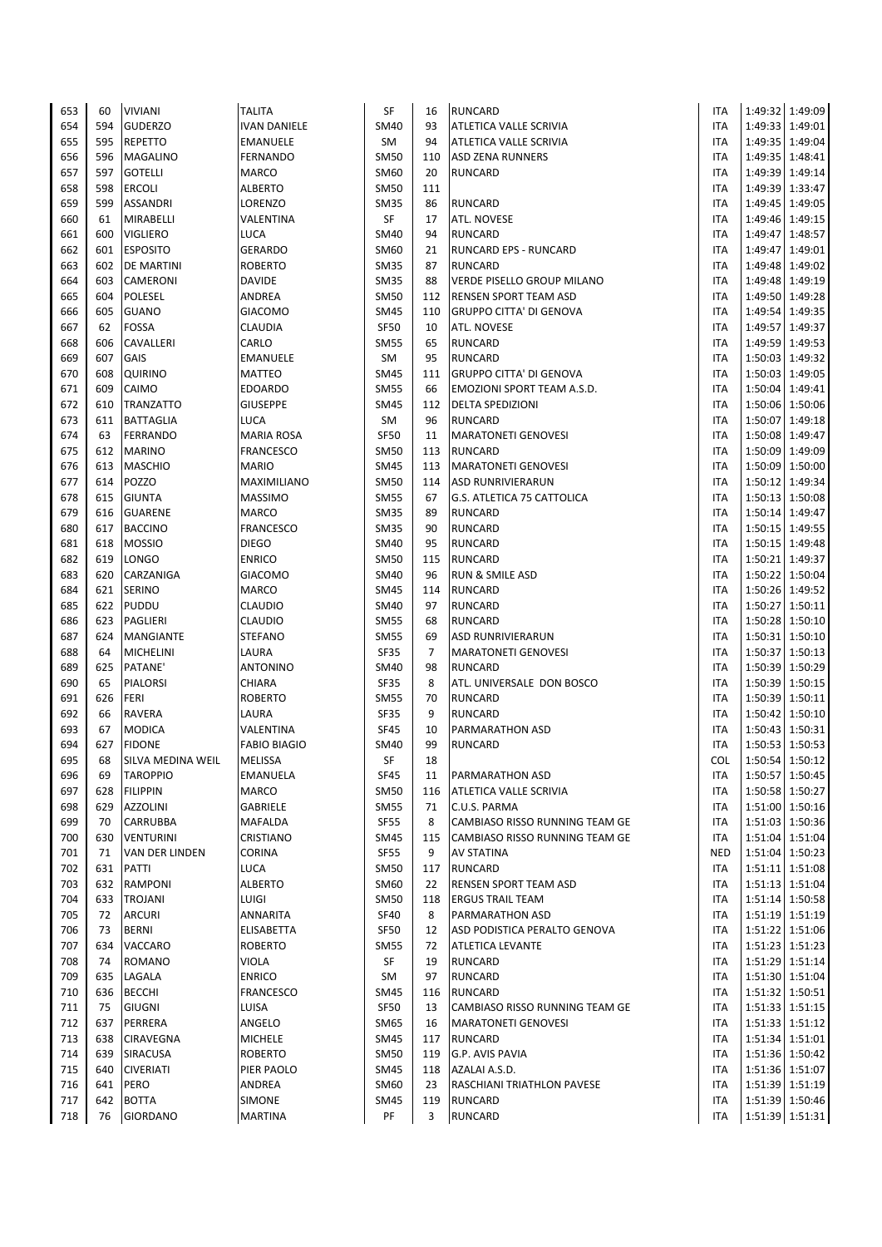| 653        | 60        | <b>VIVIANI</b>                 | <b>TALITA</b>       | SF                         | 16             | <b>RUNCARD</b>                    | <b>ITA</b>               |                 | 1:49:32 1:49:09                    |
|------------|-----------|--------------------------------|---------------------|----------------------------|----------------|-----------------------------------|--------------------------|-----------------|------------------------------------|
| 654        | 594       | <b>GUDERZO</b>                 | <b>IVAN DANIELE</b> | <b>SM40</b>                | 93             | ATLETICA VALLE SCRIVIA            | <b>ITA</b>               |                 | 1:49:33 1:49:01                    |
| 655        | 595       | <b>REPETTO</b>                 | <b>EMANUELE</b>     | <b>SM</b>                  | 94             | ATLETICA VALLE SCRIVIA            | <b>ITA</b>               |                 | 1:49:35 1:49:04                    |
| 656        | 596       | MAGALINO                       | FERNANDO            | <b>SM50</b>                | 110            | <b>ASD ZENA RUNNERS</b>           | <b>ITA</b>               |                 | 1:49:35 1:48:41                    |
| 657        | 597       | <b>GOTELLI</b>                 | MARCO               | <b>SM60</b>                | 20             | <b>RUNCARD</b>                    | <b>ITA</b>               |                 | 1:49:39 1:49:14                    |
| 658        | 598       | ERCOLI                         | <b>ALBERTO</b>      | <b>SM50</b>                | 111            |                                   | <b>ITA</b>               |                 | 1:49:39 1:33:47                    |
| 659        | 599       | <b>ASSANDRI</b>                | LORENZO             | <b>SM35</b>                | 86             | <b>RUNCARD</b>                    | <b>ITA</b>               |                 | 1:49:45 1:49:05                    |
| 660        | 61        | MIRABELLI                      | VALENTINA           | SF                         | 17             | ATL. NOVESE                       | <b>ITA</b>               |                 | 1:49:46 1:49:15                    |
| 661        | 600       | <b>VIGLIERO</b>                | LUCA                | <b>SM40</b>                | 94             | <b>RUNCARD</b>                    | <b>ITA</b>               |                 | 1:49:47 1:48:57                    |
| 662        | 601       | <b>ESPOSITO</b>                | <b>GERARDO</b>      | <b>SM60</b>                | 21             | <b>RUNCARD EPS - RUNCARD</b>      | <b>ITA</b>               |                 | 1:49:47 1:49:01                    |
| 663        | 602       | <b>DE MARTINI</b>              | <b>ROBERTO</b>      | <b>SM35</b>                | 87             | <b>RUNCARD</b>                    | <b>ITA</b>               |                 | 1:49:48 1:49:02                    |
| 664        | 603       | CAMERONI                       | <b>DAVIDE</b>       | <b>SM35</b>                | 88             | VERDE PISELLO GROUP MILANO        | <b>ITA</b>               |                 | 1:49:48 1:49:19                    |
| 665        | 604       | POLESEL                        | ANDREA              | <b>SM50</b>                | 112            | <b>RENSEN SPORT TEAM ASD</b>      | <b>ITA</b>               |                 | 1:49:50 1:49:28                    |
| 666        | 605<br>62 | <b>GUANO</b>                   | <b>GIACOMO</b>      | <b>SM45</b>                | 110<br>10      | <b>GRUPPO CITTA' DI GENOVA</b>    | <b>ITA</b>               |                 | 1:49:54 1:49:35                    |
| 667<br>668 | 606       | FOSSA<br>CAVALLERI             | CLAUDIA<br>CARLO    | <b>SF50</b><br><b>SM55</b> | 65             | ATL. NOVESE<br><b>RUNCARD</b>     | <b>ITA</b><br><b>ITA</b> | 1:49:57         | 1:49:37<br>1:49:59 1:49:53         |
| 669        | 607       | GAIS                           | <b>EMANUELE</b>     | SM                         | 95             | <b>RUNCARD</b>                    | <b>ITA</b>               |                 | 1:50:03 1:49:32                    |
| 670        | 608       | QUIRINO                        | <b>MATTEO</b>       | <b>SM45</b>                | 111            | <b>GRUPPO CITTA' DI GENOVA</b>    | <b>ITA</b>               |                 | 1:50:03 1:49:05                    |
| 671        | 609       | CAIMO                          | <b>EDOARDO</b>      | <b>SM55</b>                | 66             | EMOZIONI SPORT TEAM A.S.D.        | <b>ITA</b>               |                 | 1:50:04 1:49:41                    |
| 672        | 610       | <b>TRANZATTO</b>               | <b>GIUSEPPE</b>     | <b>SM45</b>                | 112            | <b>DELTA SPEDIZIONI</b>           | <b>ITA</b>               |                 | 1:50:06 1:50:06                    |
| 673        | 611       | <b>BATTAGLIA</b>               | LUCA                | SM                         | 96             | <b>RUNCARD</b>                    | <b>ITA</b>               |                 | 1:50:07 1:49:18                    |
| 674        | 63        | <b>FERRANDO</b>                | <b>MARIA ROSA</b>   | <b>SF50</b>                | 11             | <b>MARATONETI GENOVESI</b>        | <b>ITA</b>               |                 | 1:50:08 1:49:47                    |
| 675        | 612       | <b>MARINO</b>                  | <b>FRANCESCO</b>    | <b>SM50</b>                | 113            | <b>RUNCARD</b>                    | <b>ITA</b>               |                 | 1:50:09 1:49:09                    |
| 676        | 613       | <b>MASCHIO</b>                 | <b>MARIO</b>        | <b>SM45</b>                | 113            | <b>MARATONETI GENOVESI</b>        | <b>ITA</b>               |                 | 1:50:09 1:50:00                    |
| 677        | 614       | <b>POZZO</b>                   | MAXIMILIANO         | <b>SM50</b>                | 114            | <b>ASD RUNRIVIERARUN</b>          | <b>ITA</b>               |                 | 1:50:12 1:49:34                    |
| 678        | 615       | <b>GIUNTA</b>                  | <b>MASSIMO</b>      | <b>SM55</b>                | 67             | G.S. ATLETICA 75 CATTOLICA        | <b>ITA</b>               |                 | 1:50:13 1:50:08                    |
| 679        | 616       | <b>GUARENE</b>                 | <b>MARCO</b>        | <b>SM35</b>                | 89             | <b>RUNCARD</b>                    | <b>ITA</b>               |                 | 1:50:14 1:49:47                    |
| 680        | 617       | <b>BACCINO</b>                 | <b>FRANCESCO</b>    | <b>SM35</b>                | 90             | <b>RUNCARD</b>                    | <b>ITA</b>               |                 | 1:50:15 1:49:55                    |
| 681        | 618       | <b>MOSSIO</b>                  | <b>DIEGO</b>        | <b>SM40</b>                | 95             | <b>RUNCARD</b>                    | <b>ITA</b>               |                 | 1:50:15 1:49:48                    |
| 682        | 619       | LONGO                          | <b>ENRICO</b>       | <b>SM50</b>                | 115            | <b>RUNCARD</b>                    | <b>ITA</b>               |                 | 1:50:21 1:49:37                    |
| 683        | 620       | CARZANIGA                      | <b>GIACOMO</b>      | <b>SM40</b>                | 96             | RUN & SMILE ASD                   | <b>ITA</b>               |                 | 1:50:22 1:50:04                    |
| 684        | 621       | <b>SERINO</b>                  | <b>MARCO</b>        | <b>SM45</b>                | 114            | <b>RUNCARD</b>                    | <b>ITA</b>               |                 | 1:50:26 1:49:52                    |
| 685        | 622       | PUDDU                          | CLAUDIO             | <b>SM40</b>                | 97             | <b>RUNCARD</b>                    | <b>ITA</b>               |                 | 1:50:27 1:50:11                    |
| 686        | 623       | PAGLIERI                       | CLAUDIO             | <b>SM55</b>                | 68             | <b>RUNCARD</b>                    | <b>ITA</b>               |                 | 1:50:28 1:50:10                    |
| 687        | 624       | <b>MANGIANTE</b>               | <b>STEFANO</b>      | <b>SM55</b>                | 69             | <b>ASD RUNRIVIERARUN</b>          | <b>ITA</b>               |                 | 1:50:31 1:50:10                    |
| 688        | 64        | <b>MICHELINI</b>               | LAURA               | SF35                       | $\overline{7}$ | <b>MARATONETI GENOVESI</b>        | <b>ITA</b>               |                 | 1:50:37 1:50:13                    |
| 689        | 625       | PATANE'                        | <b>ANTONINO</b>     | SM40                       | 98             | <b>RUNCARD</b>                    | <b>ITA</b>               |                 | 1:50:39 1:50:29                    |
| 690        | 65        | <b>PIALORSI</b>                | CHIARA              | SF35                       | 8              | ATL. UNIVERSALE DON BOSCO         | <b>ITA</b>               |                 | 1:50:39 1:50:15                    |
| 691        | 626       | FERI                           | <b>ROBERTO</b>      | <b>SM55</b>                | 70<br>9        | <b>RUNCARD</b>                    | <b>ITA</b>               |                 | 1:50:39 1:50:11                    |
| 692        | 66<br>67  | <b>RAVERA</b>                  | LAURA<br>VALENTINA  | SF35<br><b>SF45</b>        |                | <b>RUNCARD</b>                    | <b>ITA</b>               |                 | 1:50:42 1:50:10<br>1:50:43 1:50:31 |
| 693<br>694 | 627       | <b>MODICA</b><br><b>FIDONE</b> | <b>FABIO BIAGIO</b> | <b>SM40</b>                | 10<br>99       | PARMARATHON ASD<br><b>RUNCARD</b> | <b>ITA</b><br><b>ITA</b> |                 | 1:50:53 1:50:53                    |
| 695        | 68        | SILVA MEDINA WEIL              | <b>MELISSA</b>      | <b>SF</b>                  | 18             |                                   | <b>COL</b>               | 1:50:54 1:50:12 |                                    |
| 696        | 69        | <b>TAROPPIO</b>                | <b>EMANUELA</b>     | <b>SF45</b>                | 11             | <b>PARMARATHON ASD</b>            | ITA                      |                 | 1:50:57 1:50:45                    |
| 697        | 628       | <b>FILIPPIN</b>                | <b>MARCO</b>        | <b>SM50</b>                | 116            | ATLETICA VALLE SCRIVIA            | <b>ITA</b>               |                 | 1:50:58 1:50:27                    |
| 698        | 629       | AZZOLINI                       | <b>GABRIELE</b>     | <b>SM55</b>                | 71             | C.U.S. PARMA                      | <b>ITA</b>               |                 | 1:51:00 1:50:16                    |
| 699        | 70        | CARRUBBA                       | <b>MAFALDA</b>      | <b>SF55</b>                | 8              | CAMBIASO RISSO RUNNING TEAM GE    | <b>ITA</b>               |                 | 1:51:03 1:50:36                    |
| 700        | 630       | <b>VENTURINI</b>               | CRISTIANO           | <b>SM45</b>                | 115            | CAMBIASO RISSO RUNNING TEAM GE    | <b>ITA</b>               |                 | 1:51:04 1:51:04                    |
| 701        | 71        | VAN DER LINDEN                 | CORINA              | <b>SF55</b>                | 9              | <b>AV STATINA</b>                 | <b>NED</b>               |                 | 1:51:04 1:50:23                    |
| 702        | 631       | PATTI                          | <b>LUCA</b>         | <b>SM50</b>                | 117            | <b>RUNCARD</b>                    | ITA                      |                 | 1:51:11 1:51:08                    |
| 703        | 632       | RAMPONI                        | <b>ALBERTO</b>      | <b>SM60</b>                | 22             | <b>RENSEN SPORT TEAM ASD</b>      | ITA                      |                 | 1:51:13 1:51:04                    |
| 704        | 633       | <b>TROJANI</b>                 | LUIGI               | <b>SM50</b>                | 118            | <b>ERGUS TRAIL TEAM</b>           | ITA                      |                 | 1:51:14 1:50:58                    |
| 705        | 72        | ARCURI                         | <b>ANNARITA</b>     | <b>SF40</b>                | 8              | <b>PARMARATHON ASD</b>            | <b>ITA</b>               |                 | 1:51:19 1:51:19                    |
| 706        | 73        | <b>BERNI</b>                   | ELISABETTA          | <b>SF50</b>                | 12             | ASD PODISTICA PERALTO GENOVA      | <b>ITA</b>               |                 | 1:51:22 1:51:06                    |
| 707        | 634       | VACCARO                        | <b>ROBERTO</b>      | <b>SM55</b>                | 72             | <b>ATLETICA LEVANTE</b>           | ITA                      |                 | 1:51:23 1:51:23                    |
| 708        | 74        | <b>ROMANO</b>                  | <b>VIOLA</b>        | SF                         | 19             | <b>RUNCARD</b>                    | <b>ITA</b>               |                 | 1:51:29 1:51:14                    |
| 709        | 635       | LAGALA                         | <b>ENRICO</b>       | SM                         | 97             | <b>RUNCARD</b>                    | <b>ITA</b>               |                 | 1:51:30 1:51:04                    |
| 710        | 636       | <b>BECCHI</b>                  | <b>FRANCESCO</b>    | <b>SM45</b>                | 116            | <b>RUNCARD</b>                    | <b>ITA</b>               |                 | 1:51:32 1:50:51                    |
| 711        | 75        | GIUGNI                         | LUISA               | <b>SF50</b>                | 13             | CAMBIASO RISSO RUNNING TEAM GE    | <b>ITA</b>               |                 | 1:51:33 1:51:15                    |
| 712        | 637       | PERRERA                        | ANGELO              | SM65                       | 16             | <b>MARATONETI GENOVESI</b>        | <b>ITA</b>               |                 | 1:51:33 1:51:12                    |
| 713        | 638       | CIRAVEGNA                      | <b>MICHELE</b>      | <b>SM45</b>                | 117            | <b>RUNCARD</b>                    | <b>ITA</b>               |                 | 1:51:34 1:51:01                    |
| 714        | 639       | SIRACUSA                       | <b>ROBERTO</b>      | <b>SM50</b>                | 119            | G.P. AVIS PAVIA                   | <b>ITA</b>               |                 | 1:51:36 1:50:42                    |
| 715        | 640       | <b>CIVERIATI</b>               | PIER PAOLO          | <b>SM45</b>                | 118            | AZALAI A.S.D.                     | ITA                      |                 | 1:51:36 1:51:07                    |
| 716        | 641       | PERO                           | ANDREA              | SM60                       | 23             | RASCHIANI TRIATHLON PAVESE        | <b>ITA</b>               |                 | 1:51:39 1:51:19                    |
| 717<br>718 | 642       | <b>BOTTA</b>                   | <b>SIMONE</b>       | <b>SM45</b>                | 119            | <b>RUNCARD</b>                    | ITA                      |                 | 1:51:39 1:50:46                    |
|            | 76        | <b>GIORDANO</b>                | <b>MARTINA</b>      | PF                         | 3              | <b>RUNCARD</b>                    | ITA                      |                 | 1:51:39 1:51:31                    |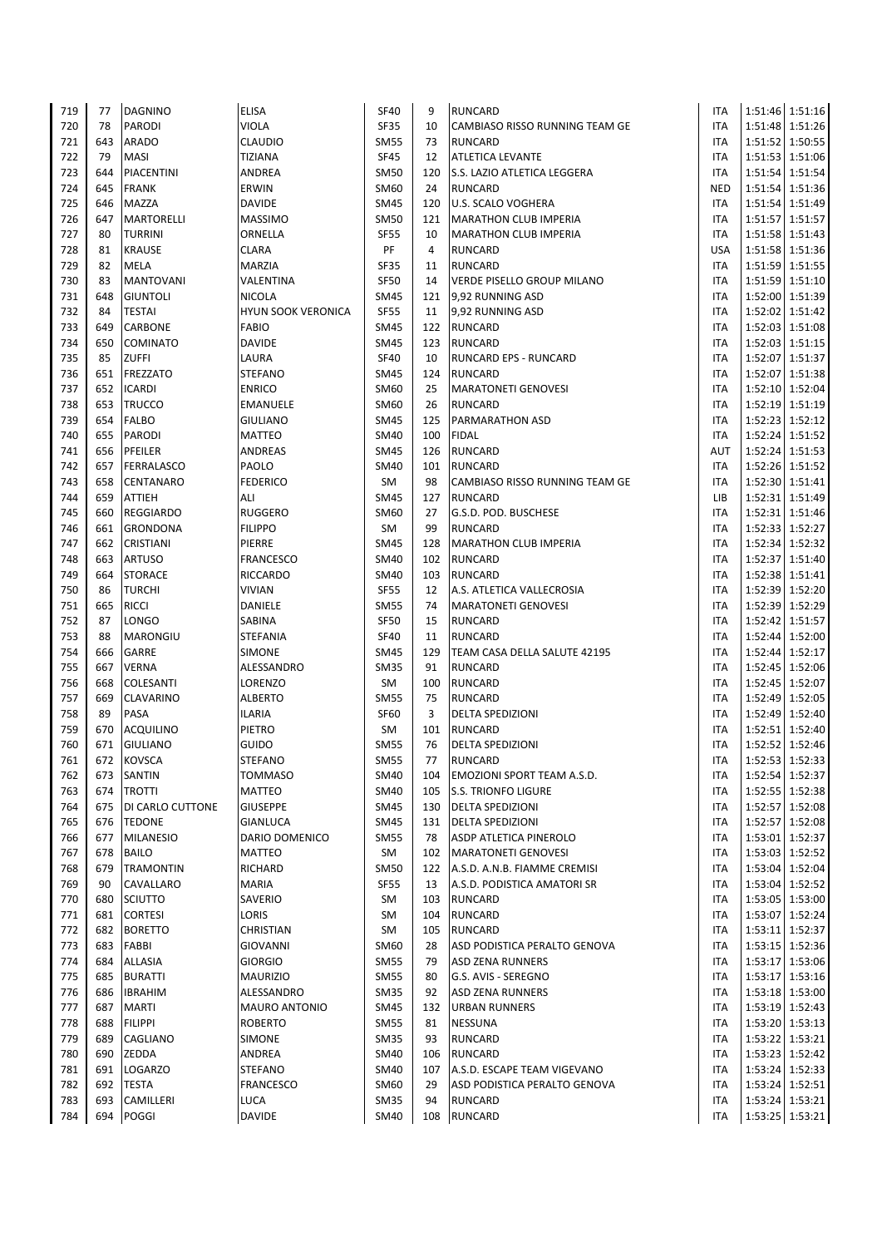| 719        | 77         | <b>DAGNINO</b>                   | <b>ELISA</b>                   | <b>SF40</b>                | 9         | <b>RUNCARD</b>                                 | <b>ITA</b>               | 1:51:46 1:51:16                    |
|------------|------------|----------------------------------|--------------------------------|----------------------------|-----------|------------------------------------------------|--------------------------|------------------------------------|
| 720        | 78         | <b>PARODI</b>                    | <b>VIOLA</b>                   | <b>SF35</b>                | 10        | CAMBIASO RISSO RUNNING TEAM GE                 | <b>ITA</b>               | 1:51:48 1:51:26                    |
| 721        | 643        | <b>ARADO</b>                     | <b>CLAUDIO</b>                 | <b>SM55</b>                | 73        | <b>RUNCARD</b>                                 | ITA                      | 1:51:52 1:50:55                    |
| 722        | 79         | <b>MASI</b>                      | <b>TIZIANA</b>                 | <b>SF45</b>                | 12        | <b>ATLETICA LEVANTE</b>                        | <b>ITA</b>               | 1:51:53 1:51:06                    |
| 723        | 644        | PIACENTINI                       | ANDREA                         | <b>SM50</b>                | 120       | S.S. LAZIO ATLETICA LEGGERA                    | <b>ITA</b>               | 1:51:54 1:51:54                    |
| 724        | 645        | <b>FRANK</b>                     | ERWIN                          | SM60                       | 24        | <b>RUNCARD</b>                                 | <b>NED</b>               | 1:51:54 1:51:36                    |
| 725        | 646        | <b>MAZZA</b>                     | <b>DAVIDE</b>                  | <b>SM45</b>                | 120       | <b>U.S. SCALO VOGHERA</b>                      | ITA                      | 1:51:54 1:51:49                    |
| 726        | 647        | <b>MARTORELLI</b>                | <b>MASSIMO</b>                 | <b>SM50</b>                | 121       | <b>MARATHON CLUB IMPERIA</b>                   | <b>ITA</b>               | 1:51:57 1:51:57                    |
| 727        | 80         | <b>TURRINI</b>                   | ORNELLA                        | <b>SF55</b>                | 10        | <b>MARATHON CLUB IMPERIA</b>                   | <b>ITA</b>               | 1:51:58 1:51:43                    |
| 728        | 81         | <b>KRAUSE</b>                    | <b>CLARA</b>                   | PF                         | 4         | <b>RUNCARD</b>                                 | <b>USA</b>               | 1:51:58 1:51:36                    |
| 729        | 82         | <b>MELA</b>                      | <b>MARZIA</b>                  | <b>SF35</b>                | 11        | <b>RUNCARD</b>                                 | ITA                      | 1:51:59 1:51:55                    |
| 730        | 83         | <b>MANTOVANI</b>                 | VALENTINA                      | <b>SF50</b>                | 14        | VERDE PISELLO GROUP MILANO                     | <b>ITA</b>               | 1:51:59 1:51:10                    |
| 731        | 648        | <b>GIUNTOLI</b>                  | <b>NICOLA</b>                  | <b>SM45</b>                | 121       | 9,92 RUNNING ASD                               | <b>ITA</b>               | 1:52:00 1:51:39                    |
| 732        | 84         | <b>TESTAI</b>                    | <b>HYUN SOOK VERONICA</b>      | <b>SF55</b>                | 11        | 9,92 RUNNING ASD                               | ITA                      | 1:52:02 1:51:42                    |
| 733        | 649        | CARBONE                          | <b>FABIO</b>                   | <b>SM45</b>                | 122       | <b>RUNCARD</b>                                 | ITA                      | 1:52:03 1:51:08                    |
| 734<br>735 | 650<br>85  | COMINATO<br><b>ZUFFI</b>         | <b>DAVIDE</b><br>LAURA         | <b>SM45</b><br><b>SF40</b> | 123<br>10 | <b>RUNCARD</b><br><b>RUNCARD EPS - RUNCARD</b> | <b>ITA</b><br><b>ITA</b> | 1:52:03 1:51:15<br>1:52:07 1:51:37 |
| 736        | 651        | <b>FREZZATO</b>                  | <b>STEFANO</b>                 | <b>SM45</b>                | 124       | <b>RUNCARD</b>                                 | <b>ITA</b>               | 1:52:07 1:51:38                    |
| 737        | 652        | <b>ICARDI</b>                    | <b>ENRICO</b>                  | <b>SM60</b>                | 25        | <b>MARATONETI GENOVESI</b>                     | <b>ITA</b>               | 1:52:10 1:52:04                    |
| 738        | 653        | <b>TRUCCO</b>                    | <b>EMANUELE</b>                | <b>SM60</b>                | 26        | <b>RUNCARD</b>                                 | <b>ITA</b>               | 1:52:19 1:51:19                    |
| 739        | 654        | <b>FALBO</b>                     | <b>GIULIANO</b>                | <b>SM45</b>                | 125       | <b>PARMARATHON ASD</b>                         | ITA                      | 1:52:23 1:52:12                    |
| 740        | 655        | <b>PARODI</b>                    | MATTEO                         | <b>SM40</b>                | 100       | <b>FIDAL</b>                                   | ITA                      | 1:52:24 1:51:52                    |
| 741        | 656        | PFEILER                          | ANDREAS                        | <b>SM45</b>                | 126       | <b>RUNCARD</b>                                 | AUT                      | 1:52:24 1:51:53                    |
| 742        | 657        | <b>FERRALASCO</b>                | PAOLO                          | <b>SM40</b>                | 101       | <b>RUNCARD</b>                                 | ITA                      | 1:52:26 1:51:52                    |
| 743        | 658        | <b>CENTANARO</b>                 | <b>FEDERICO</b>                | SM                         | 98        | <b>CAMBIASO RISSO RUNNING TEAM GE</b>          | ITA                      | 1:52:30 1:51:41                    |
| 744        | 659        | <b>ATTIEH</b>                    | ALI                            | <b>SM45</b>                | 127       | <b>RUNCARD</b>                                 | LIB                      | 1:52:31 1:51:49                    |
| 745        | 660        | REGGIARDO                        | <b>RUGGERO</b>                 | <b>SM60</b>                | 27        | G.S.D. POD. BUSCHESE                           | ITA                      | 1:52:31 1:51:46                    |
| 746        | 661        | <b>GRONDONA</b>                  | <b>FILIPPO</b>                 | SM                         | 99        | <b>RUNCARD</b>                                 | <b>ITA</b>               | 1:52:33 1:52:27                    |
| 747        | 662        | <b>CRISTIANI</b>                 | PIERRE                         | <b>SM45</b>                | 128       | <b>MARATHON CLUB IMPERIA</b>                   | ITA                      | 1:52:34 1:52:32                    |
| 748        | 663        | <b>ARTUSO</b>                    | <b>FRANCESCO</b>               | <b>SM40</b>                | 102       | <b>RUNCARD</b>                                 | <b>ITA</b>               | 1:52:37 1:51:40                    |
| 749        | 664        | <b>STORACE</b>                   | RICCARDO                       | <b>SM40</b>                | 103       | <b>RUNCARD</b>                                 | <b>ITA</b>               | 1:52:38 1:51:41                    |
| 750        | 86         | <b>TURCHI</b>                    | <b>VIVIAN</b>                  | <b>SF55</b>                | 12        | A.S. ATLETICA VALLECROSIA                      | <b>ITA</b>               | 1:52:39 1:52:20                    |
| 751        | 665        | <b>RICCI</b>                     | DANIELE                        | <b>SM55</b>                | 74        | <b>MARATONETI GENOVESI</b>                     | <b>ITA</b>               | 1:52:39 1:52:29                    |
| 752        | 87         | LONGO                            | SABINA                         | <b>SF50</b>                | 15        | <b>RUNCARD</b>                                 | <b>ITA</b>               | 1:52:42 1:51:57                    |
| 753        | 88         | <b>MARONGIU</b>                  | <b>STEFANIA</b>                | <b>SF40</b>                | 11        | <b>RUNCARD</b>                                 | <b>ITA</b>               | 1:52:44 1:52:00                    |
| 754        | 666        | GARRE                            | SIMONE                         | <b>SM45</b>                | 129       | TEAM CASA DELLA SALUTE 42195                   | ITA                      | 1:52:44 1:52:17                    |
| 755        | 667        | <b>VERNA</b>                     | ALESSANDRO                     | <b>SM35</b>                | 91        | <b>RUNCARD</b>                                 | ITA                      | 1:52:45 1:52:06                    |
| 756        | 668        | COLESANTI                        | LORENZO                        | SM                         | 100       | <b>RUNCARD</b>                                 | ITA                      | 1:52:45 1:52:07                    |
| 757        | 669        | <b>CLAVARINO</b>                 | <b>ALBERTO</b>                 | <b>SM55</b>                | 75        | <b>RUNCARD</b>                                 | <b>ITA</b>               | 1:52:49 1:52:05                    |
| 758        | 89         | PASA                             | <b>ILARIA</b>                  | <b>SF60</b>                | 3         | <b>DELTA SPEDIZIONI</b>                        | <b>ITA</b>               | 1:52:49 1:52:40                    |
| 759        | 670        | <b>ACQUILINO</b>                 | PIETRO                         | SM                         | 101       | <b>RUNCARD</b>                                 | ITA                      | 1:52:51 1:52:40                    |
| 760<br>761 | 671<br>672 | <b>GIULIANO</b><br><b>KOVSCA</b> | <b>GUIDO</b><br><b>STEFANO</b> | <b>SM55</b><br><b>SM55</b> | 76<br>77  | <b>DELTA SPEDIZIONI</b><br><b>RUNCARD</b>      | <b>ITA</b><br>ITA        | 1:52:52 1:52:46<br>1:52:53 1:52:33 |
| 762        | 673        | SANTIN                           | TOMMASO                        | <b>SM40</b>                | 104       | <b>EMOZIONI SPORT TEAM A.S.D.</b>              | <b>ITA</b>               | 1:52:54 1:52:37                    |
| 763        | 674        | <b>TROTTI</b>                    | <b>MATTEO</b>                  | <b>SM40</b>                | 105       | <b>S.S. TRIONFO LIGURE</b>                     | <b>ITA</b>               | 1:52:55 1:52:38                    |
| 764        | 675        | DI CARLO CUTTONE                 | <b>GIUSEPPE</b>                | <b>SM45</b>                | 130       | <b>DELTA SPEDIZIONI</b>                        | <b>ITA</b>               | 1:52:57 1:52:08                    |
| 765        | 676        | <b>TEDONE</b>                    | <b>GIANLUCA</b>                | <b>SM45</b>                | 131       | <b>DELTA SPEDIZIONI</b>                        | <b>ITA</b>               | 1:52:57 1:52:08                    |
| 766        | 677        | <b>MILANESIO</b>                 | DARIO DOMENICO                 | <b>SM55</b>                | 78        | <b>ASDP ATLETICA PINEROLO</b>                  | <b>ITA</b>               | 1:53:01 1:52:37                    |
| 767        | 678        | <b>BAILO</b>                     | MATTEO                         | SM                         | 102       | <b>MARATONETI GENOVESI</b>                     | ITA                      | 1:53:03 1:52:52                    |
| 768        | 679        | <b>TRAMONTIN</b>                 | RICHARD                        | <b>SM50</b>                | 122       | A.S.D. A.N.B. FIAMME CREMISI                   | ITA                      | 1:53:04 1:52:04                    |
| 769        | 90         | CAVALLARO                        | <b>MARIA</b>                   | <b>SF55</b>                | 13        | A.S.D. PODISTICA AMATORI SR                    | ITA                      | 1:53:04 1:52:52                    |
| 770        | 680        | SCIUTTO                          | SAVERIO                        | SM                         | 103       | <b>RUNCARD</b>                                 | <b>ITA</b>               | 1:53:05 1:53:00                    |
| 771        | 681        | <b>CORTESI</b>                   | LORIS                          | SM                         | 104       | <b>RUNCARD</b>                                 | ITA                      | 1:53:07 1:52:24                    |
| 772        | 682        | <b>BORETTO</b>                   | CHRISTIAN                      | SM                         | 105       | <b>RUNCARD</b>                                 | <b>ITA</b>               | 1:53:11 1:52:37                    |
| 773        | 683        | FABBI                            | <b>GIOVANNI</b>                | SM60                       | 28        | ASD PODISTICA PERALTO GENOVA                   | ITA                      | 1:53:15 1:52:36                    |
| 774        | 684        | ALLASIA                          | <b>GIORGIO</b>                 | <b>SM55</b>                | 79        | <b>ASD ZENA RUNNERS</b>                        | ITA                      | 1:53:17 1:53:06                    |
| 775        | 685        | <b>BURATTI</b>                   | <b>MAURIZIO</b>                | <b>SM55</b>                | 80        | G.S. AVIS - SEREGNO                            | <b>ITA</b>               | 1:53:17 1:53:16                    |
| 776        | 686        | <b>IBRAHIM</b>                   | ALESSANDRO                     | <b>SM35</b>                | 92        | <b>ASD ZENA RUNNERS</b>                        | ITA                      | 1:53:18 1:53:00                    |
| 777        | 687        | <b>MARTI</b>                     | <b>MAURO ANTONIO</b>           | <b>SM45</b>                | 132       | <b>URBAN RUNNERS</b>                           | ITA                      | 1:53:19 1:52:43                    |
| 778        | 688        | <b>FILIPPI</b>                   | <b>ROBERTO</b>                 | <b>SM55</b>                | 81        | <b>NESSUNA</b>                                 | ITA                      | 1:53:20 1:53:13                    |
| 779        | 689        | CAGLIANO                         | SIMONE                         | <b>SM35</b>                | 93        | <b>RUNCARD</b>                                 | <b>ITA</b>               | 1:53:22 1:53:21                    |
| 780        | 690        | ZEDDA                            | ANDREA                         | <b>SM40</b>                | 106       | <b>RUNCARD</b>                                 | <b>ITA</b>               | 1:53:23 1:52:42                    |
| 781        | 691        | <b>LOGARZO</b>                   | <b>STEFANO</b>                 | <b>SM40</b>                | 107       | A.S.D. ESCAPE TEAM VIGEVANO                    | <b>ITA</b>               | 1:53:24 1:52:33                    |
| 782        | 692        | <b>TESTA</b>                     | FRANCESCO                      | SM60                       | 29        | ASD PODISTICA PERALTO GENOVA                   | <b>ITA</b>               | 1:53:24 1:52:51                    |
| 783        | 693        | CAMILLERI                        | <b>LUCA</b>                    | <b>SM35</b>                | 94        | <b>RUNCARD</b>                                 | ITA                      | 1:53:24 1:53:21                    |
| 784        |            | 694 POGGI                        | <b>DAVIDE</b>                  | SM40                       | 108       | <b>RUNCARD</b>                                 | ITA                      | 1:53:25 1:53:21                    |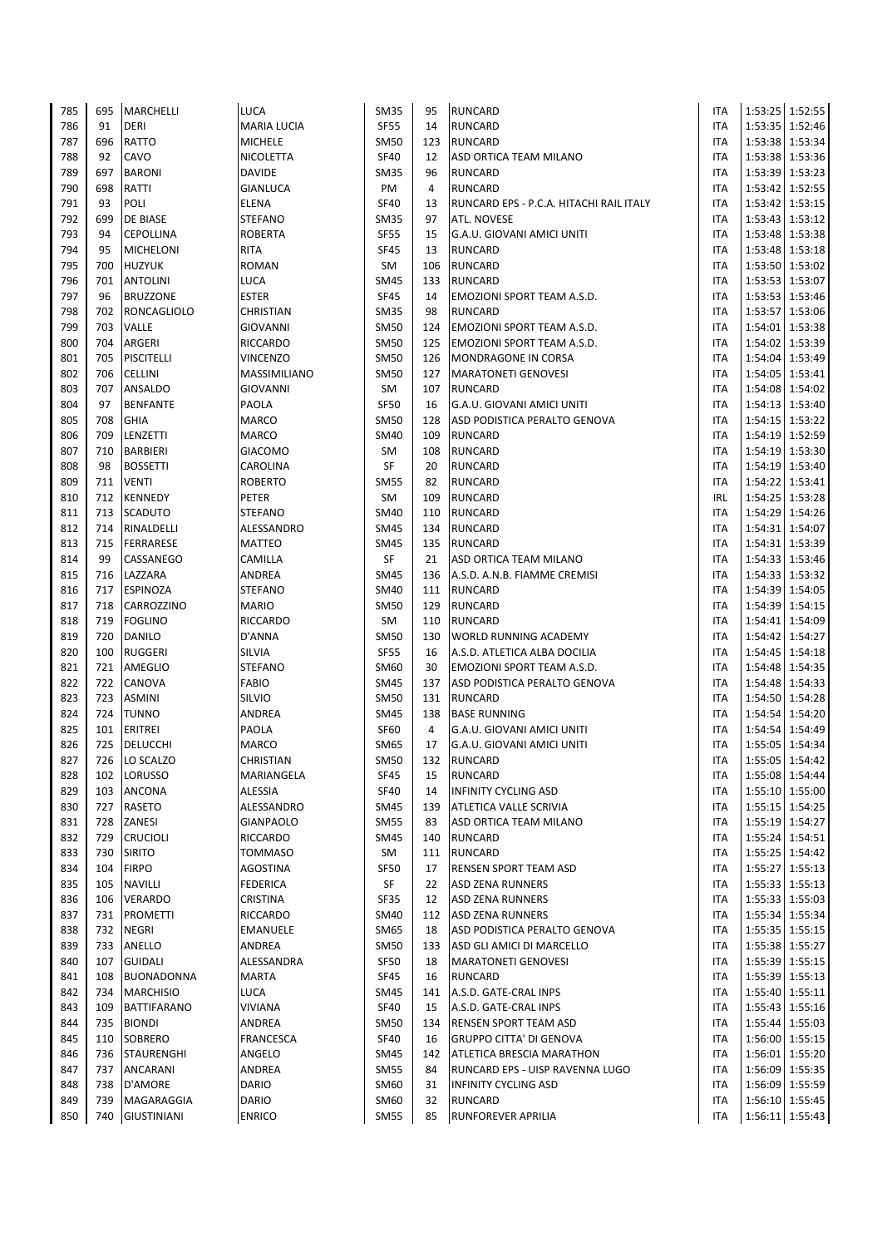| 785 | 695 | <b>MARCHELLI</b>   | LUCA               | <b>SM35</b> | 95             | <b>RUNCARD</b>                          | <b>ITA</b> |         | 1:53:25 1:52:55   |
|-----|-----|--------------------|--------------------|-------------|----------------|-----------------------------------------|------------|---------|-------------------|
| 786 | 91  | <b>DERI</b>        | <b>MARIA LUCIA</b> | <b>SF55</b> | 14             | <b>RUNCARD</b>                          | <b>ITA</b> |         | 1:53:35 1:52:46   |
| 787 | 696 | RATTO              | <b>MICHELE</b>     | <b>SM50</b> | 123            | <b>RUNCARD</b>                          | <b>ITA</b> |         | 1:53:38 1:53:34   |
| 788 | 92  | CAVO               | NICOLETTA          | <b>SF40</b> | 12             | ASD ORTICA TEAM MILANO                  | <b>ITA</b> |         | 1:53:38 1:53:36   |
| 789 | 697 | <b>BARONI</b>      | <b>DAVIDE</b>      | <b>SM35</b> | 96             | <b>RUNCARD</b>                          | <b>ITA</b> |         | 1:53:39 1:53:23   |
| 790 | 698 | RATTI              | <b>GIANLUCA</b>    | PM          | $\overline{4}$ | <b>RUNCARD</b>                          | <b>ITA</b> |         | 1:53:42 1:52:55   |
| 791 | 93  | POLI               | <b>ELENA</b>       | <b>SF40</b> | 13             | RUNCARD EPS - P.C.A. HITACHI RAIL ITALY | <b>ITA</b> |         | 1:53:42 1:53:15   |
| 792 | 699 | DE BIASE           | STEFANO            | <b>SM35</b> | 97             | ATL. NOVESE                             | <b>ITA</b> |         | 1:53:43 1:53:12   |
| 793 | 94  | <b>CEPOLLINA</b>   | <b>ROBERTA</b>     | <b>SF55</b> | 15             | G.A.U. GIOVANI AMICI UNITI              | <b>ITA</b> |         | 1:53:48 1:53:38   |
| 794 | 95  | <b>MICHELONI</b>   | <b>RITA</b>        | <b>SF45</b> | 13             | <b>RUNCARD</b>                          | <b>ITA</b> |         | 1:53:48 1:53:18   |
| 795 | 700 | <b>HUZYUK</b>      | <b>ROMAN</b>       | SM          | 106            | <b>RUNCARD</b>                          | <b>ITA</b> |         | 1:53:50 1:53:02   |
| 796 | 701 | <b>ANTOLINI</b>    | LUCA               | <b>SM45</b> | 133            | <b>RUNCARD</b>                          | <b>ITA</b> |         | 1:53:53 1:53:07   |
| 797 | 96  | <b>BRUZZONE</b>    | <b>ESTER</b>       | <b>SF45</b> | 14             | EMOZIONI SPORT TEAM A.S.D.              | <b>ITA</b> |         | 1:53:53 1:53:46   |
| 798 | 702 | RONCAGLIOLO        | <b>CHRISTIAN</b>   | <b>SM35</b> | 98             | <b>RUNCARD</b>                          | <b>ITA</b> |         | 1:53:57 1:53:06   |
| 799 | 703 | VALLE              | <b>GIOVANNI</b>    | <b>SM50</b> | 124            | EMOZIONI SPORT TEAM A.S.D.              | <b>ITA</b> |         | 1:54:01 1:53:38   |
| 800 | 704 | ARGERI             | <b>RICCARDO</b>    | <b>SM50</b> | 125            | EMOZIONI SPORT TEAM A.S.D.              | <b>ITA</b> |         | 1:54:02 1:53:39   |
|     | 705 | <b>PISCITELLI</b>  | VINCENZO           | <b>SM50</b> | 126            |                                         | <b>ITA</b> |         | 1:54:04 1:53:49   |
| 801 |     |                    |                    |             |                | MONDRAGONE IN CORSA                     |            |         |                   |
| 802 | 706 | CELLINI            | MASSIMILIANO       | <b>SM50</b> | 127            | <b>MARATONETI GENOVESI</b>              | <b>ITA</b> |         | 1:54:05 1:53:41   |
| 803 | 707 | ANSALDO            | <b>GIOVANNI</b>    | SM          | 107            | <b>RUNCARD</b>                          | ITA        |         | 1:54:08 1:54:02   |
| 804 | 97  | <b>BENFANTE</b>    | PAOLA              | <b>SF50</b> | 16             | G.A.U. GIOVANI AMICI UNITI              | <b>ITA</b> |         | 1:54:13 1:53:40   |
| 805 | 708 | GHIA               | <b>MARCO</b>       | <b>SM50</b> | 128            | ASD PODISTICA PERALTO GENOVA            | <b>ITA</b> |         | 1:54:15 1:53:22   |
| 806 | 709 | LENZETTI           | <b>MARCO</b>       | <b>SM40</b> | 109            | <b>RUNCARD</b>                          | <b>ITA</b> |         | 1:54:19 1:52:59   |
| 807 | 710 | <b>BARBIERI</b>    | <b>GIACOMO</b>     | SM          | 108            | <b>RUNCARD</b>                          | <b>ITA</b> |         | 1:54:19 1:53:30   |
| 808 | 98  | <b>BOSSETTI</b>    | CAROLINA           | SF          | 20             | <b>RUNCARD</b>                          | <b>ITA</b> |         | 1:54:19 1:53:40   |
| 809 | 711 | <b>VENTI</b>       | <b>ROBERTO</b>     | <b>SM55</b> | 82             | <b>RUNCARD</b>                          | <b>ITA</b> |         | 1:54:22 1:53:41   |
| 810 | 712 | KENNEDY            | PETER              | SM          | 109            | <b>RUNCARD</b>                          | <b>IRL</b> |         | 1:54:25 1:53:28   |
| 811 | 713 | SCADUTO            | <b>STEFANO</b>     | <b>SM40</b> | 110            | <b>RUNCARD</b>                          | <b>ITA</b> |         | 1:54:29 1:54:26   |
| 812 | 714 | RINALDELLI         | ALESSANDRO         | <b>SM45</b> | 134            | <b>RUNCARD</b>                          | <b>ITA</b> |         | 1:54:31 1:54:07   |
| 813 | 715 | <b>FERRARESE</b>   | <b>MATTEO</b>      | <b>SM45</b> | 135            | <b>RUNCARD</b>                          | <b>ITA</b> |         | 1:54:31 1:53:39   |
| 814 | 99  | CASSANEGO          | CAMILLA            | SF          | 21             | ASD ORTICA TEAM MILANO                  | <b>ITA</b> |         | 1:54:33 1:53:46   |
| 815 | 716 | LAZZARA            | ANDREA             | <b>SM45</b> | 136            | A.S.D. A.N.B. FIAMME CREMISI            | <b>ITA</b> |         | 1:54:33 1:53:32   |
| 816 | 717 | <b>ESPINOZA</b>    | <b>STEFANO</b>     | <b>SM40</b> | 111            | <b>RUNCARD</b>                          | <b>ITA</b> |         | 1:54:39 1:54:05   |
| 817 | 718 | CARROZZINO         | <b>MARIO</b>       | <b>SM50</b> | 129            | <b>RUNCARD</b>                          | <b>ITA</b> |         | 1:54:39 1:54:15   |
| 818 | 719 | <b>FOGLINO</b>     | <b>RICCARDO</b>    | SM          | 110            | <b>RUNCARD</b>                          | <b>ITA</b> |         | 1:54:41 1:54:09   |
| 819 | 720 | DANILO             | D'ANNA             | <b>SM50</b> | 130            | WORLD RUNNING ACADEMY                   | <b>ITA</b> |         | 1:54:42 1:54:27   |
| 820 | 100 | <b>RUGGERI</b>     | <b>SILVIA</b>      | <b>SF55</b> | 16             | A.S.D. ATLETICA ALBA DOCILIA            | <b>ITA</b> |         | 1:54:45 1:54:18   |
| 821 | 721 | AMEGLIO            | <b>STEFANO</b>     | <b>SM60</b> | 30             | <b>EMOZIONI SPORT TEAM A.S.D.</b>       | <b>ITA</b> |         | 1:54:48 1:54:35   |
| 822 | 722 | CANOVA             | <b>FABIO</b>       | <b>SM45</b> | 137            | ASD PODISTICA PERALTO GENOVA            | ITA        | 1:54:48 | 1:54:33           |
| 823 | 723 | <b>ASMINI</b>      | SILVIO             | <b>SM50</b> | 131            | <b>RUNCARD</b>                          | <b>ITA</b> |         | 1:54:50 1:54:28   |
| 824 | 724 | <b>TUNNO</b>       | ANDREA             | <b>SM45</b> | 138            | <b>BASE RUNNING</b>                     | <b>ITA</b> |         | 1:54:54 1:54:20   |
| 825 | 101 | <b>ERITREI</b>     | PAOLA              | <b>SF60</b> | $\overline{4}$ | G.A.U. GIOVANI AMICI UNITI              | <b>ITA</b> |         | 1:54:54 1:54:49   |
| 826 | 725 | DELUCCHI           | <b>MARCO</b>       | <b>SM65</b> | 17             | G.A.U. GIOVANI AMICI UNITI              | ITA        |         | 1:55:05 1:54:34   |
| 827 | 726 | LO SCALZO          | CHRISTIAN          | <b>SM50</b> |                | 132 RUNCARD                             | <b>ITA</b> |         | 1:55:05 1:54:42   |
| 828 | 102 | <b>LORUSSO</b>     | MARIANGELA         | SF45        | 15             | <b>RUNCARD</b>                          | ITA        |         | 1:55:08 1:54:44   |
| 829 | 103 | ANCONA             | ALESSIA            | <b>SF40</b> | 14             | <b>INFINITY CYCLING ASD</b>             | <b>ITA</b> |         | 1:55:10 1:55:00   |
| 830 | 727 | RASETO             | ALESSANDRO         | <b>SM45</b> | 139            | ATLETICA VALLE SCRIVIA                  | <b>ITA</b> |         | 1:55:15 1:54:25   |
| 831 | 728 | ZANESI             | <b>GIANPAOLO</b>   | <b>SM55</b> | 83             | ASD ORTICA TEAM MILANO                  | <b>ITA</b> |         | 1:55:19 1:54:27   |
| 832 | 729 | <b>CRUCIOLI</b>    | RICCARDO           | <b>SM45</b> | 140            | <b>RUNCARD</b>                          | <b>ITA</b> |         | 1:55:24 1:54:51   |
| 833 | 730 | <b>SIRITO</b>      | TOMMASO            | SM          | 111            | <b>RUNCARD</b>                          | ITA        |         | 1:55:25   1:54:42 |
| 834 | 104 | <b>FIRPO</b>       | AGOSTINA           | SF50        | 17             | RENSEN SPORT TEAM ASD                   | ITA        |         | 1:55:27 1:55:13   |
| 835 | 105 | <b>NAVILLI</b>     | <b>FEDERICA</b>    | SF          | 22             | <b>ASD ZENA RUNNERS</b>                 | ITA        |         | 1:55:33 1:55:13   |
| 836 | 106 | VERARDO            | CRISTINA           | SF35        | 12             | <b>ASD ZENA RUNNERS</b>                 | ITA        |         | 1:55:33 1:55:03   |
|     |     |                    |                    |             |                |                                         |            |         |                   |
| 837 | 731 | PROMETTI           | RICCARDO           | <b>SM40</b> | 112            | <b>ASD ZENA RUNNERS</b>                 | ITA        |         | 1:55:34 1:55:34   |
| 838 | 732 | <b>NEGRI</b>       | EMANUELE           | <b>SM65</b> | 18             | ASD PODISTICA PERALTO GENOVA            | ITA        |         | 1:55:35 1:55:15   |
| 839 | 733 | ANELLO             | ANDREA             | <b>SM50</b> | 133            | ASD GLI AMICI DI MARCELLO               | ITA        |         | 1:55:38 1:55:27   |
| 840 | 107 | <b>GUIDALI</b>     | ALESSANDRA         | <b>SF50</b> | 18             | <b>MARATONETI GENOVESI</b>              | <b>ITA</b> |         | 1:55:39 1:55:15   |
| 841 | 108 | BUONADONNA         | <b>MARTA</b>       | <b>SF45</b> | 16             | <b>RUNCARD</b>                          | ITA        |         | 1:55:39 1:55:13   |
| 842 | 734 | <b>MARCHISIO</b>   | LUCA               | <b>SM45</b> | 141            | A.S.D. GATE-CRAL INPS                   | <b>ITA</b> |         | 1:55:40 1:55:11   |
| 843 | 109 | <b>BATTIFARANO</b> | VIVIANA            | <b>SF40</b> | 15             | A.S.D. GATE-CRAL INPS                   | <b>ITA</b> |         | 1:55:43 1:55:16   |
| 844 | 735 | <b>BIONDI</b>      | ANDREA             | <b>SM50</b> | 134            | RENSEN SPORT TEAM ASD                   | <b>ITA</b> |         | 1:55:44 1:55:03   |
| 845 | 110 | <b>SOBRERO</b>     | <b>FRANCESCA</b>   | <b>SF40</b> | 16             | <b>GRUPPO CITTA' DI GENOVA</b>          | <b>ITA</b> |         | 1:56:00 1:55:15   |
| 846 | 736 | <b>STAURENGHI</b>  | ANGELO             | <b>SM45</b> | 142            | <b>ATLETICA BRESCIA MARATHON</b>        | <b>ITA</b> |         | 1:56:01 1:55:20   |
| 847 | 737 | ANCARANI           | ANDREA             | <b>SM55</b> | 84             | RUNCARD EPS - UISP RAVENNA LUGO         | <b>ITA</b> |         | 1:56:09 1:55:35   |
| 848 | 738 | D'AMORE            | <b>DARIO</b>       | <b>SM60</b> | 31             | <b>INFINITY CYCLING ASD</b>             | <b>ITA</b> |         | 1:56:09 1:55:59   |
| 849 | 739 | MAGARAGGIA         | DARIO              | SM60        | 32             | <b>RUNCARD</b>                          | ITA        |         | 1:56:10 1:55:45   |
| 850 | 740 | <b>GIUSTINIANI</b> | <b>ENRICO</b>      | <b>SM55</b> | 85             | <b>RUNFOREVER APRILIA</b>               | <b>ITA</b> |         | 1:56:11 1:55:43   |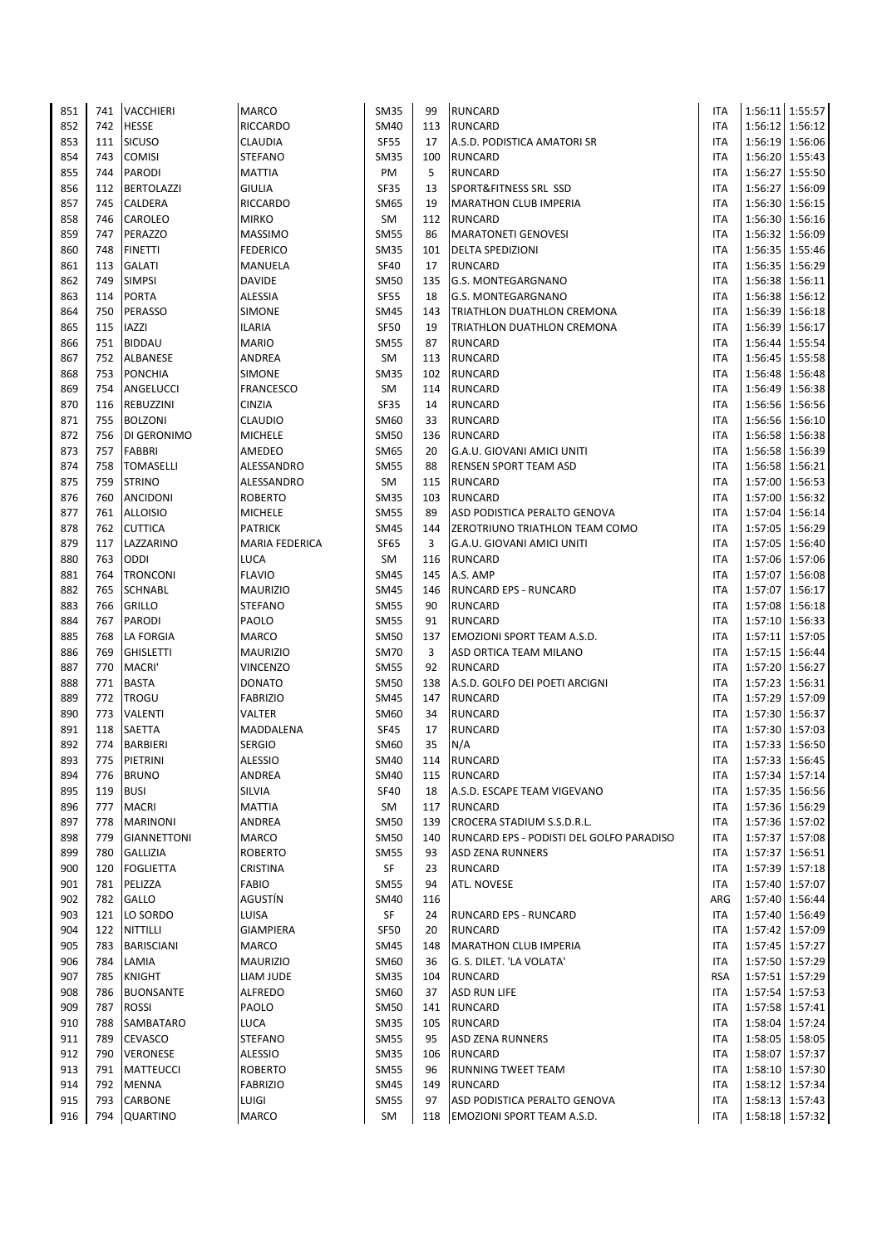| 851        | 741        | VACCHIERI                        | <b>MARCO</b>                    | <b>SM35</b>         | 99         | <b>RUNCARD</b>                           | <b>ITA</b>               |         | 1:56:11 1:55:57                    |
|------------|------------|----------------------------------|---------------------------------|---------------------|------------|------------------------------------------|--------------------------|---------|------------------------------------|
| 852        | 742        | <b>HESSE</b>                     | <b>RICCARDO</b>                 | <b>SM40</b>         | 113        | <b>RUNCARD</b>                           | <b>ITA</b>               |         | 1:56:12 1:56:12                    |
| 853        | 111        | <b>SICUSO</b>                    | <b>CLAUDIA</b>                  | SF55                | 17         | A.S.D. PODISTICA AMATORI SR              | <b>ITA</b>               |         | 1:56:19 1:56:06                    |
| 854        | 743        | <b>COMISI</b>                    | <b>STEFANO</b>                  | <b>SM35</b>         | 100        | <b>RUNCARD</b>                           | <b>ITA</b>               |         | 1:56:20 1:55:43                    |
| 855        | 744        | <b>PARODI</b>                    | <b>MATTIA</b>                   | PM                  | 5          | <b>RUNCARD</b>                           | ITA                      |         | 1:56:27   1:55:50                  |
| 856        | 112        | <b>BERTOLAZZI</b>                | <b>GIULIA</b>                   | SF35                | 13         | SPORT&FITNESS SRL SSD                    | <b>ITA</b>               |         | 1:56:27 1:56:09                    |
| 857        | 745        | CALDERA                          | <b>RICCARDO</b>                 | SM65                | 19         | <b>MARATHON CLUB IMPERIA</b>             | <b>ITA</b>               |         | 1:56:30 1:56:15                    |
| 858        | 746        | CAROLEO                          | <b>MIRKO</b>                    | SM                  | 112        | <b>RUNCARD</b>                           | <b>ITA</b>               |         | 1:56:30 1:56:16                    |
| 859        | 747        | PERAZZO                          | <b>MASSIMO</b>                  | <b>SM55</b>         | 86         | <b>MARATONETI GENOVESI</b>               | ITA                      |         | 1:56:32 1:56:09                    |
| 860        | 748        | <b>FINETTI</b>                   | <b>FEDERICO</b>                 | <b>SM35</b>         | 101        | <b>DELTA SPEDIZIONI</b>                  | <b>ITA</b>               |         | 1:56:35 1:55:46                    |
| 861        | 113        | <b>GALATI</b>                    | <b>MANUELA</b>                  | <b>SF40</b>         | 17         | <b>RUNCARD</b>                           | ITA                      |         | 1:56:35 1:56:29                    |
| 862        | 749        | <b>SIMPSI</b>                    | <b>DAVIDE</b>                   | <b>SM50</b>         | 135        | G.S. MONTEGARGNANO                       | <b>ITA</b>               |         | 1:56:38 1:56:11                    |
| 863        | 114        | <b>PORTA</b>                     | <b>ALESSIA</b>                  | <b>SF55</b>         | 18         | G.S. MONTEGARGNANO                       | <b>ITA</b>               |         | 1:56:38 1:56:12                    |
| 864        | 750        | PERASSO                          | <b>SIMONE</b>                   | <b>SM45</b>         | 143        | TRIATHLON DUATHLON CREMONA               | <b>ITA</b>               |         | 1:56:39 1:56:18                    |
| 865        | 115        | <b>IAZZI</b>                     | <b>ILARIA</b>                   | SF50                | 19         | TRIATHLON DUATHLON CREMONA               | ITA                      |         | 1:56:39 1:56:17                    |
| 866        | 751        | <b>BIDDAU</b>                    | <b>MARIO</b>                    | <b>SM55</b>         | 87         | <b>RUNCARD</b>                           | ITA                      |         | 1:56:44 1:55:54                    |
| 867        | 752<br>753 | ALBANESE<br><b>PONCHIA</b>       | ANDREA<br><b>SIMONE</b>         | SM<br><b>SM35</b>   | 113<br>102 | <b>RUNCARD</b><br><b>RUNCARD</b>         | <b>ITA</b><br><b>ITA</b> |         | 1:56:45 1:55:58                    |
| 868        | 754        | ANGELUCCI                        |                                 | SM                  |            |                                          |                          | 1:56:49 | 1:56:48 1:56:48                    |
| 869        | 116        |                                  | <b>FRANCESCO</b>                |                     | 114<br>14  | <b>RUNCARD</b>                           | <b>ITA</b><br><b>ITA</b> |         | 1:56:38                            |
| 870<br>871 | 755        | REBUZZINI<br><b>BOLZONI</b>      | <b>CINZIA</b><br><b>CLAUDIO</b> | SF35<br>SM60        | 33         | <b>RUNCARD</b><br><b>RUNCARD</b>         | ITA                      |         | 1:56:56 1:56:56<br>1:56:56 1:56:10 |
| 872        | 756        | DI GERONIMO                      | <b>MICHELE</b>                  | <b>SM50</b>         | 136        | <b>RUNCARD</b>                           | <b>ITA</b>               |         | 1:56:58 1:56:38                    |
| 873        | 757        | <b>FABBRI</b>                    | AMEDEO                          | SM65                | 20         | G.A.U. GIOVANI AMICI UNITI               | ITA                      | 1:56:58 | 1:56:39                            |
| 874        | 758        | <b>TOMASELLI</b>                 | ALESSANDRO                      | <b>SM55</b>         | 88         | RENSEN SPORT TEAM ASD                    | ITA                      |         | 1:56:58 1:56:21                    |
| 875        | 759        | <b>STRINO</b>                    | ALESSANDRO                      | SM                  | 115        | <b>RUNCARD</b>                           | ITA                      |         | 1:57:00 1:56:53                    |
| 876        | 760        | <b>ANCIDONI</b>                  | <b>ROBERTO</b>                  | <b>SM35</b>         | 103        | <b>RUNCARD</b>                           | <b>ITA</b>               | 1:57:00 | 1:56:32                            |
| 877        | 761        | <b>ALLOISIO</b>                  | <b>MICHELE</b>                  | <b>SM55</b>         | 89         | ASD PODISTICA PERALTO GENOVA             | ITA                      | 1:57:04 | 1:56:14                            |
| 878        | 762        | <b>CUTTICA</b>                   | <b>PATRICK</b>                  | SM45                | 144        | ZEROTRIUNO TRIATHLON TEAM COMO           | ITA                      |         | 1:57:05 1:56:29                    |
| 879        | 117        | LAZZARINO                        | <b>MARIA FEDERICA</b>           | SF65                | 3          | G.A.U. GIOVANI AMICI UNITI               | ITA                      |         | 1:57:05 1:56:40                    |
| 880        | 763        | ODDI                             | LUCA                            | SM                  | 116        | RUNCARD                                  | ITA                      |         | 1:57:06 1:57:06                    |
| 881        | 764        | <b>TRONCONI</b>                  | <b>FLAVIO</b>                   | SM45                | 145        | A.S. AMP                                 | <b>ITA</b>               |         | 1:57:07 1:56:08                    |
| 882        | 765        | <b>SCHNABL</b>                   | <b>MAURIZIO</b>                 | <b>SM45</b>         | 146        | RUNCARD EPS - RUNCARD                    | ITA                      |         | 1:57:07 1:56:17                    |
| 883        | 766        | <b>GRILLO</b>                    | <b>STEFANO</b>                  | <b>SM55</b>         | 90         | <b>RUNCARD</b>                           | ITA                      |         | 1:57:08 1:56:18                    |
| 884        | 767        | <b>PARODI</b>                    | PAOLO                           | <b>SM55</b>         | 91         | <b>RUNCARD</b>                           | ITA                      | 1:57:10 | 1:56:33                            |
| 885        | 768        | LA FORGIA                        | <b>MARCO</b>                    | <b>SM50</b>         | 137        | EMOZIONI SPORT TEAM A.S.D.               | <b>ITA</b>               |         | 1:57:11 1:57:05                    |
| 886        | 769        | <b>GHISLETTI</b>                 | <b>MAURIZIO</b>                 | <b>SM70</b>         | 3          | ASD ORTICA TEAM MILANO                   | ITA                      |         | 1:57:15 1:56:44                    |
| 887        | 770        | MACRI'                           | <b>VINCENZO</b>                 | <b>SM55</b>         | 92         | <b>RUNCARD</b>                           | ITA                      |         | 1:57:20 1:56:27                    |
| 888        | 771        | <b>BASTA</b>                     | <b>DONATO</b>                   | <b>SM50</b>         | 138        | A.S.D. GOLFO DEI POETI ARCIGNI           | ITA                      |         | 1:57:23 1:56:31                    |
| 889        | 772        | <b>TROGU</b>                     | <b>FABRIZIO</b>                 | SM45                | 147        | <b>RUNCARD</b>                           | ITA                      |         | 1:57:29 1:57:09                    |
| 890        | 773        | VALENTI                          | <b>VALTER</b>                   | SM60                | 34         | <b>RUNCARD</b>                           | ITA                      |         | 1:57:30 1:56:37                    |
| 891        | 118        | SAETTA                           | MADDALENA                       | <b>SF45</b>         | 17         | <b>RUNCARD</b>                           | ITA                      |         | 1:57:30 1:57:03                    |
| 892        | 774        | <b>BARBIERI</b>                  | <b>SERGIO</b>                   | SM60                | 35         | N/A                                      | ITA                      |         | 1:57:33 1:56:50                    |
| 893        | 775        | PIETRINI                         | <b>ALESSIO</b>                  | SM40                | 114        | <b>RUNCARD</b>                           | <b>ITA</b>               |         | 1:57:33 1:56:45                    |
| 894        | 776        | <b>BRUNO</b>                     | ANDREA                          | SM40                | 115        | <b>RUNCARD</b>                           | ITA                      |         | 1:57:34 1:57:14                    |
| 895        | 119        | <b>BUSI</b>                      | SILVIA                          | <b>SF40</b>         | 18         | A.S.D. ESCAPE TEAM VIGEVANO              | <b>ITA</b>               |         | 1:57:35 1:56:56                    |
| 896        | 777        | <b>MACRI</b>                     | <b>MATTIA</b>                   | SM                  | 117        | <b>RUNCARD</b>                           | ITA                      |         | 1:57:36 1:56:29                    |
| 897        | 778        | <b>MARINONI</b>                  | <b>ANDREA</b>                   | <b>SM50</b>         | 139        | CROCERA STADIUM S.S.D.R.L.               | <b>ITA</b>               |         | 1:57:36 1:57:02                    |
| 898        | 779        | <b>GIANNETTONI</b>               | <b>MARCO</b>                    | <b>SM50</b>         | 140        | RUNCARD EPS - PODISTI DEL GOLFO PARADISO | ITA                      |         | 1:57:37 1:57:08                    |
| 899        | 780        | <b>GALLIZIA</b>                  | <b>ROBERTO</b>                  | <b>SM55</b>         | 93         | ASD ZENA RUNNERS                         | ITA                      |         | 1:57:37 1:56:51                    |
| 900        | 120        | <b>FOGLIETTA</b>                 | CRISTINA                        | SF                  | 23         | <b>RUNCARD</b>                           | ITA                      |         | 1:57:39 1:57:18                    |
| 901        | 781        | PELIZZA                          | <b>FABIO</b>                    | <b>SM55</b>         | 94         | ATL. NOVESE                              | <b>ITA</b>               |         | 1:57:40 1:57:07                    |
| 902        | 782        | <b>GALLO</b>                     | AGUSTÍN                         | <b>SM40</b>         | 116        |                                          | ARG                      |         | 1:57:40 1:56:44                    |
| 903        | 121        | LO SORDO                         | LUISA                           | SF                  | 24         | <b>RUNCARD EPS - RUNCARD</b>             | ITA                      |         | 1:57:40 1:56:49                    |
| 904        | 122        | NITTILLI                         | <b>GIAMPIERA</b>                | SF50                | 20         | RUNCARD                                  | ITA                      |         | 1:57:42 1:57:09                    |
| 905        | 783        | <b>BARISCIANI</b>                | <b>MARCO</b>                    | <b>SM45</b>         | 148        | <b>MARATHON CLUB IMPERIA</b>             | ITA                      |         | 1:57:45 1:57:27                    |
| 906        | 784        | LAMIA                            | <b>MAURIZIO</b>                 | SM60                | 36         | G. S. DILET. 'LA VOLATA'                 | <b>ITA</b>               |         | 1:57:50 1:57:29                    |
| 907<br>908 | 785<br>786 | <b>KNIGHT</b>                    | LIAM JUDE<br><b>ALFREDO</b>     | <b>SM35</b><br>SM60 | 104<br>37  | <b>RUNCARD</b>                           | <b>RSA</b><br>ITA        |         | 1:57:51   1:57:29                  |
| 909        | 787        | <b>BUONSANTE</b><br><b>ROSSI</b> | PAOLO                           | <b>SM50</b>         | 141        | <b>ASD RUN LIFE</b><br><b>RUNCARD</b>    | <b>ITA</b>               |         | 1:57:54 1:57:53<br>1:57:58 1:57:41 |
| 910        | 788        | SAMBATARO                        | <b>LUCA</b>                     | <b>SM35</b>         | 105        | <b>RUNCARD</b>                           | ITA                      |         | 1:58:04 1:57:24                    |
| 911        | 789        | <b>CEVASCO</b>                   | <b>STEFANO</b>                  | <b>SM55</b>         | 95         | <b>ASD ZENA RUNNERS</b>                  | ITA                      |         | 1:58:05   1:58:05                  |
| 912        | 790        | <b>VERONESE</b>                  | <b>ALESSIO</b>                  | SM35                | 106        | <b>RUNCARD</b>                           | ITA                      |         | 1:58:07 1:57:37                    |
| 913        | 791        | <b>MATTEUCCI</b>                 | <b>ROBERTO</b>                  | <b>SM55</b>         | 96         | RUNNING TWEET TEAM                       | ITA                      |         | 1:58:10 1:57:30                    |
| 914        | 792        | MENNA                            | <b>FABRIZIO</b>                 | SM45                | 149        | <b>RUNCARD</b>                           | ITA                      |         | 1:58:12 1:57:34                    |
| 915        | 793        | CARBONE                          | <b>LUIGI</b>                    | <b>SM55</b>         | 97         | ASD PODISTICA PERALTO GENOVA             | ITA                      |         | 1:58:13 1:57:43                    |
| 916        | 794        | <b>QUARTINO</b>                  | <b>MARCO</b>                    | SM                  | 118        | EMOZIONI SPORT TEAM A.S.D.               | ITA                      |         | 1:58:18 1:57:32                    |
|            |            |                                  |                                 |                     |            |                                          |                          |         |                                    |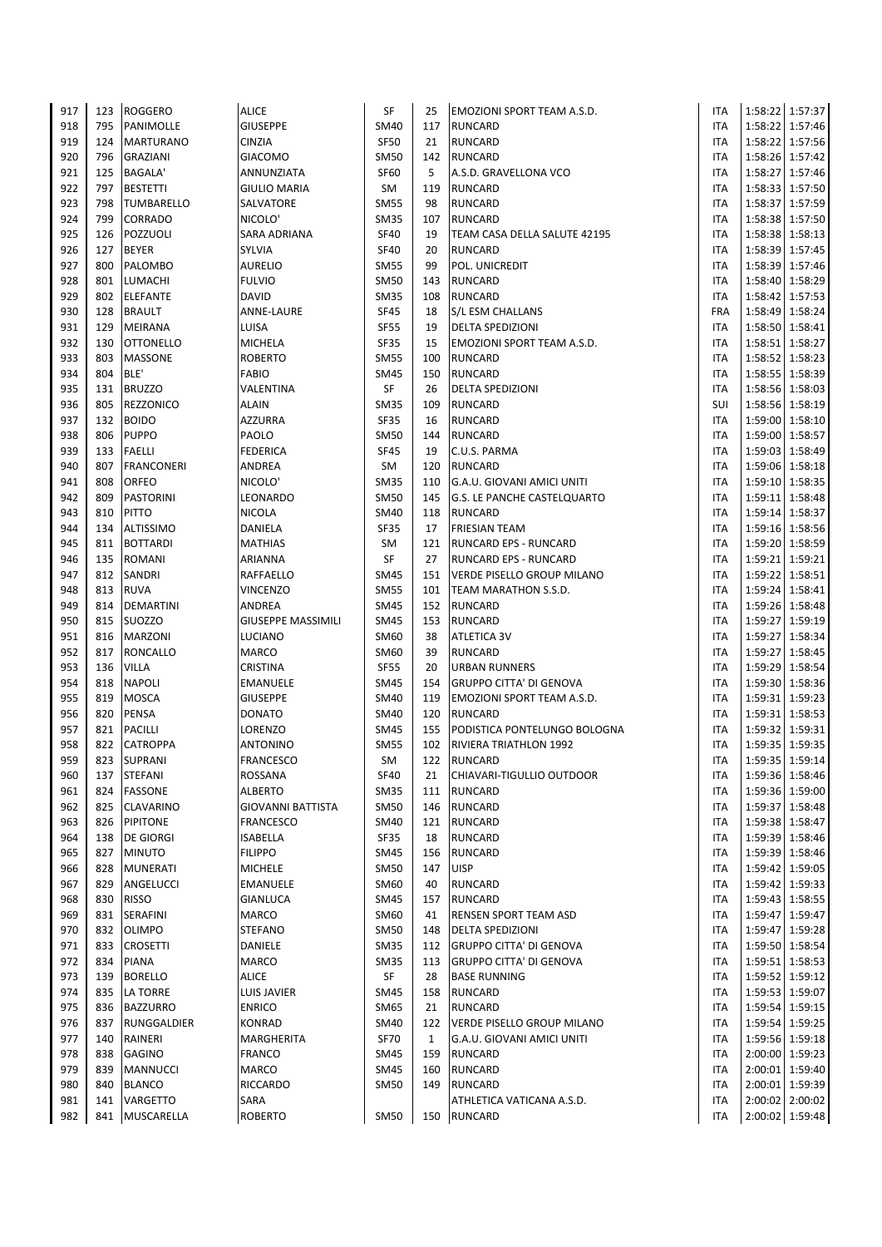| 917        | 123        | <b>ROGGERO</b>                  | <b>ALICE</b>               | SF                         | 25           | <b>EMOZIONI SPORT TEAM A.S.D.</b>                     | <b>ITA</b>        |         | 1:58:22 1:57:37                    |
|------------|------------|---------------------------------|----------------------------|----------------------------|--------------|-------------------------------------------------------|-------------------|---------|------------------------------------|
| 918        | 795        | PANIMOLLE                       | <b>GIUSEPPE</b>            | <b>SM40</b>                | 117          | <b>RUNCARD</b>                                        | <b>ITA</b>        |         | 1:58:22 1:57:46                    |
| 919        | 124        | <b>MARTURANO</b>                | <b>CINZIA</b>              | <b>SF50</b>                | 21           | <b>RUNCARD</b>                                        | <b>ITA</b>        |         | 1:58:22 1:57:56                    |
| 920        | 796        | <b>GRAZIANI</b>                 | <b>GIACOMO</b>             | <b>SM50</b>                | 142          | <b>RUNCARD</b>                                        | ITA               |         | 1:58:26 1:57:42                    |
| 921        | 125        | <b>BAGALA'</b>                  | ANNUNZIATA                 | <b>SF60</b>                | 5            | A.S.D. GRAVELLONA VCO                                 | <b>ITA</b>        |         | 1:58:27 1:57:46                    |
| 922        | 797        | <b>BESTETTI</b>                 | <b>GIULIO MARIA</b>        | SM                         | 119          | <b>RUNCARD</b>                                        | <b>ITA</b>        |         | 1:58:33 1:57:50                    |
| 923        | 798        | <b>TUMBARELLO</b>               | SALVATORE                  | <b>SM55</b>                | 98           | <b>RUNCARD</b>                                        | <b>ITA</b>        | 1:58:37 | 1:57:59                            |
| 924        | 799        | <b>CORRADO</b>                  | NICOLO'                    | <b>SM35</b>                | 107          | <b>RUNCARD</b>                                        | ITA               |         | 1:58:38 1:57:50                    |
| 925        | 126        | POZZUOLI                        | SARA ADRIANA               | <b>SF40</b>                | 19           | TEAM CASA DELLA SALUTE 42195                          | <b>ITA</b>        |         | 1:58:38 1:58:13                    |
| 926        | 127        | <b>BEYER</b>                    | SYLVIA                     | <b>SF40</b>                | 20           | <b>RUNCARD</b>                                        | <b>ITA</b>        |         | 1:58:39 1:57:45                    |
| 927        | 800        | PALOMBO                         | <b>AURELIO</b>             | <b>SM55</b>                | 99           | POL. UNICREDIT                                        | ITA               |         | 1:58:39 1:57:46                    |
| 928        | 801        | <b>LUMACHI</b>                  | <b>FULVIO</b>              | <b>SM50</b>                | 143          | RUNCARD                                               | ITA               |         | 1:58:40 1:58:29                    |
| 929        | 802        | <b>ELEFANTE</b>                 | DAVID                      | <b>SM35</b>                | 108          | <b>RUNCARD</b>                                        | <b>ITA</b>        |         | 1:58:42 1:57:53                    |
| 930        | 128<br>129 | <b>BRAULT</b><br><b>MEIRANA</b> | <b>ANNE-LAURE</b><br>LUISA | <b>SF45</b>                | 18<br>19     | S/L ESM CHALLANS                                      | <b>FRA</b>        |         | 1:58:49 1:58:24                    |
| 931<br>932 | 130        | <b>OTTONELLO</b>                | <b>MICHELA</b>             | <b>SF55</b><br>SF35        | 15           | <b>DELTA SPEDIZIONI</b><br>EMOZIONI SPORT TEAM A.S.D. | ITA<br>ITA        |         | 1:58:50 1:58:41<br>1:58:51 1:58:27 |
| 933        | 803        | <b>MASSONE</b>                  | <b>ROBERTO</b>             | <b>SM55</b>                | 100          | <b>RUNCARD</b>                                        | ITA               |         | 1:58:52 1:58:23                    |
| 934        | 804        | BLE'                            | <b>FABIO</b>               | <b>SM45</b>                | 150          | <b>RUNCARD</b>                                        | <b>ITA</b>        |         | 1:58:55 1:58:39                    |
| 935        | 131        | <b>BRUZZO</b>                   | VALENTINA                  | SF                         | 26           | <b>DELTA SPEDIZIONI</b>                               | ITA               |         | 1:58:56 1:58:03                    |
| 936        | 805        | <b>REZZONICO</b>                | <b>ALAIN</b>               | <b>SM35</b>                | 109          | <b>RUNCARD</b>                                        | SUI               |         | 1:58:56 1:58:19                    |
| 937        | 132        | <b>BOIDO</b>                    | <b>AZZURRA</b>             | SF35                       | 16           | <b>RUNCARD</b>                                        | ITA               |         | 1:59:00 1:58:10                    |
| 938        | 806        | <b>PUPPO</b>                    | PAOLO                      | <b>SM50</b>                | 144          | <b>RUNCARD</b>                                        | ITA               |         | 1:59:00 1:58:57                    |
| 939        | 133        | <b>FAELLI</b>                   | <b>FEDERICA</b>            | <b>SF45</b>                | 19           | C.U.S. PARMA                                          | ITA               |         | 1:59:03 1:58:49                    |
| 940        | 807        | <b>FRANCONERI</b>               | ANDREA                     | SM                         | 120          | <b>RUNCARD</b>                                        | <b>ITA</b>        |         | 1:59:06 1:58:18                    |
| 941        | 808        | <b>ORFEO</b>                    | NICOLO'                    | <b>SM35</b>                | 110          | G.A.U. GIOVANI AMICI UNITI                            | <b>ITA</b>        |         | 1:59:10 1:58:35                    |
| 942        | 809        | <b>PASTORINI</b>                | LEONARDO                   | <b>SM50</b>                | 145          | <b>G.S. LE PANCHE CASTELQUARTO</b>                    | <b>ITA</b>        |         | 1:59:11 1:58:48                    |
| 943        | 810        | <b>PITTO</b>                    | <b>NICOLA</b>              | <b>SM40</b>                | 118          | <b>RUNCARD</b>                                        | <b>ITA</b>        |         | 1:59:14 1:58:37                    |
| 944        | 134        | <b>ALTISSIMO</b>                | DANIELA                    | <b>SF35</b>                | 17           | <b>FRIESIAN TEAM</b>                                  | <b>ITA</b>        |         | 1:59:16 1:58:56                    |
| 945        | 811        | <b>BOTTARDI</b>                 | <b>MATHIAS</b>             | SM                         | 121          | RUNCARD EPS - RUNCARD                                 | <b>ITA</b>        |         | 1:59:20 1:58:59                    |
| 946        | 135        | <b>ROMANI</b>                   | ARIANNA                    | SF                         | 27           | RUNCARD EPS - RUNCARD                                 | <b>ITA</b>        |         | 1:59:21 1:59:21                    |
| 947        | 812        | SANDRI                          | RAFFAELLO                  | <b>SM45</b>                | 151          | VERDE PISELLO GROUP MILANO                            | ITA               |         | 1:59:22 1:58:51                    |
| 948        | 813        | <b>RUVA</b>                     | <b>VINCENZO</b>            | <b>SM55</b>                | 101          | TEAM MARATHON S.S.D.                                  | <b>ITA</b>        |         | 1:59:24 1:58:41                    |
| 949        | 814        | <b>DEMARTINI</b>                | ANDREA                     | <b>SM45</b>                | 152          | <b>RUNCARD</b>                                        | <b>ITA</b>        |         | 1:59:26 1:58:48                    |
| 950        | 815        | <b>SUOZZO</b>                   | <b>GIUSEPPE MASSIMILI</b>  | <b>SM45</b>                | 153          | <b>RUNCARD</b>                                        | <b>ITA</b>        | 1:59:27 | 1:59:19                            |
| 951        | 816        | <b>MARZONI</b>                  | LUCIANO                    | SM60                       | 38           | <b>ATLETICA 3V</b>                                    | ITA               | 1:59:27 | 1:58:34                            |
| 952        | 817        | RONCALLO                        | MARCO                      | SM60                       | 39           | <b>RUNCARD</b>                                        | ITA               |         | 1:59:27 1:58:45                    |
| 953        | 136        | <b>VILLA</b>                    | CRISTINA                   | <b>SF55</b>                | 20           | <b>URBAN RUNNERS</b>                                  | ITA               |         | 1:59:29 1:58:54                    |
| 954        | 818        | <b>NAPOLI</b>                   | EMANUELE                   | SM45                       | 154          | <b>GRUPPO CITTA' DI GENOVA</b>                        | ITA               |         | 1:59:30 1:58:36                    |
| 955        | 819        | <b>MOSCA</b>                    | <b>GIUSEPPE</b>            | <b>SM40</b>                | 119          | EMOZIONI SPORT TEAM A.S.D.                            | ITA               |         | 1:59:31 1:59:23<br>1:59:31 1:58:53 |
| 956<br>957 | 820<br>821 | <b>PENSA</b><br><b>PACILLI</b>  | <b>DONATO</b><br>LORENZO   | <b>SM40</b><br><b>SM45</b> | 120<br>155   | <b>RUNCARD</b><br>PODISTICA PONTELUNGO BOLOGNA        | ITA<br><b>ITA</b> |         | 1:59:32 1:59:31                    |
| 958        | 822        | <b>CATROPPA</b>                 | <b>ANTONINO</b>            | <b>SM55</b>                | 102          | <b>RIVIERA TRIATHLON 1992</b>                         | <b>ITA</b>        |         | 1:59:35 1:59:35                    |
| 959        |            | 823 SUPRANI                     | <b>FRANCESCO</b>           | SM                         |              | 122 RUNCARD                                           | <b>ITA</b>        |         | 1:59:35 1:59:14                    |
| 960        | 137        | <b>STEFANI</b>                  | ROSSANA                    | <b>SF40</b>                | 21           | CHIAVARI-TIGULLIO OUTDOOR                             | ITA               |         | 1:59:36 1:58:46                    |
| 961        | 824        | <b>FASSONE</b>                  | <b>ALBERTO</b>             | <b>SM35</b>                | 111          | <b>RUNCARD</b>                                        | ITA               |         | 1:59:36 1:59:00                    |
| 962        | 825        | <b>CLAVARINO</b>                | GIOVANNI BATTISTA          | <b>SM50</b>                | 146          | <b>RUNCARD</b>                                        | ITA               |         | 1:59:37 1:58:48                    |
| 963        | 826        | <b>PIPITONE</b>                 | <b>FRANCESCO</b>           | <b>SM40</b>                | 121          | <b>RUNCARD</b>                                        | ITA               |         | 1:59:38 1:58:47                    |
| 964        | 138        | <b>DE GIORGI</b>                | <b>ISABELLA</b>            | SF35                       | 18           | <b>RUNCARD</b>                                        | ITA               |         | 1:59:39 1:58:46                    |
| 965        | 827        | <b>MINUTO</b>                   | <b>FILIPPO</b>             | SM45                       | 156          | <b>RUNCARD</b>                                        | ITA               |         | 1:59:39 1:58:46                    |
| 966        | 828        | <b>MUNERATI</b>                 | <b>MICHELE</b>             | <b>SM50</b>                | 147          | <b>UISP</b>                                           | <b>ITA</b>        |         | 1:59:42 1:59:05                    |
| 967        | 829        | ANGELUCCI                       | <b>EMANUELE</b>            | SM60                       | 40           | RUNCARD                                               | <b>ITA</b>        |         | 1:59:42 1:59:33                    |
| 968        | 830        | <b>RISSO</b>                    | <b>GIANLUCA</b>            | <b>SM45</b>                | 157          | <b>RUNCARD</b>                                        | <b>ITA</b>        |         | 1:59:43 1:58:55                    |
| 969        | 831        | <b>SERAFINI</b>                 | <b>MARCO</b>               | SM60                       | 41           | RENSEN SPORT TEAM ASD                                 | <b>ITA</b>        |         | 1:59:47 1:59:47                    |
| 970        | 832        | <b>OLIMPO</b>                   | <b>STEFANO</b>             | <b>SM50</b>                | 148          | DELTA SPEDIZIONI                                      | <b>ITA</b>        |         | 1:59:47 1:59:28                    |
| 971        | 833        | <b>CROSETTI</b>                 | DANIELE                    | SM35                       | 112          | <b>GRUPPO CITTA' DI GENOVA</b>                        | <b>ITA</b>        |         | 1:59:50 1:58:54                    |
| 972        | 834        | <b>PIANA</b>                    | MARCO                      | <b>SM35</b>                | 113          | <b>GRUPPO CITTA' DI GENOVA</b>                        | <b>ITA</b>        |         | 1:59:51 1:58:53                    |
| 973        | 139        | <b>BORELLO</b>                  | <b>ALICE</b>               | SF                         | 28           | <b>BASE RUNNING</b>                                   | <b>ITA</b>        |         | 1:59:52 1:59:12                    |
| 974        | 835        | <b>LA TORRE</b>                 | LUIS JAVIER                | <b>SM45</b>                | 158          | <b>RUNCARD</b>                                        | <b>ITA</b>        |         | 1:59:53 1:59:07                    |
| 975        | 836        | <b>BAZZURRO</b>                 | <b>ENRICO</b>              | SM65                       | 21           | <b>RUNCARD</b>                                        | <b>ITA</b>        |         | 1:59:54 1:59:15                    |
| 976        | 837        | RUNGGALDIER                     | <b>KONRAD</b>              | SM40                       | 122          | VERDE PISELLO GROUP MILANO                            | <b>ITA</b>        |         | 1:59:54 1:59:25                    |
| 977        | 140        | RAINERI                         | MARGHERITA                 | <b>SF70</b>                | $\mathbf{1}$ | G.A.U. GIOVANI AMICI UNITI                            | <b>ITA</b>        |         | 1:59:56 1:59:18                    |
| 978        | 838        | <b>GAGINO</b>                   | <b>FRANCO</b>              | SM45                       | 159          | <b>RUNCARD</b>                                        | <b>ITA</b>        |         | 2:00:00 1:59:23                    |
| 979        | 839        | <b>MANNUCCI</b>                 | MARCO                      | SM45                       | 160          | <b>RUNCARD</b>                                        | ITA               |         | 2:00:01 1:59:40                    |
| 980        | 840        | <b>BLANCO</b>                   | RICCARDO                   | SM50                       | 149          | <b>RUNCARD</b>                                        | ITA<br><b>ITA</b> |         | 2:00:01 1:59:39                    |
| 981<br>982 | 141        | VARGETTO<br>841 MUSCARELLA      | SARA<br><b>ROBERTO</b>     |                            |              | ATHLETICA VATICANA A.S.D.<br><b>RUNCARD</b>           | ITA               |         | 2:00:02 2:00:02<br>2:00:02 1:59:48 |
|            |            |                                 |                            | <b>SM50</b>                | 150          |                                                       |                   |         |                                    |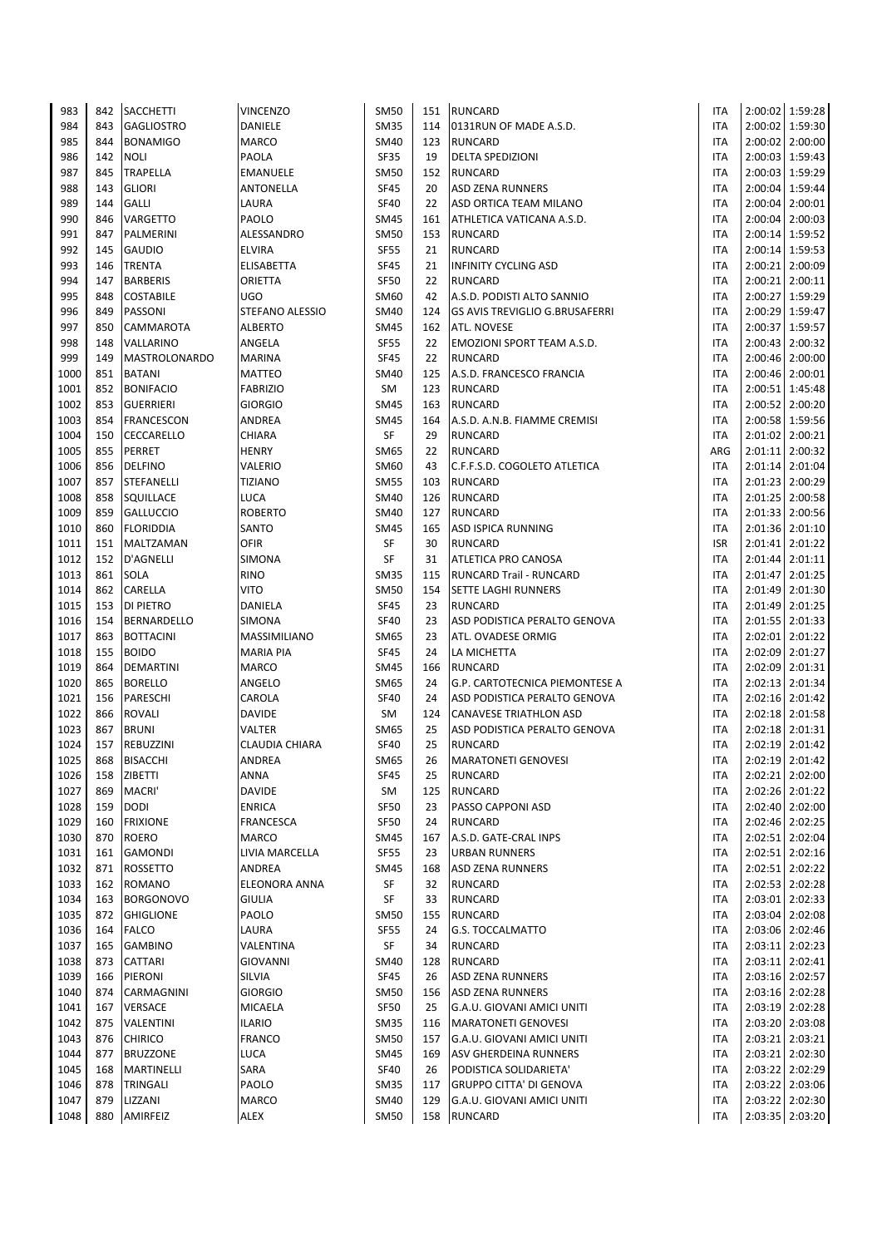| 983          | 842        | <b>SACCHETTI</b>                | <b>VINCENZO</b>          | <b>SM50</b>         | 151        | <b>RUNCARD</b>                                 | ITA                      | 2:00:02 1:59:28                    |
|--------------|------------|---------------------------------|--------------------------|---------------------|------------|------------------------------------------------|--------------------------|------------------------------------|
| 984          | 843        | <b>GAGLIOSTRO</b>               | DANIELE                  | <b>SM35</b>         | 114        | 0131RUN OF MADE A.S.D.                         | <b>ITA</b>               | 2:00:02 1:59:30                    |
| 985          | 844        | <b>BONAMIGO</b>                 | <b>MARCO</b>             | <b>SM40</b>         | 123        | <b>RUNCARD</b>                                 | <b>ITA</b>               | 2:00:02 2:00:00                    |
| 986          | 142        | <b>NOLI</b>                     | PAOLA                    | <b>SF35</b>         | 19         | <b>DELTA SPEDIZIONI</b>                        | ITA                      | 2:00:03 1:59:43                    |
| 987          | 845        | <b>TRAPELLA</b>                 | <b>EMANUELE</b>          | <b>SM50</b>         | 152        | <b>RUNCARD</b>                                 | <b>ITA</b>               | 2:00:03 1:59:29                    |
| 988          | 143        | <b>GLIORI</b>                   | <b>ANTONELLA</b>         | <b>SF45</b>         | 20         | <b>ASD ZENA RUNNERS</b>                        | ITA                      | 2:00:04 1:59:44                    |
| 989          | 144        | <b>GALLI</b>                    | LAURA                    | <b>SF40</b>         | 22         | ASD ORTICA TEAM MILANO                         | <b>ITA</b>               | 2:00:04 2:00:01                    |
| 990          | 846        | <b>VARGETTO</b>                 | PAOLO                    | <b>SM45</b>         | 161        | ATHLETICA VATICANA A.S.D.                      | ITA                      | 2:00:04 2:00:03                    |
| 991          | 847        | PALMERINI                       | ALESSANDRO               | <b>SM50</b>         | 153        | <b>RUNCARD</b>                                 | <b>ITA</b>               | 2:00:14 1:59:52                    |
| 992          | 145        | <b>GAUDIO</b>                   | <b>ELVIRA</b>            | <b>SF55</b>         | 21         | <b>RUNCARD</b>                                 | ITA                      | 2:00:14 1:59:53                    |
| 993          | 146        | <b>TRENTA</b>                   | <b>ELISABETTA</b>        | <b>SF45</b>         | 21         | <b>INFINITY CYCLING ASD</b>                    | <b>ITA</b>               | 2:00:21 2:00:09                    |
| 994          | 147        | <b>BARBERIS</b>                 | ORIETTA                  | <b>SF50</b>         | 22         | <b>RUNCARD</b>                                 | <b>ITA</b>               | 2:00:21 2:00:11                    |
| 995          | 848        | <b>COSTABILE</b>                | <b>UGO</b>               | SM60                | 42         | A.S.D. PODISTI ALTO SANNIO                     | <b>ITA</b>               | 2:00:27 1:59:29                    |
| 996          | 849        | <b>PASSONI</b>                  | STEFANO ALESSIO          | SM40                | 124        | <b>GS AVIS TREVIGLIO G.BRUSAFERRI</b>          | <b>ITA</b>               | 2:00:29 1:59:47                    |
| 997          | 850        | <b>CAMMAROTA</b>                | <b>ALBERTO</b>           | <b>SM45</b>         | 162        | ATL. NOVESE                                    | <b>ITA</b>               | 2:00:37 1:59:57                    |
| 998          | 148        | VALLARINO                       | ANGELA                   | <b>SF55</b>         | 22         | EMOZIONI SPORT TEAM A.S.D.                     | <b>ITA</b>               | 2:00:43 2:00:32                    |
| 999          | 149        | <b>MASTROLONARDO</b>            | <b>MARINA</b>            | <b>SF45</b>         | 22         | <b>RUNCARD</b>                                 | <b>ITA</b>               | 2:00:46 2:00:00                    |
| 1000         | 851        | <b>BATANI</b>                   | <b>MATTEO</b>            | <b>SM40</b>         | 125        | A.S.D. FRANCESCO FRANCIA                       | <b>ITA</b>               | 2:00:46 2:00:01                    |
| 1001<br>1002 | 852        | <b>BONIFACIO</b>                | <b>FABRIZIO</b>          | SM                  | 123        | <b>RUNCARD</b>                                 | ITA                      | 2:00:51 1:45:48                    |
| 1003         | 853<br>854 | <b>GUERRIERI</b>                | <b>GIORGIO</b><br>ANDREA | SM45<br><b>SM45</b> | 163<br>164 | <b>RUNCARD</b>                                 | <b>ITA</b><br><b>ITA</b> | 2:00:52 2:00:20<br>2:00:58 1:59:56 |
| 1004         | 150        | <b>FRANCESCON</b><br>CECCARELLO | CHIARA                   | SF                  | 29         | A.S.D. A.N.B. FIAMME CREMISI<br><b>RUNCARD</b> | <b>ITA</b>               | 2:01:02 2:00:21                    |
| 1005         | 855        | PERRET                          | <b>HENRY</b>             | SM65                | 22         | <b>RUNCARD</b>                                 | ARG                      | 2:01:11 2:00:32                    |
| 1006         | 856        | <b>DELFINO</b>                  | VALERIO                  | SM60                | 43         | C.F.F.S.D. COGOLETO ATLETICA                   | <b>ITA</b>               | 2:01:14 2:01:04                    |
| 1007         | 857        | <b>STEFANELLI</b>               | <b>TIZIANO</b>           | <b>SM55</b>         | 103        | <b>RUNCARD</b>                                 | <b>ITA</b>               | 2:01:23 2:00:29                    |
| 1008         | 858        | SQUILLACE                       | LUCA                     | SM40                | 126        | <b>RUNCARD</b>                                 | <b>ITA</b>               | 2:01:25 2:00:58                    |
| 1009         | 859        | <b>GALLUCCIO</b>                | <b>ROBERTO</b>           | SM40                | 127        | <b>RUNCARD</b>                                 | ITA                      | 2:01:33 2:00:56                    |
| 1010         | 860        | <b>FLORIDDIA</b>                | SANTO                    | <b>SM45</b>         | 165        | <b>ASD ISPICA RUNNING</b>                      | <b>ITA</b>               | 2:01:36 2:01:10                    |
| 1011         | 151        | <b>MALTZAMAN</b>                | <b>OFIR</b>              | SF                  | 30         | <b>RUNCARD</b>                                 | <b>ISR</b>               | 2:01:41 2:01:22                    |
| 1012         | 152        | <b>D'AGNELLI</b>                | SIMONA                   | SF                  | 31         | ATLETICA PRO CANOSA                            | <b>ITA</b>               | 2:01:44 2:01:11                    |
| 1013         | 861        | <b>SOLA</b>                     | <b>RINO</b>              | <b>SM35</b>         | 115        | <b>RUNCARD Trail - RUNCARD</b>                 | ITA                      | 2:01:47 2:01:25                    |
| 1014         | 862        | <b>CARELLA</b>                  | <b>VITO</b>              | <b>SM50</b>         | 154        | SETTE LAGHI RUNNERS                            | <b>ITA</b>               | 2:01:49 2:01:30                    |
| 1015         | 153        | <b>DI PIETRO</b>                | DANIELA                  | <b>SF45</b>         | 23         | <b>RUNCARD</b>                                 | <b>ITA</b>               | 2:01:49 2:01:25                    |
| 1016         | 154        | <b>BERNARDELLO</b>              | SIMONA                   | <b>SF40</b>         | 23         | ASD PODISTICA PERALTO GENOVA                   | <b>ITA</b>               | 2:01:55 2:01:33                    |
| 1017         | 863        | <b>BOTTACINI</b>                | <b>MASSIMILIANO</b>      | SM65                | 23         | ATL. OVADESE ORMIG                             | ITA                      | 2:02:01 2:01:22                    |
| 1018         | 155        | <b>BOIDO</b>                    | <b>MARIA PIA</b>         | <b>SF45</b>         | 24         | LA MICHETTA                                    | <b>ITA</b>               | 2:02:09 2:01:27                    |
| 1019         | 864        | <b>DEMARTINI</b>                | <b>MARCO</b>             | <b>SM45</b>         | 166        | <b>RUNCARD</b>                                 | <b>ITA</b>               | 2:02:09 2:01:31                    |
| 1020         | 865        | <b>BORELLO</b>                  | ANGELO                   | <b>SM65</b>         | 24         | G.P. CARTOTECNICA PIEMONTESE A                 | <b>ITA</b>               | 2:02:13 2:01:34                    |
| 1021         | 156        | PARESCHI                        | CAROLA                   | <b>SF40</b>         | 24         | ASD PODISTICA PERALTO GENOVA                   | <b>ITA</b>               | 2:02:16 2:01:42                    |
| 1022         | 866        | <b>ROVALI</b>                   | <b>DAVIDE</b>            | SM                  | 124        | <b>CANAVESE TRIATHLON ASD</b>                  | ITA                      | 2:02:18 2:01:58                    |
| 1023         | 867        | <b>BRUNI</b>                    | <b>VALTER</b>            | SM65                | 25         | ASD PODISTICA PERALTO GENOVA                   | ITA                      | 2:02:18 2:01:31                    |
| 1024         | 157        | <b>REBUZZINI</b>                | <b>CLAUDIA CHIARA</b>    | <b>SF40</b>         | 25         | <b>RUNCARD</b>                                 | <b>ITA</b>               | 2:02:19 2:01:42                    |
| 1025         | 868        | <b>BISACCHI</b>                 | ANDREA                   | SM65                | 26         | <b>MARATONETI GENOVESI</b>                     | <b>ITA</b>               | 2:02:19 2:01:42                    |
| 1026<br>1027 | 158<br>869 | <b>ZIBETTI</b><br>MACRI'        | ANNA<br><b>DAVIDE</b>    | <b>SF45</b>         | 25         | <b>RUNCARD</b><br><b>RUNCARD</b>               | ITA                      | 2:02:21 2:02:00                    |
| 1028         |            |                                 | <b>ENRICA</b>            | SM<br><b>SF50</b>   | 125        |                                                | ITA                      | 2:02:26 2:01:22<br>2:02:40 2:02:00 |
| 1029         | 159<br>160 | <b>DODI</b><br><b>FRIXIONE</b>  | <b>FRANCESCA</b>         | <b>SF50</b>         | 23<br>24   | PASSO CAPPONI ASD<br><b>RUNCARD</b>            | ITA<br>ITA               | 2:02:46 2:02:25                    |
| 1030         | 870        | <b>ROERO</b>                    | MARCO                    | <b>SM45</b>         | 167        | A.S.D. GATE-CRAL INPS                          | ITA                      | 2:02:51 2:02:04                    |
| 1031         | 161        | <b>GAMONDI</b>                  | LIVIA MARCELLA           | <b>SF55</b>         | 23         | URBAN RUNNERS                                  | ITA                      | 2:02:51 2:02:16                    |
| 1032         | 871        | <b>ROSSETTO</b>                 | ANDREA                   | SM45                | 168        | ASD ZENA RUNNERS                               | ITA                      | 2:02:51 2:02:22                    |
| 1033         | 162        | <b>ROMANO</b>                   | ELEONORA ANNA            | SF                  | 32         | RUNCARD                                        | ITA                      | 2:02:53 2:02:28                    |
| 1034         | 163        | <b>BORGONOVO</b>                | <b>GIULIA</b>            | SF                  | 33         | <b>RUNCARD</b>                                 | ITA                      | 2:03:01 2:02:33                    |
| 1035         | 872        | <b>GHIGLIONE</b>                | PAOLO                    | SM50                | 155        | <b>RUNCARD</b>                                 | ITA                      | 2:03:04 2:02:08                    |
| 1036         | 164        | <b>FALCO</b>                    | LAURA                    | <b>SF55</b>         | 24         | G.S. TOCCALMATTO                               | ITA                      | 2:03:06 2:02:46                    |
| 1037         | 165        | <b>GAMBINO</b>                  | VALENTINA                | SF                  | 34         | RUNCARD                                        | ITA                      | 2:03:11 2:02:23                    |
| 1038         | 873        | <b>CATTARI</b>                  | <b>GIOVANNI</b>          | <b>SM40</b>         | 128        | <b>RUNCARD</b>                                 | ITA                      | 2:03:11 2:02:41                    |
| 1039         | 166        | PIERONI                         | SILVIA                   | SF45                | 26         | <b>ASD ZENA RUNNERS</b>                        | ITA                      | 2:03:16 2:02:57                    |
| 1040         | 874        | <b>CARMAGNINI</b>               | <b>GIORGIO</b>           | <b>SM50</b>         | 156        | <b>ASD ZENA RUNNERS</b>                        | ITA                      | 2:03:16 2:02:28                    |
| 1041         | 167        | <b>VERSACE</b>                  | MICAELA                  | <b>SF50</b>         | 25         | G.A.U. GIOVANI AMICI UNITI                     | ITA                      | 2:03:19 2:02:28                    |
| 1042         | 875        | VALENTINI                       | <b>ILARIO</b>            | <b>SM35</b>         | 116        | <b>MARATONETI GENOVESI</b>                     | ITA                      | 2:03:20 2:03:08                    |
| 1043         | 876        | <b>CHIRICO</b>                  | <b>FRANCO</b>            | <b>SM50</b>         | 157        | G.A.U. GIOVANI AMICI UNITI                     | ITA                      | 2:03:21 2:03:21                    |
| 1044         | 877        | <b>BRUZZONE</b>                 | LUCA                     | <b>SM45</b>         | 169        | ASV GHERDEINA RUNNERS                          | ITA                      | 2:03:21 2:02:30                    |
| 1045         | 168        | MARTINELLI                      | SARA                     | <b>SF40</b>         | 26         | PODISTICA SOLIDARIETA'                         | ITA                      | 2:03:22 2:02:29                    |
| 1046         | 878        | <b>TRINGALI</b>                 | PAOLO                    | <b>SM35</b>         | 117        | <b>GRUPPO CITTA' DI GENOVA</b>                 | ITA                      | 2:03:22 2:03:06                    |
| 1047         | 879        | LIZZANI                         | MARCO                    | <b>SM40</b>         | 129        | G.A.U. GIOVANI AMICI UNITI                     | ITA                      | 2:03:22 2:02:30                    |
| 1048         | 880        | AMIRFEIZ                        | ALEX                     | <b>SM50</b>         | 158        | <b>RUNCARD</b>                                 | ITA                      | 2:03:35 2:03:20                    |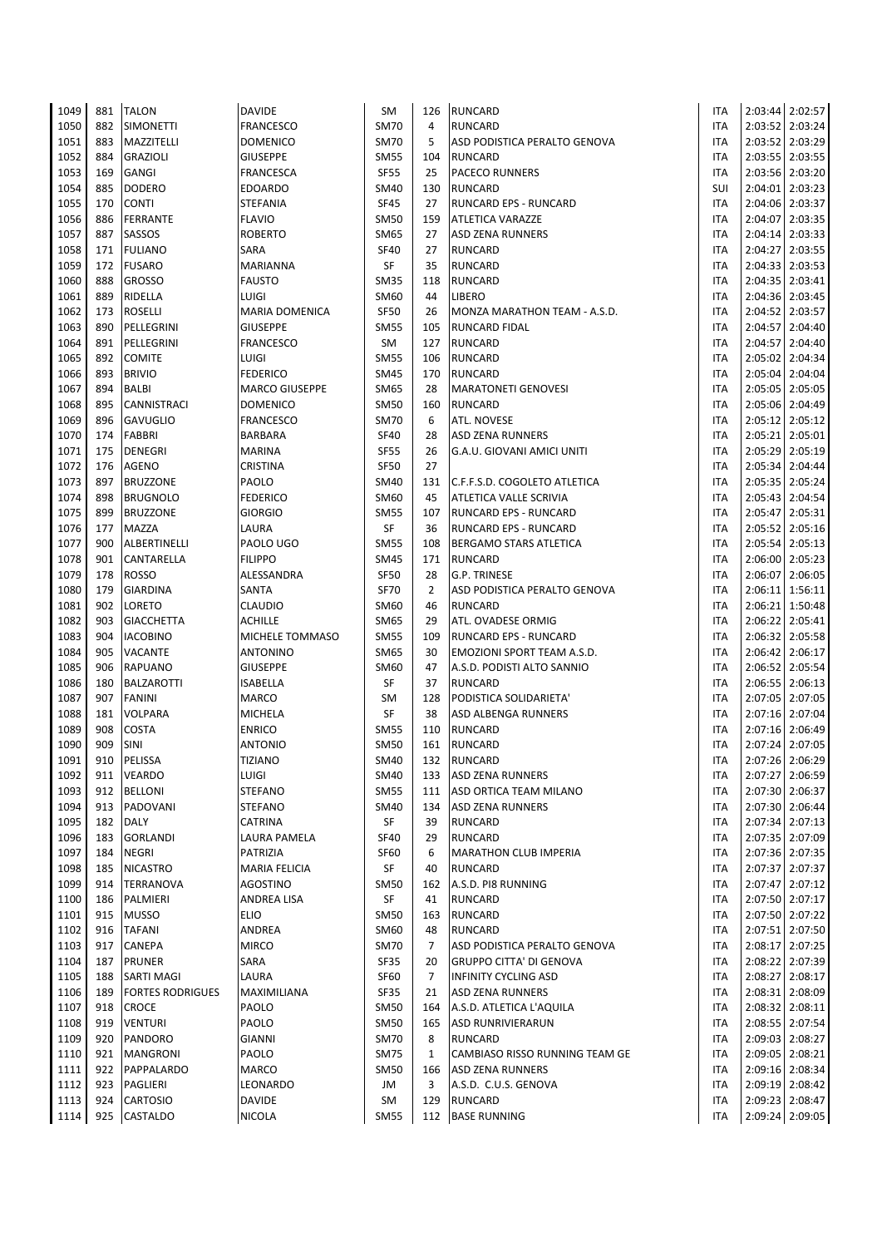| 1049         | 881        | <b>TALON</b>             | <b>DAVIDE</b>                    | <b>SM</b>           | 126            | <b>RUNCARD</b>                  | <b>ITA</b>               |                    | 2:03:44 2:02:57                    |
|--------------|------------|--------------------------|----------------------------------|---------------------|----------------|---------------------------------|--------------------------|--------------------|------------------------------------|
| 1050         | 882        | <b>SIMONETTI</b>         | <b>FRANCESCO</b>                 | <b>SM70</b>         | 4              | <b>RUNCARD</b>                  | ITA                      | 2:03:52            | 2:03:24                            |
| 1051         | 883        | MAZZITELLI               | <b>DOMENICO</b>                  | <b>SM70</b>         | 5              | ASD PODISTICA PERALTO GENOVA    | ITA                      | 2:03:52            | 2:03:29                            |
| 1052         | 884        | <b>GRAZIOLI</b>          | <b>GIUSEPPE</b>                  | <b>SM55</b>         | 104            | <b>RUNCARD</b>                  | <b>ITA</b>               | 2:03:55            | 2:03:55                            |
| 1053         | 169        | <b>GANGI</b>             | <b>FRANCESCA</b>                 | <b>SF55</b>         | 25             | <b>PACECO RUNNERS</b>           | ITA                      | 2:03:56            | 2:03:20                            |
| 1054         | 885        | <b>DODERO</b>            | <b>EDOARDO</b>                   | SM40                | 130            | <b>RUNCARD</b>                  | SUI                      | 2:04:01            | 2:03:23                            |
| 1055         | 170        | <b>CONTI</b>             | <b>STEFANIA</b>                  | <b>SF45</b>         | 27             | RUNCARD EPS - RUNCARD           | ITA                      | 2:04:06            | 2:03:37                            |
| 1056         | 886        | <b>FERRANTE</b>          | <b>FLAVIO</b>                    | SM50                | 159            | ATLETICA VARAZZE                | <b>ITA</b>               | 2:04:07            | 2:03:35                            |
| 1057         | 887        | SASSOS                   | <b>ROBERTO</b>                   | SM65                | 27             | <b>ASD ZENA RUNNERS</b>         | <b>ITA</b>               | 2:04:14            | 2:03:33                            |
| 1058         | 171        | <b>FULIANO</b>           | SARA                             | <b>SF40</b>         | 27             | <b>RUNCARD</b>                  | <b>ITA</b>               | 2:04:27            | 2:03:55                            |
| 1059         | 172        | <b>FUSARO</b>            | MARIANNA                         | SF                  | 35             | RUNCARD                         | <b>ITA</b>               | 2:04:33            | 2:03:53                            |
| 1060         | 888        | <b>GROSSO</b>            | <b>FAUSTO</b>                    | <b>SM35</b>         | 118            | RUNCARD                         | <b>ITA</b>               | 2:04:35            | 2:03:41                            |
| 1061         | 889        | RIDELLA                  | LUIGI                            | SM60                | 44             | LIBERO                          | ITA                      | 2:04:36            | 2:03:45                            |
| 1062<br>1063 | 173        | <b>ROSELLI</b>           | <b>MARIA DOMENICA</b>            | <b>SF50</b>         | 26             | MONZA MARATHON TEAM - A.S.D.    | ITA                      | 2:04:52            | 2:03:57                            |
| 1064         | 890<br>891 | PELLEGRINI<br>PELLEGRINI | <b>GIUSEPPE</b>                  | <b>SM55</b><br>SM   | 105<br>127     | RUNCARD FIDAL<br><b>RUNCARD</b> | ITA<br><b>ITA</b>        | 2:04:57<br>2:04:57 | 2:04:40<br>2:04:40                 |
| 1065         | 892        | <b>COMITE</b>            | <b>FRANCESCO</b><br>LUIGI        | <b>SM55</b>         | 106            | <b>RUNCARD</b>                  | <b>ITA</b>               | 2:05:02            | 2:04:34                            |
| 1066         | 893        | <b>BRIVIO</b>            | <b>FEDERICO</b>                  | <b>SM45</b>         | 170            | <b>RUNCARD</b>                  | <b>ITA</b>               | 2:05:04            | 2:04:04                            |
| 1067         | 894        | BALBI                    | <b>MARCO GIUSEPPE</b>            | SM65                | 28             | <b>MARATONETI GENOVESI</b>      | <b>ITA</b>               | 2:05:05            | 2:05:05                            |
| 1068         | 895        | CANNISTRACI              | <b>DOMENICO</b>                  | <b>SM50</b>         | 160            | <b>RUNCARD</b>                  | <b>ITA</b>               | 2:05:06            | 2:04:49                            |
| 1069         | 896        | <b>GAVUGLIO</b>          | <b>FRANCESCO</b>                 | <b>SM70</b>         | 6              | <b>ATL. NOVESE</b>              | <b>ITA</b>               | 2:05:12            | 2:05:12                            |
| 1070         | 174        | <b>FABBRI</b>            | <b>BARBARA</b>                   | <b>SF40</b>         | 28             | <b>ASD ZENA RUNNERS</b>         | <b>ITA</b>               | 2:05:21            | 2:05:01                            |
| 1071         | 175        | <b>DENEGRI</b>           | <b>MARINA</b>                    | <b>SF55</b>         | 26             | G.A.U. GIOVANI AMICI UNITI      | <b>ITA</b>               | 2:05:29            | 2:05:19                            |
| 1072         | 176        | <b>AGENO</b>             | <b>CRISTINA</b>                  | <b>SF50</b>         | 27             |                                 | <b>ITA</b>               | 2:05:34            | 2:04:44                            |
| 1073         | 897        | <b>BRUZZONE</b>          | PAOLO                            | <b>SM40</b>         | 131            | C.F.F.S.D. COGOLETO ATLETICA    | <b>ITA</b>               | 2:05:35            | 2:05:24                            |
| 1074         | 898        | <b>BRUGNOLO</b>          | <b>FEDERICO</b>                  | SM60                | 45             | ATLETICA VALLE SCRIVIA          | ITA                      | 2:05:43            | 2:04:54                            |
| 1075         | 899        | <b>BRUZZONE</b>          | <b>GIORGIO</b>                   | <b>SM55</b>         | 107            | <b>RUNCARD EPS - RUNCARD</b>    | <b>ITA</b>               | 2:05:47            | 2:05:31                            |
| 1076         | 177        | <b>MAZZA</b>             | LAURA                            | SF                  | 36             | RUNCARD EPS - RUNCARD           | <b>ITA</b>               | 2:05:52            | 2:05:16                            |
| 1077         | 900        | ALBERTINELLI             | PAOLO UGO                        | <b>SM55</b>         | 108            | <b>BERGAMO STARS ATLETICA</b>   | <b>ITA</b>               | 2:05:54            | 2:05:13                            |
| 1078         | 901        | CANTARELLA               | <b>FILIPPO</b>                   | SM45                | 171            | <b>RUNCARD</b>                  | ITA                      | 2:06:00            | 2:05:23                            |
| 1079         | 178        | <b>ROSSO</b>             | ALESSANDRA                       | SF50                | 28             | G.P. TRINESE                    | <b>ITA</b>               | 2:06:07            | 2:06:05                            |
| 1080         | 179        | <b>GIARDINA</b>          | SANTA                            | <b>SF70</b>         | $\overline{2}$ | ASD PODISTICA PERALTO GENOVA    | ITA                      |                    | 2:06:11 1:56:11                    |
| 1081         | 902        | LORETO                   | <b>CLAUDIO</b>                   | SM60                | 46             | <b>RUNCARD</b>                  | <b>ITA</b>               | 2:06:21            | 1:50:48                            |
| 1082         | 903        | <b>GIACCHETTA</b>        | <b>ACHILLE</b>                   | SM65                | 29             | ATL. OVADESE ORMIG              | ITA                      | 2:06:22            | 2:05:41                            |
| 1083         | 904        | <b>IACOBINO</b>          | MICHELE TOMMASO                  | <b>SM55</b>         | 109            | RUNCARD EPS - RUNCARD           | <b>ITA</b>               | 2:06:32            | 2:05:58                            |
| 1084         | 905        | <b>VACANTE</b>           | <b>ANTONINO</b>                  | SM65                | 30             | EMOZIONI SPORT TEAM A.S.D.      | ITA                      | 2:06:42            | 2:06:17                            |
| 1085         | 906        | <b>RAPUANO</b>           | <b>GIUSEPPE</b>                  | SM60                | 47             | A.S.D. PODISTI ALTO SANNIO      | ITA                      | 2:06:52            | 2:05:54                            |
| 1086         | 180        | <b>BALZAROTTI</b>        | <b>ISABELLA</b>                  | SF                  | 37             | RUNCARD                         | ITA                      | 2:06:55            | 2:06:13                            |
| 1087         | 907        | <b>FANINI</b>            | MARCO                            | <b>SM</b>           | 128            | PODISTICA SOLIDARIETA'          | <b>ITA</b>               |                    | 2:07:05 2:07:05                    |
| 1088         | 181        | VOLPARA                  | <b>MICHELA</b>                   | SF                  | 38             | ASD ALBENGA RUNNERS             | ITA                      | 2:07:16            | 2:07:04                            |
| 1089         | 908        | <b>COSTA</b>             | <b>ENRICO</b>                    | <b>SM55</b>         | 110            | <b>RUNCARD</b>                  | <b>ITA</b>               |                    | 2:07:16 2:06:49                    |
| 1090<br>1091 | 909<br>910 | SINI<br>PELISSA          | <b>ANTONIO</b><br><b>TIZIANO</b> | <b>SM50</b><br>SM40 | 161            | <b>RUNCARD</b><br>132 RUNCARD   | <b>ITA</b><br><b>ITA</b> |                    | 2:07:24 2:07:05<br>2:07:26 2:06:29 |
| 1092         | 911        | <b>VEARDO</b>            | LUIGI                            | SM40                | 133            | <b>ASD ZENA RUNNERS</b>         | ITA                      |                    | 2:07:27 2:06:59                    |
| 1093         | 912        | <b>BELLONI</b>           | <b>STEFANO</b>                   | <b>SM55</b>         | 111            | ASD ORTICA TEAM MILANO          | ITA                      |                    | 2:07:30 2:06:37                    |
| 1094         | 913        | PADOVANI                 | <b>STEFANO</b>                   | <b>SM40</b>         | 134            | <b>ASD ZENA RUNNERS</b>         | <b>ITA</b>               |                    | 2:07:30 2:06:44                    |
| 1095         | 182        | <b>DALY</b>              | CATRINA                          | SF                  | 39             | <b>RUNCARD</b>                  | <b>ITA</b>               |                    | 2:07:34 2:07:13                    |
| 1096         | 183        | <b>GORLANDI</b>          | LAURA PAMELA                     | <b>SF40</b>         | 29             | <b>RUNCARD</b>                  | ITA                      |                    | 2:07:35 2:07:09                    |
| 1097         | 184        | <b>NEGRI</b>             | <b>PATRIZIA</b>                  | <b>SF60</b>         | 6              | <b>MARATHON CLUB IMPERIA</b>    | ITA                      |                    | 2:07:36 2:07:35                    |
| 1098         | 185        | <b>NICASTRO</b>          | <b>MARIA FELICIA</b>             | SF                  | 40             | <b>RUNCARD</b>                  | <b>ITA</b>               |                    | 2:07:37 2:07:37                    |
| 1099         | 914        | <b>TERRANOVA</b>         | <b>AGOSTINO</b>                  | <b>SM50</b>         | 162            | A.S.D. PI8 RUNNING              | ITA                      |                    | 2:07:47 2:07:12                    |
| 1100         | 186        | PALMIERI                 | ANDREA LISA                      | SF                  | 41             | <b>RUNCARD</b>                  | <b>ITA</b>               |                    | 2:07:50 2:07:17                    |
| 1101         | 915        | <b>MUSSO</b>             | <b>ELIO</b>                      | <b>SM50</b>         | 163            | <b>RUNCARD</b>                  | ITA                      | 2:07:50            | 2:07:22                            |
| 1102         | 916        | <b>TAFANI</b>            | ANDREA                           | SM60                | 48             | RUNCARD                         | <b>ITA</b>               |                    | 2:07:51 2:07:50                    |
| 1103         | 917        | <b>CANEPA</b>            | <b>MIRCO</b>                     | <b>SM70</b>         | 7              | ASD PODISTICA PERALTO GENOVA    | ITA                      | 2:08:17            | 2:07:25                            |
| 1104         | 187        | <b>PRUNER</b>            | SARA                             | SF35                | 20             | <b>GRUPPO CITTA' DI GENOVA</b>  | ITA                      |                    | 2:08:22 2:07:39                    |
| 1105         | 188        | SARTI MAGI               | LAURA                            | SF60                | $\overline{7}$ | INFINITY CYCLING ASD            | ITA                      | 2:08:27            | 2:08:17                            |
| 1106         | 189        | <b>FORTES RODRIGUES</b>  | MAXIMILIANA                      | SF35                | 21             | ASD ZENA RUNNERS                | ITA                      |                    | 2:08:31 2:08:09                    |
| 1107         | 918        | <b>CROCE</b>             | PAOLO                            | <b>SM50</b>         | 164            | A.S.D. ATLETICA L'AQUILA        | ITA                      |                    | 2:08:32 2:08:11                    |
| 1108         | 919        | <b>VENTURI</b>           | PAOLO                            | <b>SM50</b>         | 165            | <b>ASD RUNRIVIERARUN</b>        | ITA                      |                    | 2:08:55 2:07:54                    |
| 1109         | 920        | PANDORO                  | <b>GIANNI</b>                    | <b>SM70</b>         | 8              | RUNCARD                         | ITA                      | 2:09:03            | 2:08:27                            |
| 1110         | 921        | <b>MANGRONI</b>          | PAOLO                            | <b>SM75</b>         | 1              | CAMBIASO RISSO RUNNING TEAM GE  | <b>ITA</b>               | 2:09:05            | 2:08:21                            |
| 1111         | 922        | PAPPALARDO               | MARCO                            | <b>SM50</b>         | 166            | <b>ASD ZENA RUNNERS</b>         | ITA                      |                    | 2:09:16 2:08:34                    |
| 1112         | 923        | PAGLIERI                 | LEONARDO                         | JM                  | 3              | A.S.D. C.U.S. GENOVA            | ITA                      |                    | 2:09:19 2:08:42                    |
| 1113         | 924        | <b>CARTOSIO</b>          | <b>DAVIDE</b>                    | SM                  | 129            | <b>RUNCARD</b>                  | ITA                      |                    | 2:09:23 2:08:47                    |
| 1114         | 925        | CASTALDO                 | <b>NICOLA</b>                    | <b>SM55</b>         | 112            | <b>BASE RUNNING</b>             | <b>ITA</b>               |                    | 2:09:24 2:09:05                    |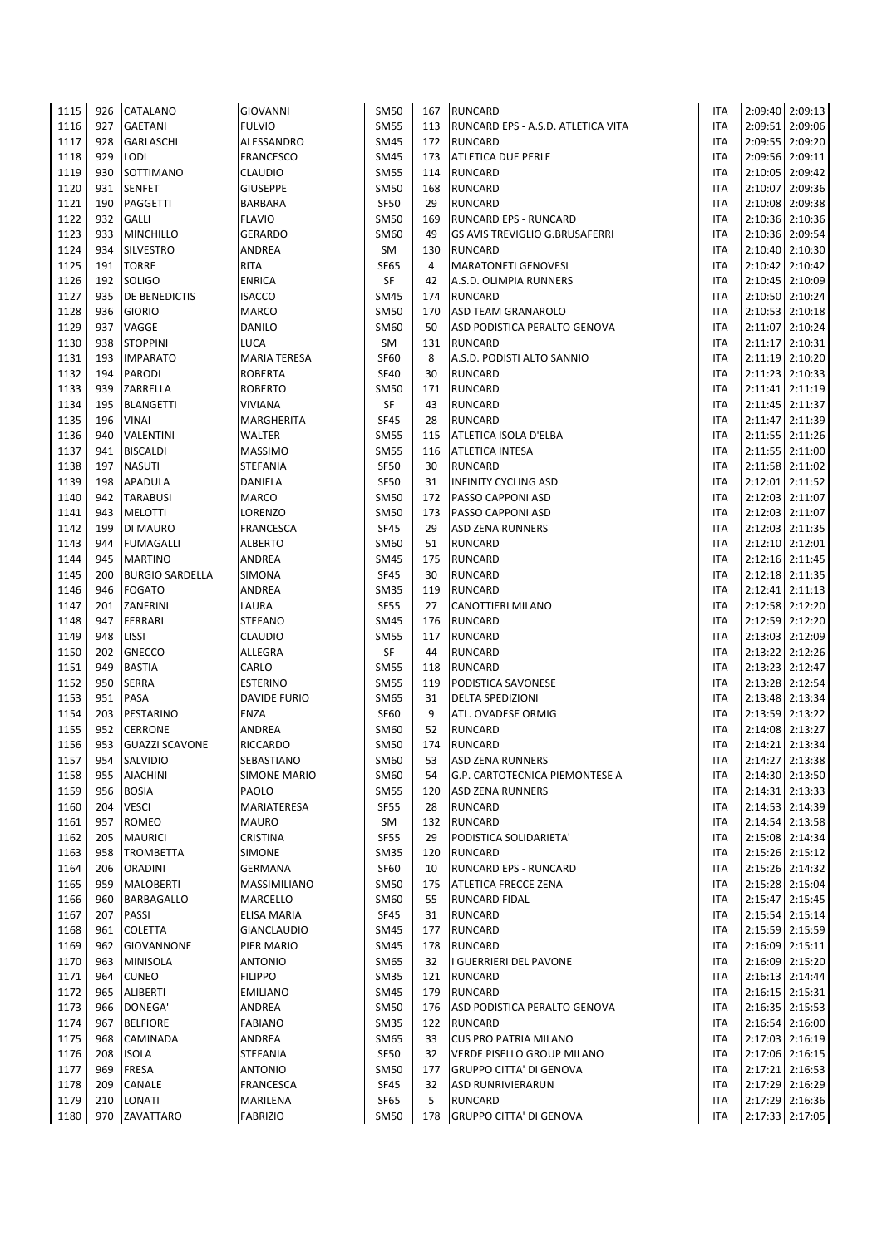| 1115         | 926        | CATALANO                           | <b>GIOVANNI</b>             | <b>SM50</b>       | 167       | <b>RUNCARD</b>                               | <b>ITA</b>               |                 | 2:09:40 2:09:13                    |
|--------------|------------|------------------------------------|-----------------------------|-------------------|-----------|----------------------------------------------|--------------------------|-----------------|------------------------------------|
| 1116         | 927        | <b>GAETANI</b>                     | <b>FULVIO</b>               | <b>SM55</b>       | 113       | RUNCARD EPS - A.S.D. ATLETICA VITA           | ITA                      |                 | 2:09:51 2:09:06                    |
| 1117         | 928        | GARLASCHI                          | ALESSANDRO                  | <b>SM45</b>       | 172       | <b>RUNCARD</b>                               | ITA                      | 2:09:55         | 2:09:20                            |
| 1118         | 929        | <b>LODI</b>                        | <b>FRANCESCO</b>            | SM45              | 173       | ATLETICA DUE PERLE                           | <b>ITA</b>               | 2:09:56         | 2:09:11                            |
| 1119         | 930        | SOTTIMANO                          | <b>CLAUDIO</b>              | <b>SM55</b>       | 114       | <b>RUNCARD</b>                               | ITA                      | 2:10:05         | 2:09:42                            |
| 1120         | 931        | <b>SENFET</b>                      | <b>GIUSEPPE</b>             | <b>SM50</b>       | 168       | <b>RUNCARD</b>                               | <b>ITA</b>               | 2:10:07         | 2:09:36                            |
| 1121         | 190        | PAGGETTI                           | <b>BARBARA</b>              | <b>SF50</b>       | 29        | RUNCARD                                      | ITA                      | 2:10:08         | 2:09:38                            |
| 1122         | 932        | <b>GALLI</b>                       | <b>FLAVIO</b>               | SM50              | 169       | RUNCARD EPS - RUNCARD                        | <b>ITA</b>               | 2:10:36         | 2:10:36                            |
| 1123         | 933        | <b>MINCHILLO</b>                   | <b>GERARDO</b>              | SM60              | 49        | <b>GS AVIS TREVIGLIO G.BRUSAFERRI</b>        | ITA                      | 2:10:36         | 2:09:54                            |
| 1124         | 934        | <b>SILVESTRO</b>                   | ANDREA                      | SM                | 130       | <b>RUNCARD</b>                               | <b>ITA</b>               |                 | 2:10:40 2:10:30                    |
| 1125         | 191        | <b>TORRE</b>                       | <b>RITA</b>                 | <b>SF65</b>       | 4         | <b>MARATONETI GENOVESI</b>                   | <b>ITA</b>               | 2:10:42         | 2:10:42                            |
| 1126         | 192        | <b>SOLIGO</b>                      | <b>ENRICA</b>               | SF                | 42        | A.S.D. OLIMPIA RUNNERS                       | <b>ITA</b>               |                 | 2:10:45 2:10:09                    |
| 1127         | 935        | DE BENEDICTIS                      | <b>ISACCO</b>               | <b>SM45</b>       | 174       | <b>RUNCARD</b>                               | ITA                      |                 | 2:10:50 2:10:24                    |
| 1128         | 936        | <b>GIORIO</b>                      | <b>MARCO</b>                | SM50              | 170       | ASD TEAM GRANAROLO                           | ITA                      |                 | 2:10:53 2:10:18                    |
| 1129         | 937        | VAGGE                              | DANILO                      | SM60              | 50        | ASD PODISTICA PERALTO GENOVA                 | <b>ITA</b>               | 2:11:07         | 2:10:24                            |
| 1130<br>1131 | 938<br>193 | <b>STOPPINI</b><br><b>IMPARATO</b> | LUCA<br><b>MARIA TERESA</b> | SM<br><b>SF60</b> | 131<br>8  | <b>RUNCARD</b><br>A.S.D. PODISTI ALTO SANNIO | <b>ITA</b><br><b>ITA</b> | 2:11:19 2:10:20 | 2:11:17 2:10:31                    |
| 1132         | 194        | <b>PARODI</b>                      | <b>ROBERTA</b>              | <b>SF40</b>       | 30        | <b>RUNCARD</b>                               | <b>ITA</b>               | 2:11:23         | 2:10:33                            |
| 1133         | 939        | ZARRELLA                           | <b>ROBERTO</b>              | SM50              | 171       | <b>RUNCARD</b>                               | <b>ITA</b>               | 2:11:41         | 2:11:19                            |
| 1134         | 195        | <b>BLANGETTI</b>                   | <b>VIVIANA</b>              | SF                | 43        | <b>RUNCARD</b>                               | <b>ITA</b>               |                 | 2:11:45 2:11:37                    |
| 1135         | 196        | <b>VINAI</b>                       | MARGHERITA                  | <b>SF45</b>       | 28        | <b>RUNCARD</b>                               | <b>ITA</b>               |                 | 2:11:47 2:11:39                    |
| 1136         | 940        | <b>VALENTINI</b>                   | <b>WALTER</b>               | <b>SM55</b>       | 115       | ATLETICA ISOLA D'ELBA                        | <b>ITA</b>               |                 | 2:11:55 2:11:26                    |
| 1137         | 941        | <b>BISCALDI</b>                    | <b>MASSIMO</b>              | <b>SM55</b>       | 116       | ATLETICA INTESA                              | <b>ITA</b>               | 2:11:55         | 2:11:00                            |
| 1138         | 197        | <b>NASUTI</b>                      | STEFANIA                    | <b>SF50</b>       | 30        | <b>RUNCARD</b>                               | <b>ITA</b>               |                 | 2:11:58 2:11:02                    |
| 1139         | 198        | APADULA                            | DANIELA                     | <b>SF50</b>       | 31        | <b>INFINITY CYCLING ASD</b>                  | <b>ITA</b>               |                 | 2:12:01 2:11:52                    |
| 1140         | 942        | <b>TARABUSI</b>                    | MARCO                       | <b>SM50</b>       | 172       | PASSO CAPPONI ASD                            | ITA                      | 2:12:03         | 2:11:07                            |
| 1141         | 943        | <b>MELOTTI</b>                     | LORENZO                     | SM50              | 173       | PASSO CAPPONI ASD                            | <b>ITA</b>               | 2:12:03         | 2:11:07                            |
| 1142         | 199        | DI MAURO                           | FRANCESCA                   | <b>SF45</b>       | 29        | <b>ASD ZENA RUNNERS</b>                      | <b>ITA</b>               |                 | 2:12:03 2:11:35                    |
| 1143         | 944        | <b>FUMAGALLI</b>                   | <b>ALBERTO</b>              | SM60              | 51        | <b>RUNCARD</b>                               | <b>ITA</b>               |                 | 2:12:10 2:12:01                    |
| 1144         | 945        | <b>MARTINO</b>                     | <b>ANDREA</b>               | SM45              | 175       | <b>RUNCARD</b>                               | ITA                      |                 | 2:12:16 2:11:45                    |
| 1145         | 200        | <b>BURGIO SARDELLA</b>             | <b>SIMONA</b>               | <b>SF45</b>       | 30        | RUNCARD                                      | <b>ITA</b>               |                 | 2:12:18 2:11:35                    |
| 1146         | 946        | <b>FOGATO</b>                      | ANDREA                      | <b>SM35</b>       | 119       | <b>RUNCARD</b>                               | ITA                      | 2:12:41 2:11:13 |                                    |
| 1147         | 201        | ZANFRINI                           | LAURA                       | <b>SF55</b>       | 27        | CANOTTIERI MILANO                            | ITA                      |                 | 2:12:58 2:12:20                    |
| 1148         | 947        | <b>FERRARI</b>                     | <b>STEFANO</b>              | SM45              | 176       | <b>RUNCARD</b>                               | ITA                      | 2:12:59         | 2:12:20                            |
| 1149         | 948        | LISSI                              | <b>CLAUDIO</b>              | <b>SM55</b>       | 117       | RUNCARD                                      | ITA                      |                 | 2:13:03 2:12:09                    |
| 1150         | 202        | <b>GNECCO</b>                      | ALLEGRA                     | SF                | 44        | <b>RUNCARD</b>                               | ITA                      |                 | 2:13:22 2:12:26                    |
| 1151         | 949        | <b>BASTIA</b>                      | CARLO                       | <b>SM55</b>       | 118       | <b>RUNCARD</b>                               | ITA                      |                 | 2:13:23 2:12:47                    |
| 1152         | 950        | <b>SERRA</b>                       | <b>ESTERINO</b>             | <b>SM55</b>       | 119       | PODISTICA SAVONESE                           | ITA                      |                 | 2:13:28 2:12:54                    |
| 1153         | 951        | PASA                               | <b>DAVIDE FURIO</b>         | SM65              | 31        | <b>DELTA SPEDIZIONI</b>                      | <b>ITA</b>               |                 | 2:13:48 2:13:34                    |
| 1154         | 203        | PESTARINO                          | ENZA                        | <b>SF60</b>       | 9         | ATL. OVADESE ORMIG                           | ITA                      |                 | 2:13:59 2:13:22                    |
| 1155         | 952        | <b>CERRONE</b>                     | <b>ANDREA</b>               | SM60              | 52        | <b>RUNCARD</b>                               | <b>ITA</b>               |                 | 2:14:08 2:13:27                    |
| 1156         | 953        | <b>GUAZZI SCAVONE</b>              | RICCARDO                    | SM50              | 174       | RUNCARD                                      | <b>ITA</b>               |                 | 2:14:21 2:13:34                    |
| 1157         | 954        | <b>SALVIDIO</b>                    | SEBASTIANO                  | SM60              | 53        | <b>ASD ZENA RUNNERS</b>                      | <b>ITA</b>               |                 | 2:14:27 2:13:38                    |
| 1158         | 955        | <b>AIACHINI</b>                    | <b>SIMONE MARIO</b>         | SM60              | 54        | <b>G.P. CARTOTECNICA PIEMONTESE A</b>        | ITA                      |                 | 2:14:30 2:13:50                    |
| 1159         | 956        | <b>BOSIA</b>                       | PAOLO                       | <b>SM55</b>       | 120       | <b>ASD ZENA RUNNERS</b>                      | ITA                      |                 | 2:14:31 2:13:33                    |
| 1160<br>1161 | 204<br>957 | <b>VESCI</b><br><b>ROMEO</b>       | MARIATERESA<br><b>MAURO</b> | <b>SF55</b><br>SM | 28<br>132 | RUNCARD<br><b>RUNCARD</b>                    | <b>ITA</b><br><b>ITA</b> |                 | 2:14:53 2:14:39<br>2:14:54 2:13:58 |
| 1162         | 205        | <b>MAURICI</b>                     | CRISTINA                    | <b>SF55</b>       | 29        | PODISTICA SOLIDARIETA'                       | ITA                      |                 | 2:15:08 2:14:34                    |
| 1163         | 958        | <b>TROMBETTA</b>                   | <b>SIMONE</b>               | SM35              | 120       | <b>RUNCARD</b>                               | ITA                      |                 | 2:15:26 2:15:12                    |
| 1164         | 206        | <b>ORADINI</b>                     | GERMANA                     | <b>SF60</b>       | 10        | RUNCARD EPS - RUNCARD                        | <b>ITA</b>               |                 | 2:15:26 2:14:32                    |
| 1165         | 959        | <b>MALOBERTI</b>                   | MASSIMILIANO                | <b>SM50</b>       | 175       | <b>ATLETICA FRECCE ZENA</b>                  | ITA                      |                 | 2:15:28 2:15:04                    |
| 1166         | 960        | <b>BARBAGALLO</b>                  | <b>MARCELLO</b>             | SM60              | 55        | <b>RUNCARD FIDAL</b>                         | ITA                      |                 | 2:15:47 2:15:45                    |
| 1167         | 207        | <b>PASSI</b>                       | ELISA MARIA                 | <b>SF45</b>       | 31        | <b>RUNCARD</b>                               | ITA                      |                 | 2:15:54 2:15:14                    |
| 1168         | 961        | <b>COLETTA</b>                     | <b>GIANCLAUDIO</b>          | SM45              | 177       | <b>RUNCARD</b>                               | <b>ITA</b>               |                 | 2:15:59 2:15:59                    |
| 1169         | 962        | <b>GIOVANNONE</b>                  | PIER MARIO                  | <b>SM45</b>       | 178       | <b>RUNCARD</b>                               | ITA                      |                 | 2:16:09 2:15:11                    |
| 1170         | 963        | <b>MINISOLA</b>                    | <b>ANTONIO</b>              | SM65              | 32        | I GUERRIERI DEL PAVONE                       | ITA                      |                 | 2:16:09 2:15:20                    |
| 1171         | 964        | <b>CUNEO</b>                       | <b>FILIPPO</b>              | SM35              | 121       | <b>RUNCARD</b>                               | ITA                      |                 | 2:16:13 2:14:44                    |
| 1172         | 965        | ALIBERTI                           | <b>EMILIANO</b>             | SM45              | 179       | <b>RUNCARD</b>                               | ITA                      |                 | 2:16:15 2:15:31                    |
| 1173         | 966        | DONEGA'                            | ANDREA                      | <b>SM50</b>       | 176       | ASD PODISTICA PERALTO GENOVA                 | ITA                      |                 | 2:16:35 2:15:53                    |
| 1174         | 967        | <b>BELFIORE</b>                    | <b>FABIANO</b>              | <b>SM35</b>       | 122       | <b>RUNCARD</b>                               | ITA                      |                 | 2:16:54 2:16:00                    |
| 1175         | 968        | CAMINADA                           | ANDREA                      | SM65              | 33        | <b>CUS PRO PATRIA MILANO</b>                 | ITA                      |                 | 2:17:03 2:16:19                    |
| 1176         | 208        | <b>ISOLA</b>                       | <b>STEFANIA</b>             | <b>SF50</b>       | 32        | VERDE PISELLO GROUP MILANO                   | ITA                      |                 | 2:17:06 2:16:15                    |
| 1177         | 969        | <b>FRESA</b>                       | <b>ANTONIO</b>              | <b>SM50</b>       | 177       | <b>GRUPPO CITTA' DI GENOVA</b>               | ITA                      |                 | 2:17:21 2:16:53                    |
| 1178         | 209        | CANALE                             | FRANCESCA                   | <b>SF45</b>       | 32        | <b>ASD RUNRIVIERARUN</b>                     | ITA                      |                 | 2:17:29 2:16:29                    |
| 1179         | 210        | LONATI                             | MARILENA                    | SF65              | 5         | RUNCARD                                      | ITA                      |                 | 2:17:29 2:16:36                    |
| 1180         | 970        | ZAVATTARO                          | <b>FABRIZIO</b>             | <b>SM50</b>       | 178       | <b>GRUPPO CITTA' DI GENOVA</b>               | ITA                      |                 | 2:17:33 2:17:05                    |